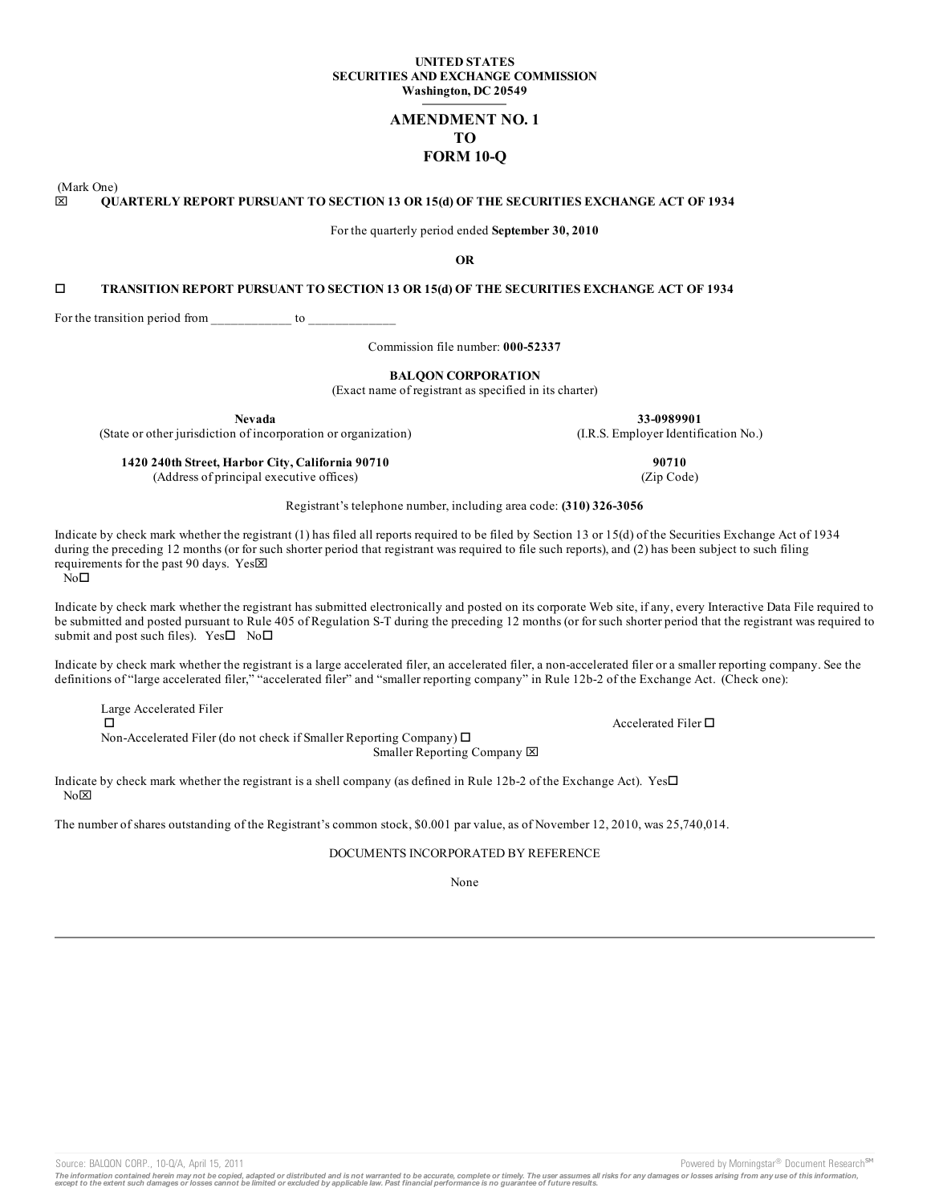# **UNITED STATES SECURITIES AND EXCHANGE COMMISSION Washington, DC 20549**

# **AMENDMENT NO. 1 TO FORM 10-Q**

(Mark One)

x **QUARTERLY REPORT PURSUANT TO SECTION 13 OR 15(d) OF THE SECURITIES EXCHANGE ACT OF 1934**

For the quarterly period ended **September 30, 2010**

**OR**

# o **TRANSITION REPORT PURSUANT TO SECTION 13 OR 15(d) OF THE SECURITIES EXCHANGE ACT OF 1934**

For the transition period from to  $\sim$ 

Commission file number: **000-52337**

**BALQON CORPORATION**

(Exact name of registrant as specified in its charter)

**Nevada**

(State or other jurisdiction of incorporation or organization)

**1420 240th Street, Harbor City, California 90710** (Address of principal executive offices)

**33-0989901** (I.R.S. Employer Identification No.)

> **90710** (Zip Code)

Registrant's telephone number, including area code: **(310) 326-3056**

Indicate by check mark whether the registrant (1) has filed all reports required to be filed by Section 13 or 15(d) of the Securities Exchange Act of 1934 during the preceding 12 months (or for such shorter period that registrant was required to file such reports), and (2) has been subject to such filing requirements for the past 90 days. Yes $\boxtimes$  $NoD$ 

Indicate by check mark whether the registrant has submitted electronically and posted on its corporate Web site, if any, every Interactive Data File required to be submitted and posted pursuant to Rule 405 of Regulation S-T during the preceding 12 months (or for such shorter period that the registrant was required to submit and post such files). Yes $\square$  No $\square$ 

Indicate by check mark whether the registrant is a large accelerated filer, an accelerated filer, a non-accelerated filer or a smaller reporting company. See the definitions of "large accelerated filer," "accelerated filer" and "smaller reporting company" in Rule 12b-2 of the Exchange Act. (Check one):

Large Accelerated Filer  $\square$ 

Non-Accelerated Filer (do not check if Smaller Reporting Company)  $\Box$ Smaller Reporting Company  $\boxtimes$ 

Indicate by check mark whether the registrant is a shell company (as defined in Rule 12b-2 of the Exchange Act). Yes $\Box$ Nox

The number of shares outstanding of the Registrant's common stock, \$0.001 par value, as of November 12, 2010, was 25,740,014.

# DOCUMENTS INCORPORATED BY REFERENCE

None

Source: BALQON CORP., 10-Q/A, April 15, 2011 **Powered by Morningstar® Document Research** in Powered by Morningstar® Document Research in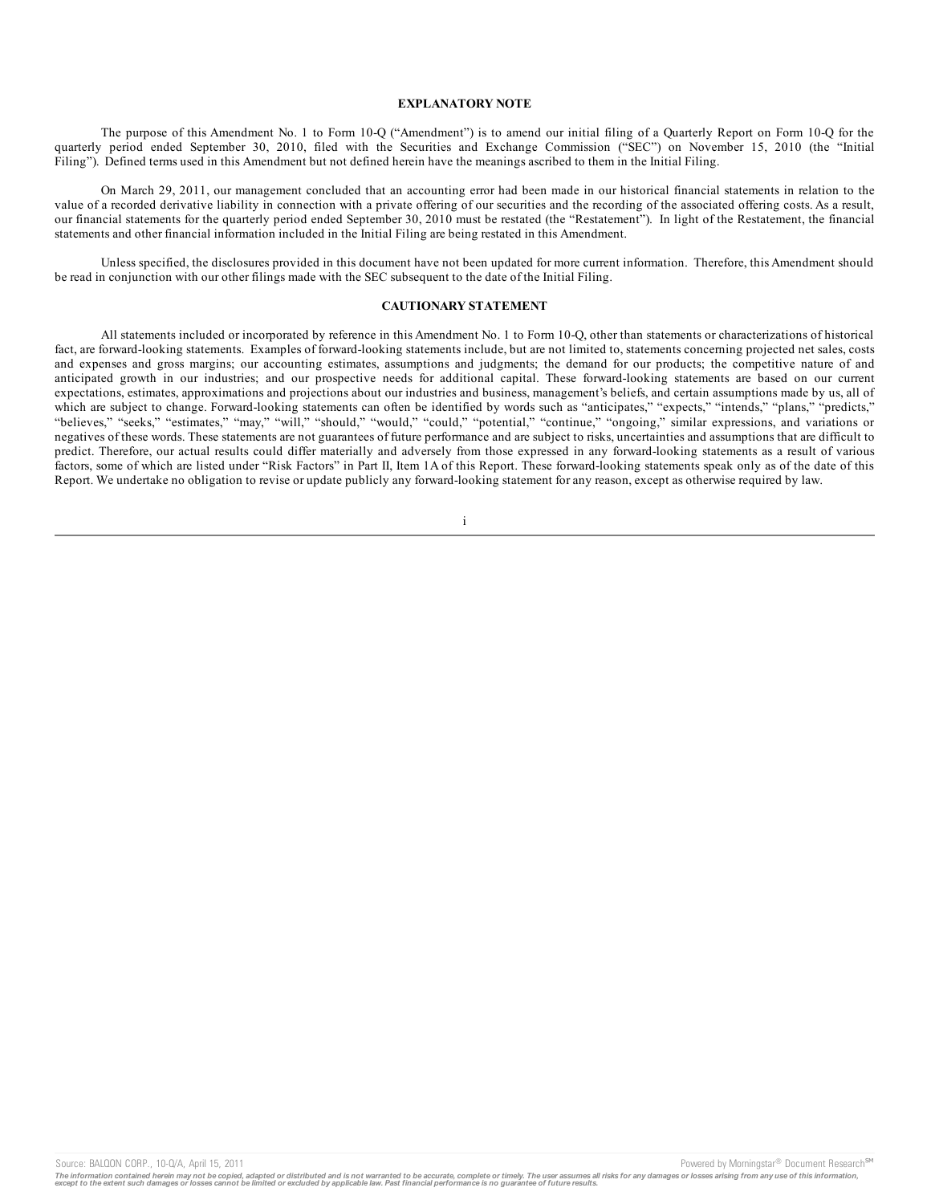#### **EXPLANATORY NOTE**

The purpose of this Amendment No. 1 to Form 10-Q ("Amendment") is to amend our initial filing of a Quarterly Report on Form 10-Q for the quarterly period ended September 30, 2010, filed with the Securities and Exchange Commission ("SEC") on November 15, 2010 (the "Initial Filing"). Defined terms used in this Amendment but not defined herein have the meanings ascribed to them in the Initial Filing.

On March 29, 2011, our management concluded that an accounting error had been made in our historical financial statements in relation to the value of a recorded derivative liability in connection with a private offering of our securities and the recording of the associated offering costs. As a result, our financial statements for the quarterly period ended September 30, 2010 must be restated (the "Restatement"). In light of the Restatement, the financial statements and other financial information included in the Initial Filing are being restated in this Amendment.

Unless specified, the disclosures provided in this document have not been updated for more current information. Therefore, this Amendment should be read in conjunction with our other filings made with the SEC subsequent to the date of the Initial Filing.

### **CAUTIONARY STATEMENT**

All statements included or incorporated by reference in this Amendment No. 1 to Form 10-Q, other than statements or characterizations of historical fact, are forward-looking statements. Examples of forward-looking statements include, but are not limited to, statements concerning projected net sales, costs and expenses and gross margins; our accounting estimates, assumptions and judgments; the demand for our products; the competitive nature of and anticipated growth in our industries; and our prospective needs for additional capital. These forward-looking statements are based on our current expectations, estimates, approximations and projections about our industries and business, management's beliefs, and certain assumptions made by us, all of which are subject to change. Forward-looking statements can often be identified by words such as "anticipates," "expects," "intends," "plans," "predicts," "believes," "seeks," "estimates," "may," "will," "should," "would," "could," "potential," "continue," "ongoing," similar expressions, and variations or negatives of these words. These statements are not guarantees of future performance and are subject to risks, uncertainties and assumptions that are difficult to predict. Therefore, our actual results could differ materially and adversely from those expressed in any forward-looking statements as a result of various factors, some of which are listed under "Risk Factors" in Part II, Item 1A of this Report. These forward-looking statements speak only as of the date of this Report. We undertake no obligation to revise or update publicly any forward-looking statement for any reason, except as otherwise required by law.

The information contained herein may not be copied, adapted or distributed and is not warranted to be accurate, complete or timely. The user assumes all risks for any damages or losses arising from any use of this informat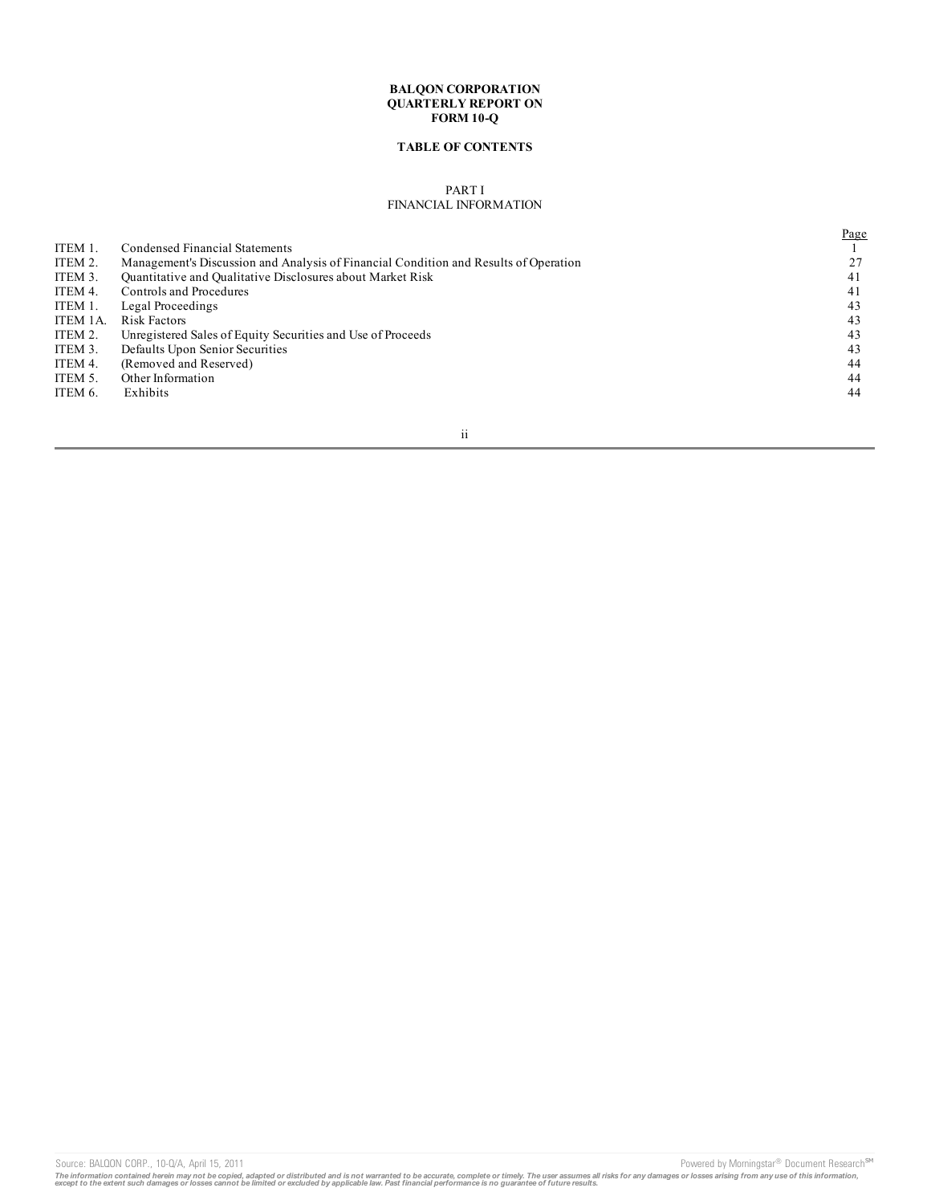# **BALQON CORPORATION QUARTERLY REPORT ON FORM 10-Q**

# **TABLE OF CONTENTS**

## PART I FINANCIAL INFORMATION

|          |                                                                                      | Page |
|----------|--------------------------------------------------------------------------------------|------|
| ITEM 1.  | Condensed Financial Statements                                                       |      |
| ITEM 2.  | Management's Discussion and Analysis of Financial Condition and Results of Operation | 27   |
| ITEM 3.  | Quantitative and Qualitative Disclosures about Market Risk                           | 41   |
| ITEM 4.  | Controls and Procedures                                                              | 41   |
| ITEM 1.  | Legal Proceedings                                                                    | 43   |
| ITEM 1A. | Risk Factors                                                                         | 43   |
| ITEM 2.  | Unregistered Sales of Equity Securities and Use of Proceeds                          | 43   |
| ITEM 3.  | Defaults Upon Senior Securities                                                      | 43   |
| ITEM 4.  | (Removed and Reserved)                                                               | 44   |
| ITEM 5.  | Other Information                                                                    | 44   |
| ITEM 6.  | Exhibits                                                                             | 44   |
|          |                                                                                      |      |

ii

Source: BALQON CORP., 10-Q/A, April 15, 2011 **Powered by Morningstar®** Document Research SM

The information contained herein may not be copied, adapted or distributed and is not warranted to be accurate, complete or timely. The user assumes all risks for any damages or losses arising from any use of this informat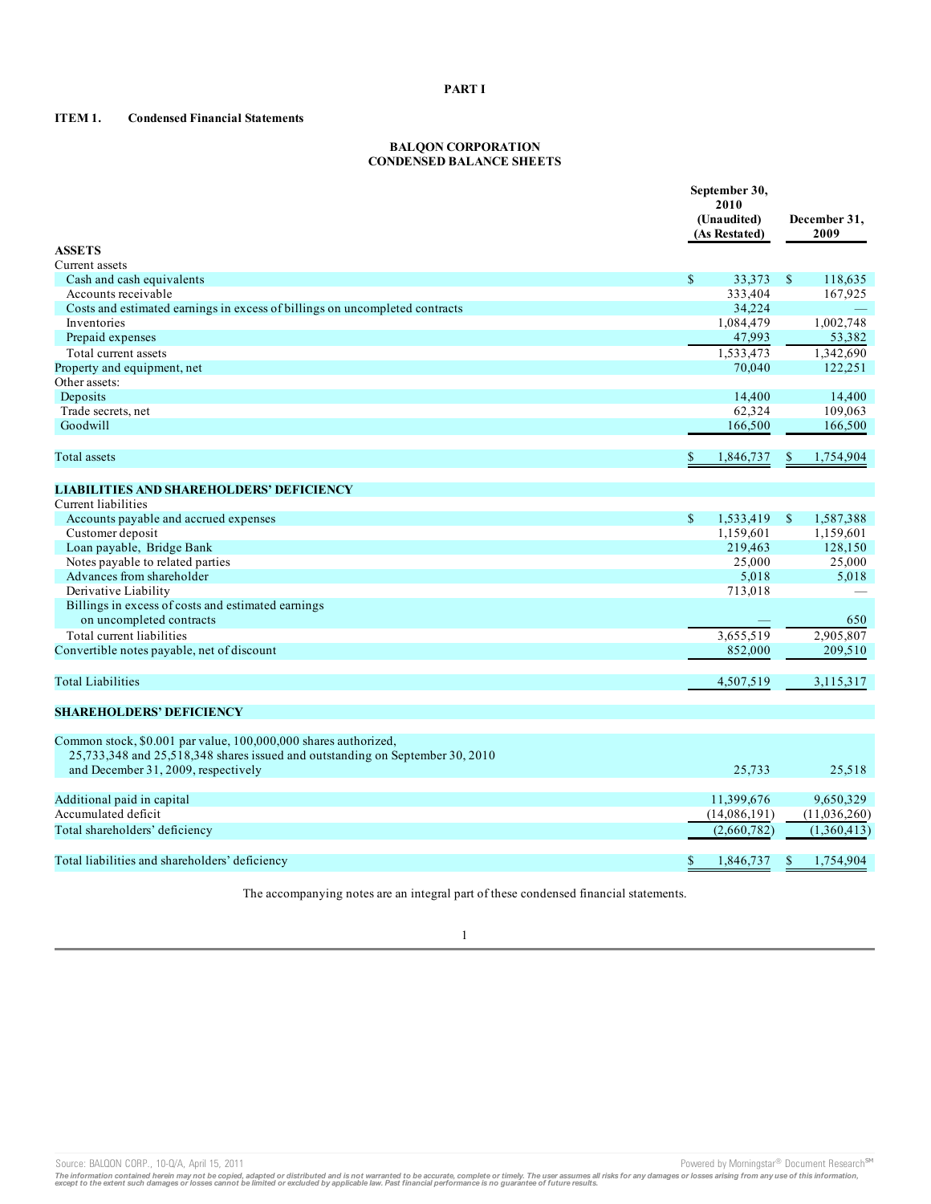# **PART I**

# **ITEM 1. Condensed Financial Statements**

## **BALQON CORPORATION CONDENSED BALANCE SHEETS**

|                                                                                                                                                  | September 30,<br>2010<br>(Unaudited)<br>(As Restated) | December 31,<br>2009 |              |  |
|--------------------------------------------------------------------------------------------------------------------------------------------------|-------------------------------------------------------|----------------------|--------------|--|
| <b>ASSETS</b>                                                                                                                                    |                                                       |                      |              |  |
| Current assets                                                                                                                                   |                                                       |                      |              |  |
| Cash and cash equivalents                                                                                                                        | $\mathbb{S}$<br>33,373                                | $\mathbb{S}$         | 118,635      |  |
| Accounts receivable                                                                                                                              | 333,404                                               |                      | 167,925      |  |
| Costs and estimated earnings in excess of billings on uncompleted contracts                                                                      | 34,224                                                |                      |              |  |
| Inventories                                                                                                                                      | 1,084,479                                             |                      | 1,002,748    |  |
| Prepaid expenses                                                                                                                                 | 47,993                                                |                      | 53,382       |  |
| Total current assets                                                                                                                             | 1,533,473                                             |                      | 1,342,690    |  |
| Property and equipment, net                                                                                                                      | 70.040                                                |                      | 122,251      |  |
| Other assets:                                                                                                                                    |                                                       |                      |              |  |
| Deposits                                                                                                                                         | 14,400                                                |                      | 14,400       |  |
| Trade secrets, net                                                                                                                               | 62,324                                                |                      | 109,063      |  |
| Goodwill                                                                                                                                         | 166,500                                               |                      | 166,500      |  |
| Total assets                                                                                                                                     | \$<br>1,846,737                                       | \$                   | 1,754,904    |  |
|                                                                                                                                                  |                                                       |                      |              |  |
| <b>LIABILITIES AND SHAREHOLDERS' DEFICIENCY</b>                                                                                                  |                                                       |                      |              |  |
| Current liabilities                                                                                                                              |                                                       |                      |              |  |
| Accounts payable and accrued expenses                                                                                                            | $\mathbb{S}$<br>1,533,419                             | <sup>S</sup>         | 1,587,388    |  |
| Customer deposit                                                                                                                                 | 1,159,601                                             |                      | 1,159,601    |  |
| Loan payable, Bridge Bank                                                                                                                        | 219,463                                               |                      | 128,150      |  |
| Notes payable to related parties<br>Advances from shareholder                                                                                    | 25,000                                                |                      | 25,000       |  |
|                                                                                                                                                  | 5,018                                                 |                      | 5,018        |  |
| Derivative Liability                                                                                                                             | 713,018                                               |                      |              |  |
| Billings in excess of costs and estimated earnings                                                                                               |                                                       |                      |              |  |
| on uncompleted contracts                                                                                                                         |                                                       |                      | 650          |  |
| Total current liabilities                                                                                                                        | 3,655,519                                             |                      | 2,905,807    |  |
| Convertible notes payable, net of discount                                                                                                       | 852,000                                               |                      | 209,510      |  |
| <b>Total Liabilities</b>                                                                                                                         | 4,507,519                                             |                      | 3,115,317    |  |
| <b>SHAREHOLDERS' DEFICIENCY</b>                                                                                                                  |                                                       |                      |              |  |
| Common stock, \$0.001 par value, 100,000,000 shares authorized,<br>25,733,348 and 25,518,348 shares issued and outstanding on September 30, 2010 |                                                       |                      |              |  |
| and December 31, 2009, respectively                                                                                                              | 25,733                                                |                      | 25,518       |  |
| Additional paid in capital                                                                                                                       | 11,399,676                                            |                      | 9,650,329    |  |
| Accumulated deficit                                                                                                                              | (14,086,191)                                          |                      | (11,036,260) |  |
| Total shareholders' deficiency                                                                                                                   | (2,660,782)                                           |                      | (1,360,413)  |  |
| Total liabilities and shareholders' deficiency                                                                                                   | 1,846,737<br>\$                                       | S                    | 1,754,904    |  |
|                                                                                                                                                  |                                                       |                      |              |  |

The accompanying notes are an integral part of these condensed financial statements.

## 1

Source: BALQON CORP., 10-Q/A, April 15, 2011 **Powered by Morningstar®** Document Research SM

The information contained herein may not be copied, adapted or distributed and is not warranted to be accurate, complete or timely. The user assumes all risks for any damages or losses arising from any use of this informat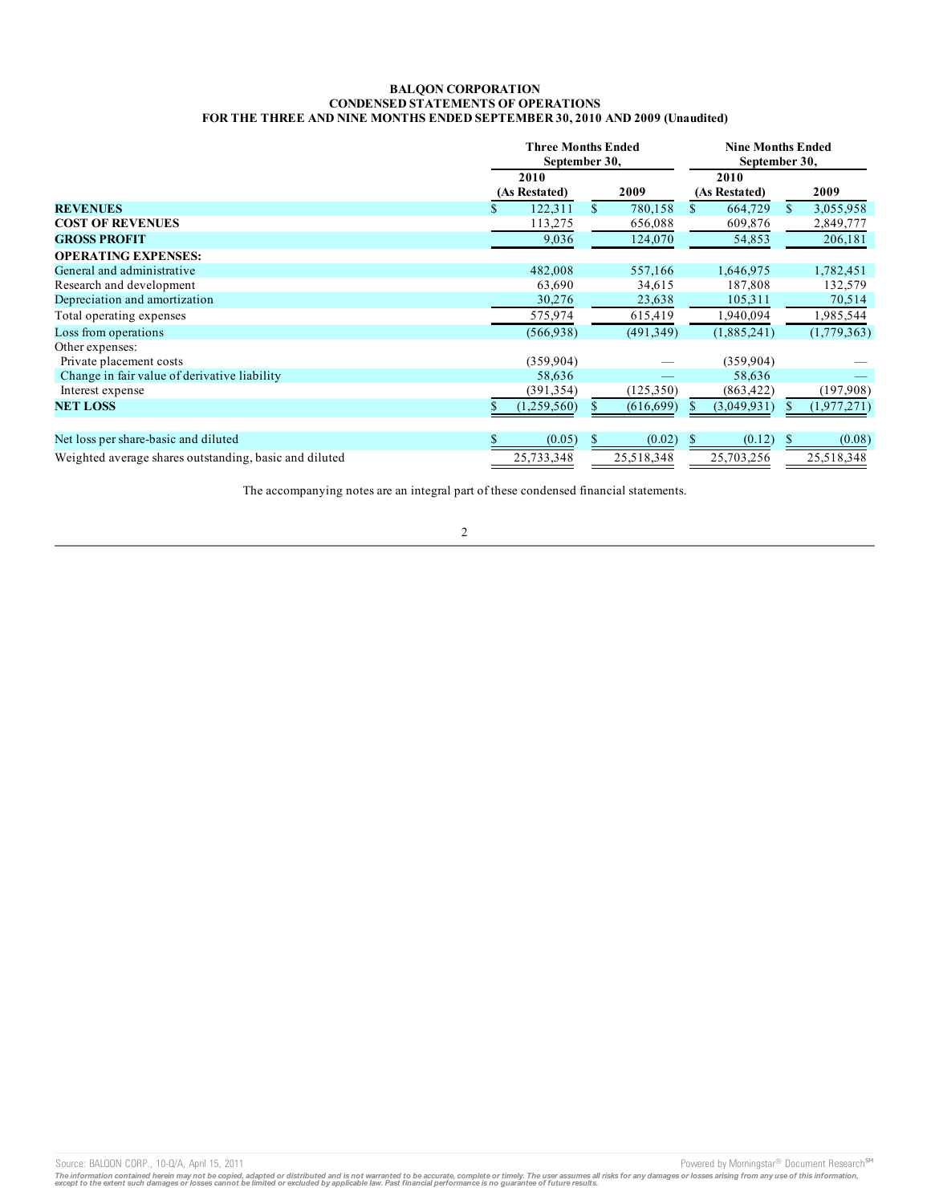### **BALQON CORPORATION CONDENSED STATEMENTS OF OPERATIONS FOR THE THREE AND NINE MONTHS ENDED SEPTEMBER 30, 2010 AND 2009 (Unaudited)**

|                                                        | <b>Three Months Ended</b><br>September 30, |     |            | <b>Nine Months Ended</b><br>September 30, |                       |    |             |  |
|--------------------------------------------------------|--------------------------------------------|-----|------------|-------------------------------------------|-----------------------|----|-------------|--|
|                                                        | 2010<br>(As Restated)                      |     | 2009       |                                           | 2010<br>(As Restated) |    | 2009        |  |
| <b>REVENUES</b>                                        | 122,311                                    | \$. | 780,158    |                                           | 664,729               | S. | 3,055,958   |  |
| <b>COST OF REVENUES</b>                                | 113,275                                    |     | 656,088    |                                           | 609,876               |    | 2,849,777   |  |
| <b>GROSS PROFIT</b>                                    | 9,036                                      |     | 124,070    |                                           | 54,853                |    | 206,181     |  |
| <b>OPERATING EXPENSES:</b>                             |                                            |     |            |                                           |                       |    |             |  |
| General and administrative                             | 482,008                                    |     | 557,166    |                                           | 1,646,975             |    | 1,782,451   |  |
| Research and development                               | 63,690                                     |     | 34,615     |                                           | 187,808               |    | 132,579     |  |
| Depreciation and amortization                          | 30,276                                     |     | 23,638     |                                           | 105,311               |    | 70,514      |  |
| Total operating expenses                               | 575,974                                    |     | 615,419    |                                           | 1,940,094             |    | 1,985,544   |  |
| Loss from operations                                   | (566, 938)                                 |     | (491, 349) |                                           | (1,885,241)           |    | (1,779,363) |  |
| Other expenses:                                        |                                            |     |            |                                           |                       |    |             |  |
| Private placement costs                                | (359,904)                                  |     |            |                                           | (359, 904)            |    |             |  |
| Change in fair value of derivative liability           | 58,636                                     |     |            |                                           | 58,636                |    |             |  |
| Interest expense                                       | (391, 354)                                 |     | (125,350)  |                                           | (863, 422)            |    | (197,908)   |  |
| <b>NET LOSS</b>                                        | (1,259,560)                                |     | (616, 699) |                                           | (3,049,931)           |    | (1,977,271) |  |
| Net loss per share-basic and diluted                   | (0.05)                                     |     | (0.02)     |                                           | (0.12)                |    | (0.08)      |  |
| Weighted average shares outstanding, basic and diluted | 25,733,348                                 |     | 25,518,348 |                                           | 25,703,256            |    | 25,518,348  |  |

The accompanying notes are an integral part of these condensed financial statements.

2

Source: BALQON CORP., 10-Q/A, April 15, 2011 **Powered by Morningstar®** Document Research SM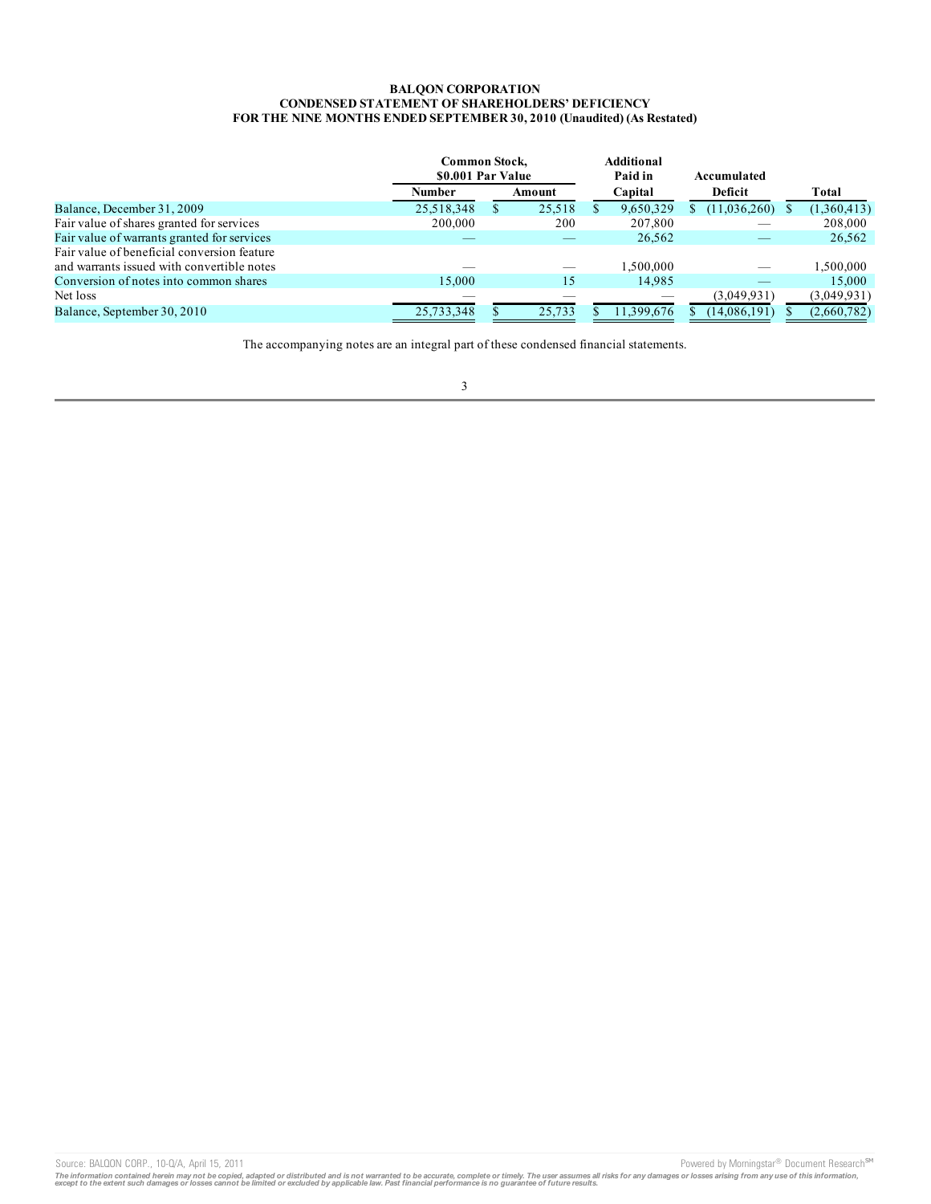## **BALQON CORPORATION CONDENSED STATEMENT OF SHAREHOLDERS' DEFICIENCY FOR THE NINE MONTHS ENDED SEPTEMBER 30, 2010 (Unaudited) (As Restated)**

|                                             |            | Common Stock,<br>\$0.001 Par Value |        | <b>Additional</b><br>Paid in |           | Accumulated    |  |             |
|---------------------------------------------|------------|------------------------------------|--------|------------------------------|-----------|----------------|--|-------------|
|                                             | Number     |                                    | Amount |                              | Capital   | Deficit        |  | Total       |
| Balance, December 31, 2009                  | 25,518,348 | ж                                  | 25.518 |                              | 9.650.329 | (11, 036, 260) |  | (1,360,413) |
| Fair value of shares granted for services   | 200,000    |                                    | 200    |                              | 207,800   |                |  | 208,000     |
| Fair value of warrants granted for services |            |                                    |        |                              | 26,562    |                |  | 26,562      |
| Fair value of beneficial conversion feature |            |                                    |        |                              |           |                |  |             |
| and warrants issued with convertible notes  |            |                                    |        |                              | 1.500.000 |                |  | 1,500,000   |
| Conversion of notes into common shares      | 15,000     |                                    | 15     |                              | 14.985    |                |  | 15,000      |
| Net loss                                    |            |                                    |        |                              |           | (3,049,931)    |  | (3,049,931) |
| Balance, September 30, 2010                 | 25,733,348 |                                    | 25.733 |                              | 1.399.676 | (14,086,191)   |  | (2,660,782) |

The accompanying notes are an integral part of these condensed financial statements.

Source: BALQON CORP., 10-Q/A, April 15, 2011 **Powered by Morningstar®** Document Research SM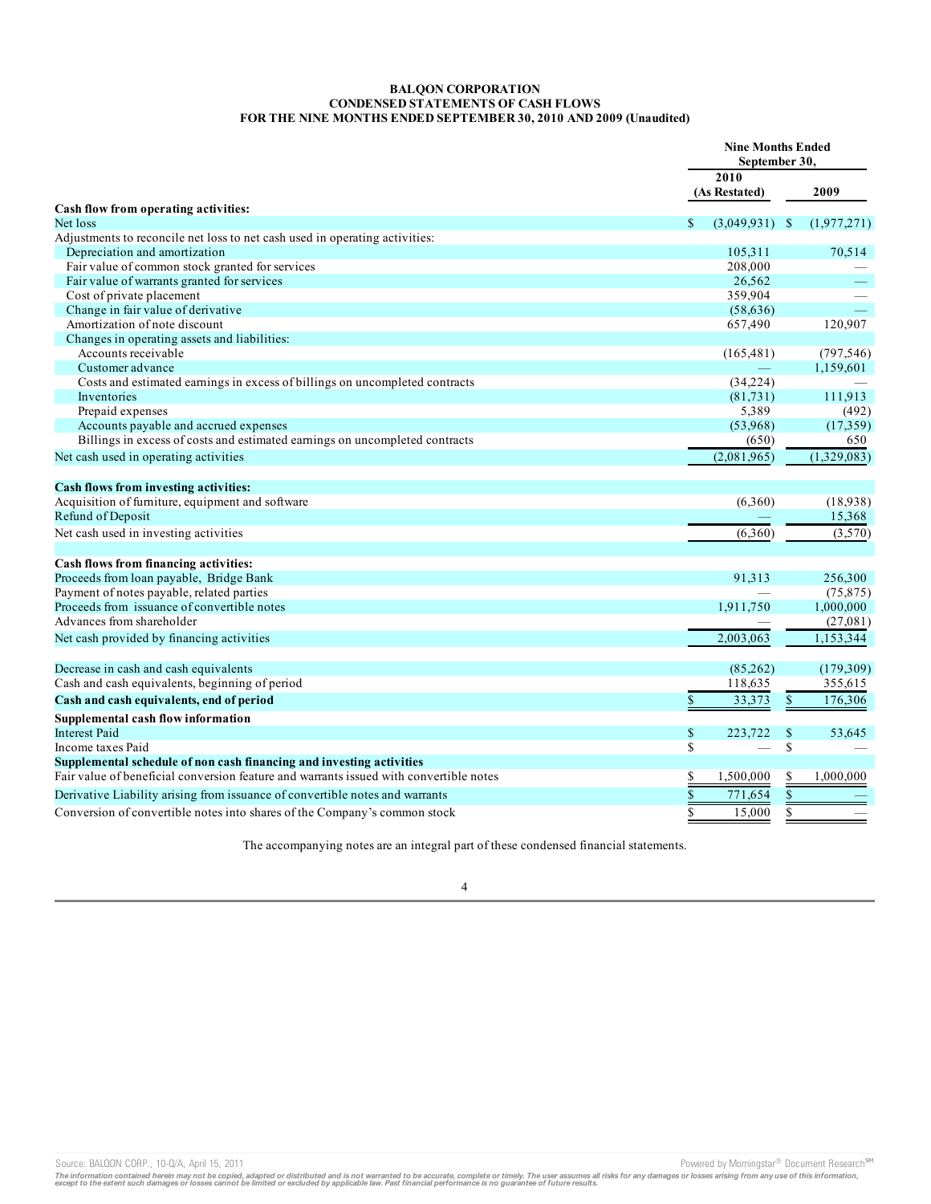#### **BALQON CORPORATION CONDENSED STATEMENTS OF CASH FLOWS FOR THE NINE MONTHS ENDED SEPTEMBER 30, 2010 AND 2009 (Unaudited)**

|                                                                                        | <b>Nine Months Ended</b><br>September 30. |                 |  |  |
|----------------------------------------------------------------------------------------|-------------------------------------------|-----------------|--|--|
|                                                                                        | 2010                                      |                 |  |  |
|                                                                                        | (As Restated)                             | 2009            |  |  |
| Cash flow from operating activities:                                                   |                                           |                 |  |  |
| Net loss                                                                               | $\mathbb{S}$<br>$(3,049,931)$ \$          | (1,977,271)     |  |  |
| Adjustments to reconcile net loss to net cash used in operating activities:            |                                           |                 |  |  |
| Depreciation and amortization                                                          | 105,311                                   | 70,514          |  |  |
| Fair value of common stock granted for services                                        | 208,000                                   |                 |  |  |
| Fair value of warrants granted for services                                            | 26,562<br>359,904                         |                 |  |  |
| Cost of private placement<br>Change in fair value of derivative                        |                                           |                 |  |  |
| Amortization of note discount                                                          | (58, 636)                                 | 120,907         |  |  |
| Changes in operating assets and liabilities:                                           | 657,490                                   |                 |  |  |
| Accounts receivable                                                                    | (165, 481)                                | (797, 546)      |  |  |
| Customer advance                                                                       |                                           | 1,159,601       |  |  |
| Costs and estimated earnings in excess of billings on uncompleted contracts            | (34, 224)                                 |                 |  |  |
| Inventories                                                                            | (81, 731)                                 | 111,913         |  |  |
| Prepaid expenses                                                                       | 5,389                                     | (492)           |  |  |
| Accounts payable and accrued expenses                                                  | (53,968)                                  | (17, 359)       |  |  |
| Billings in excess of costs and estimated earnings on uncompleted contracts            | (650)                                     | 650             |  |  |
| Net cash used in operating activities                                                  | (2,081,965)                               | (1,329,083)     |  |  |
|                                                                                        |                                           |                 |  |  |
| Cash flows from investing activities:                                                  |                                           |                 |  |  |
| Acquisition of furniture, equipment and software                                       | (6,360)                                   | (18,938)        |  |  |
| Refund of Deposit                                                                      |                                           | 15,368          |  |  |
| Net cash used in investing activities                                                  | (6,360)                                   | (3,570)         |  |  |
| Cash flows from financing activities:                                                  |                                           |                 |  |  |
| Proceeds from loan payable, Bridge Bank                                                | 91,313                                    | 256,300         |  |  |
| Payment of notes payable, related parties                                              |                                           | (75, 875)       |  |  |
| Proceeds from issuance of convertible notes                                            | 1,911,750                                 | 1,000,000       |  |  |
| Advances from shareholder                                                              |                                           | (27,081)        |  |  |
| Net cash provided by financing activities                                              | 2,003,063                                 | 1,153,344       |  |  |
|                                                                                        |                                           |                 |  |  |
| Decrease in cash and cash equivalents                                                  | (85,262)                                  | (179,309)       |  |  |
| Cash and cash equivalents, beginning of period                                         | 118,635                                   | 355,615         |  |  |
| Cash and cash equivalents, end of period                                               | $\underline{\$}$<br>33,373                | \$<br>176,306   |  |  |
| Supplemental cash flow information                                                     |                                           |                 |  |  |
| <b>Interest Paid</b>                                                                   | \$<br>223,722                             | \$<br>53,645    |  |  |
| Income taxes Paid                                                                      | \$                                        | $\mathbb S$     |  |  |
| Supplemental schedule of non cash financing and investing activities                   |                                           |                 |  |  |
| Fair value of beneficial conversion feature and warrants issued with convertible notes | \$<br>1,500,000                           | 1,000,000<br>\$ |  |  |
| Derivative Liability arising from issuance of convertible notes and warrants           | \$<br>771,654                             | $\mathbb{S}$    |  |  |
| Conversion of convertible notes into shares of the Company's common stock              | \$<br>15,000                              | $\mathbf S$     |  |  |

The accompanying notes are an integral part of these condensed financial statements.

4

Source: BALQON CORP., 10-Q/A, April 15, 2011<br>The information contained herein may not be copied, adapted or distributed and is not warranted to be accurate, complete or timely. The user assumes all risks for any damages or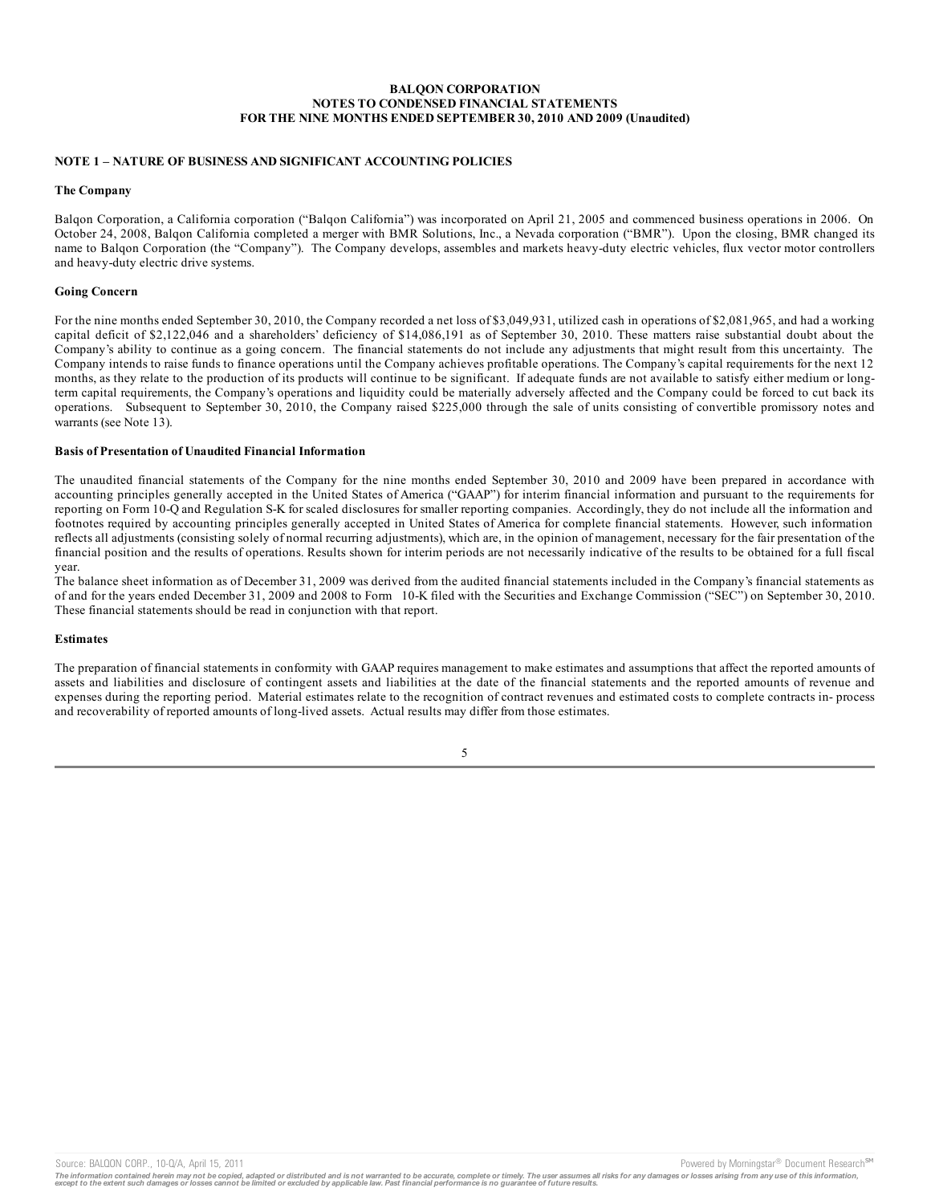# **NOTE 1 – NATURE OF BUSINESS AND SIGNIFICANT ACCOUNTING POLICIES**

### **The Company**

Balqon Corporation, a California corporation ("Balqon California") was incorporated on April 21, 2005 and commenced business operations in 2006. On October 24, 2008, Balqon California completed a merger with BMR Solutions, Inc., a Nevada corporation ("BMR"). Upon the closing, BMR changed its name to Balqon Corporation (the "Company"). The Company develops, assembles and markets heavy-duty electric vehicles, flux vector motor controllers and heavy-duty electric drive systems.

### **Going Concern**

For the nine months ended September 30, 2010, the Company recorded a net loss of \$3,049,931, utilized cash in operations of \$2,081,965, and had a working capital deficit of \$2,122,046 and a shareholders' deficiency of \$14,086,191 as of September 30, 2010. These matters raise substantial doubt about the Company's ability to continue as a going concern. The financial statements do not include any adjustments that might result from this uncertainty. The Company intends to raise funds to finance operations until the Company achieves profitable operations. The Company's capital requirements for the next 12 months, as they relate to the production of its products will continue to be significant. If adequate funds are not available to satisfy either medium or longterm capital requirements, the Company's operations and liquidity could be materially adversely affected and the Company could be forced to cut back its operations. Subsequent to September 30, 2010, the Company raised \$225,000 through the sale of units consisting of convertible promissory notes and warrants (see Note 13).

# **Basis of Presentation of Unaudited Financial Information**

The unaudited financial statements of the Company for the nine months ended September 30, 2010 and 2009 have been prepared in accordance with accounting principles generally accepted in the United States of America ("GAAP") for interim financial information and pursuant to the requirements for reporting on Form 10-Q and Regulation S-K for scaled disclosures for smaller reporting companies. Accordingly, they do not include all the information and footnotes required by accounting principles generally accepted in United States of America for complete financial statements. However, such information reflects all adjustments (consisting solely of normal recurring adjustments), which are, in the opinion of management, necessary for the fair presentation of the financial position and the results of operations. Results shown for interim periods are not necessarily indicative of the results to be obtained for a full fiscal year.

The balance sheet information as of December 31, 2009 was derived from the audited financial statements included in the Company's financial statements as of and for the years ended December 31, 2009 and 2008 to Form 10-K filed with the Securities and Exchange Commission ("SEC") on September 30, 2010. These financial statements should be read in conjunction with that report.

#### **Estimates**

The preparation of financial statements in conformity with GAAP requires management to make estimates and assumptions that affect the reported amounts of assets and liabilities and disclosure of contingent assets and liabilities at the date of the financial statements and the reported amounts of revenue and expenses during the reporting period. Material estimates relate to the recognition of contract revenues and estimated costs to complete contracts in- process and recoverability of reported amounts of long-lived assets. Actual results may differ from those estimates.

5

The information contained herein may not be copied, adapted or distributed and is not warranted to be accurate, complete or timely. The user assumes all risks for any damages or losses arising from any use of this informat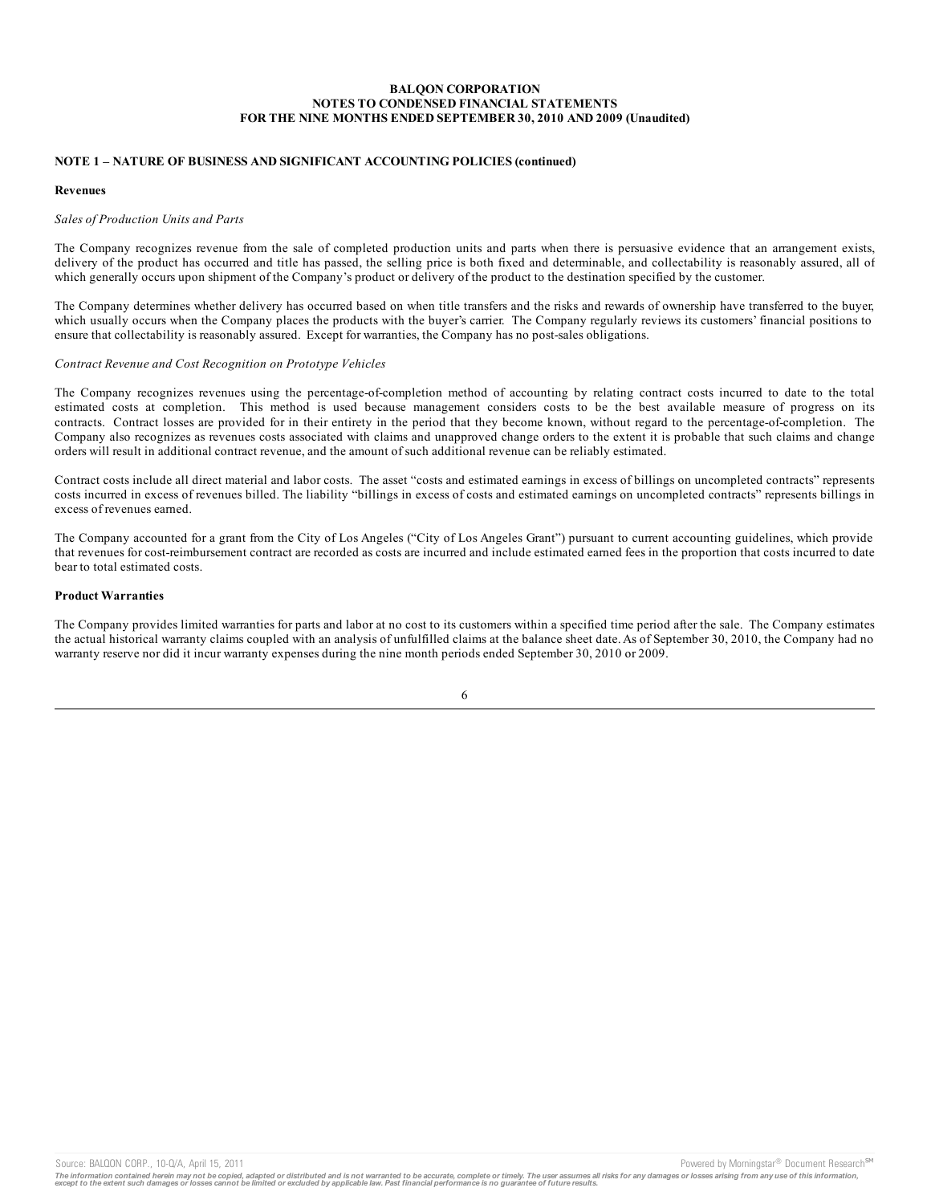# **NOTE 1 – NATURE OF BUSINESS AND SIGNIFICANT ACCOUNTING POLICIES (continued)**

#### **Revenues**

#### *Sales of Production Units and Parts*

The Company recognizes revenue from the sale of completed production units and parts when there is persuasive evidence that an arrangement exists, delivery of the product has occurred and title has passed, the selling price is both fixed and determinable, and collectability is reasonably assured, all of which generally occurs upon shipment of the Company's product or delivery of the product to the destination specified by the customer.

The Company determines whether delivery has occurred based on when title transfers and the risks and rewards of ownership have transferred to the buyer, which usually occurs when the Company places the products with the buyer's carrier. The Company regularly reviews its customers' financial positions to ensure that collectability is reasonably assured. Except for warranties, the Company has no post-sales obligations.

#### *Contract Revenue and Cost Recognition on Prototype Vehicles*

The Company recognizes revenues using the percentage-of-completion method of accounting by relating contract costs incurred to date to the total estimated costs at completion. This method is used because management considers costs to be the best available measure of progress on its contracts. Contract losses are provided for in their entirety in the period that they become known, without regard to the percentage-of-completion. The Company also recognizes as revenues costs associated with claims and unapproved change orders to the extent it is probable that such claims and change orders will result in additional contract revenue, and the amount of such additional revenue can be reliably estimated.

Contract costs include all direct material and labor costs. The asset "costs and estimated earnings in excess of billings on uncompleted contracts" represents costs incurred in excess of revenues billed. The liability "billings in excess of costs and estimated earnings on uncompleted contracts" represents billings in excess of revenues earned.

The Company accounted for a grant from the City of Los Angeles ("City of Los Angeles Grant") pursuant to current accounting guidelines, which provide that revenues for cost-reimbursement contract are recorded as costs are incurred and include estimated earned fees in the proportion that costs incurred to date bear to total estimated costs.

# **Product Warranties**

The Company provides limited warranties for parts and labor at no cost to its customers within a specified time period after the sale. The Company estimates the actual historical warranty claims coupled with an analysis of unfulfilled claims at the balance sheet date. As of September 30, 2010, the Company had no warranty reserve nor did it incur warranty expenses during the nine month periods ended September 30, 2010 or 2009.



The information contained herein may not be copied, adapted or distributed and is not warranted to be accurate, complete or timely. The user assumes all risks for any damages or losses arising from any use of this informat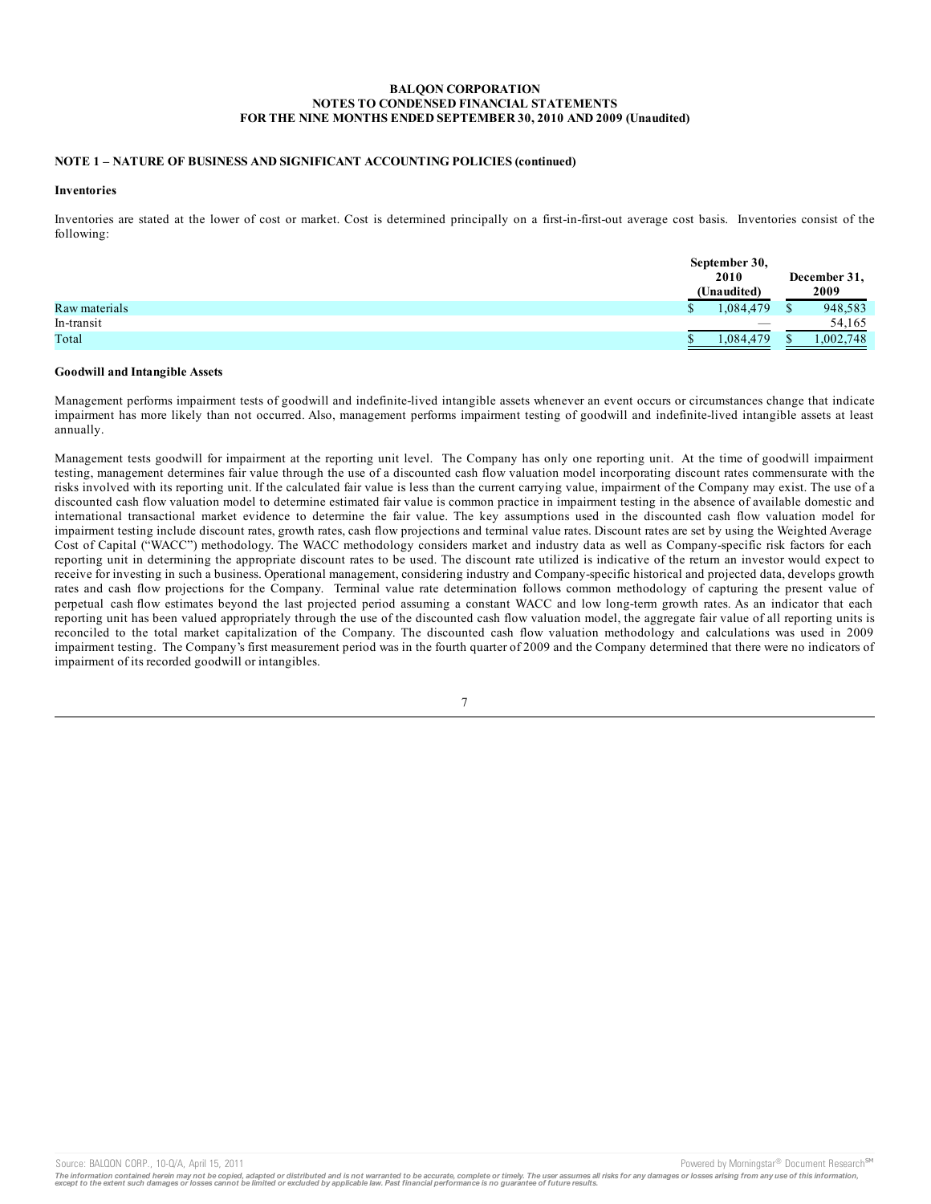# **NOTE 1 – NATURE OF BUSINESS AND SIGNIFICANT ACCOUNTING POLICIES (continued)**

#### **Inventories**

Inventories are stated at the lower of cost or market. Cost is determined principally on a first-in-first-out average cost basis. Inventories consist of the following:

|               | September 30,<br>2010<br>(Unaudited) | December 31,<br>2009 |           |  |
|---------------|--------------------------------------|----------------------|-----------|--|
| Raw materials | 1,084,479                            |                      | 948,583   |  |
| In-transit    |                                      |                      | 54,165    |  |
| Total         | 1,084,479                            |                      | 1,002,748 |  |

#### **Goodwill and Intangible Assets**

Management performs impairment tests of goodwill and indefinite-lived intangible assets whenever an event occurs or circumstances change that indicate impairment has more likely than not occurred. Also, management performs impairment testing of goodwill and indefinite-lived intangible assets at least annually.

Management tests goodwill for impairment at the reporting unit level. The Company has only one reporting unit. At the time of goodwill impairment testing, management determines fair value through the use of a discounted cash flow valuation model incorporating discount rates commensurate with the risks involved with its reporting unit. If the calculated fair value is less than the current carrying value, impairment of the Company may exist. The use of a discounted cash flow valuation model to determine estimated fair value is common practice in impairment testing in the absence of available domestic and international transactional market evidence to determine the fair value. The key assumptions used in the discounted cash flow valuation model for impairment testing include discount rates, growth rates, cash flow projections and terminal value rates. Discount rates are set by using the Weighted Average Cost of Capital ("WACC") methodology. The WACC methodology considers market and industry data as well as Company-specific risk factors for each reporting unit in determining the appropriate discount rates to be used. The discount rate utilized is indicative of the return an investor would expect to receive for investing in such a business. Operational management, considering industry and Company-specific historical and projected data, develops growth rates and cash flow projections for the Company. Terminal value rate determination follows common methodology of capturing the present value of perpetual cash flow estimates beyond the last projected period assuming a constant WACC and low long-term growth rates. As an indicator that each reporting unit has been valued appropriately through the use of the discounted cash flow valuation model, the aggregate fair value of all reporting units is reconciled to the total market capitalization of the Company. The discounted cash flow valuation methodology and calculations was used in 2009 impairment testing. The Company's first measurement period was in the fourth quarter of 2009 and the Company determined that there were no indicators of impairment of its recorded goodwill or intangibles.

7

Source: BALQON CORP., 10-Q/A, April 15, 2011 Powered by Morningstar® Document Research Street by Morningstar® Document Research Street by Morningstar® Document Research Street by Morningstar® Document Research Street by Mo

The information contained herein may not be copied, adapted or distributed and is not warranted to be accurate, complete or timely. The user assumes all risks for any damages or losses arising from any use of this informat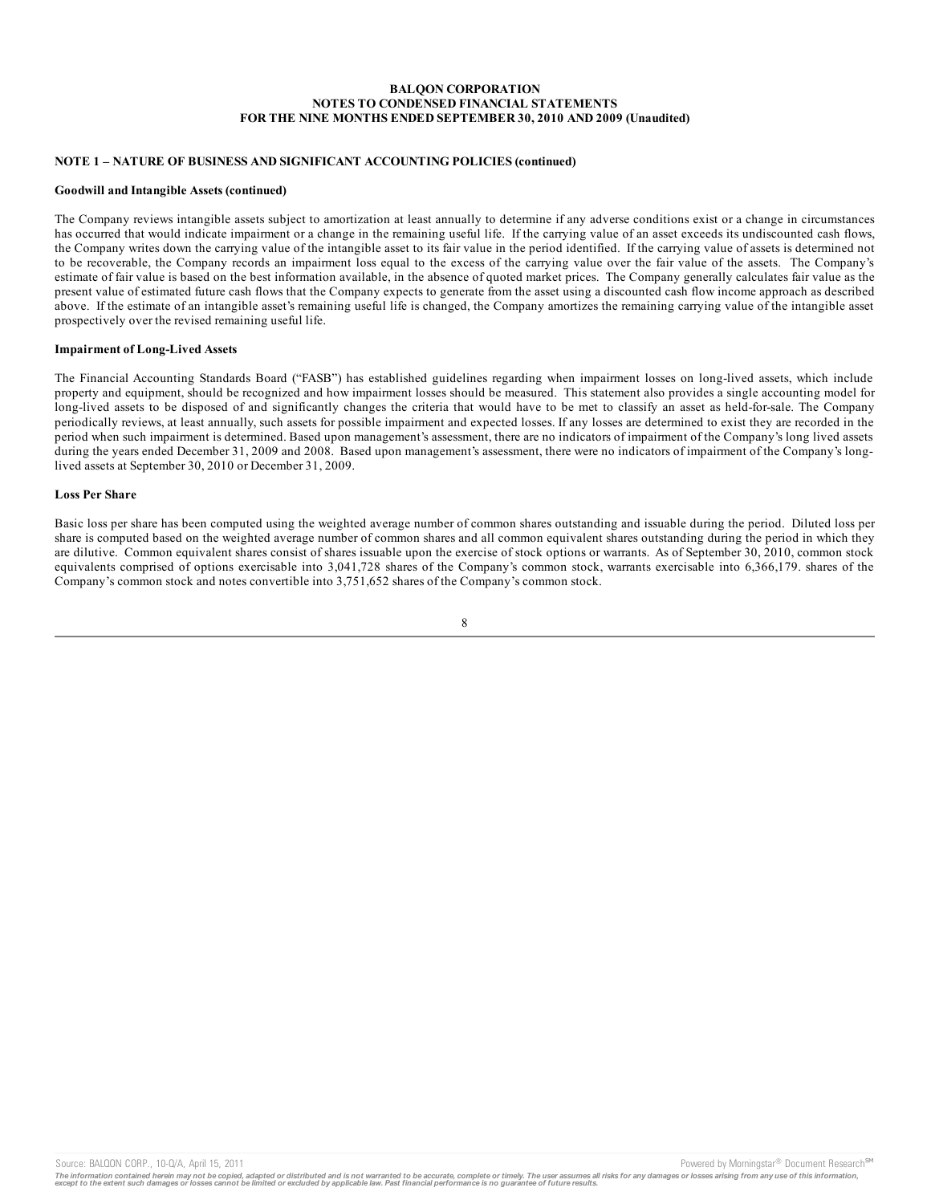# **NOTE 1 – NATURE OF BUSINESS AND SIGNIFICANT ACCOUNTING POLICIES (continued)**

#### **Goodwill and Intangible Assets (continued)**

The Company reviews intangible assets subject to amortization at least annually to determine if any adverse conditions exist or a change in circumstances has occurred that would indicate impairment or a change in the remaining useful life. If the carrying value of an asset exceeds its undiscounted cash flows, the Company writes down the carrying value of the intangible asset to its fair value in the period identified. If the carrying value of assets is determined not to be recoverable, the Company records an impairment loss equal to the excess of the carrying value over the fair value of the assets. The Company's estimate of fair value is based on the best information available, in the absence of quoted market prices. The Company generally calculates fair value as the present value of estimated future cash flows that the Company expects to generate from the asset using a discounted cash flow income approach as described above. If the estimate of an intangible asset's remaining useful life is changed, the Company amortizes the remaining carrying value of the intangible asset prospectively over the revised remaining useful life.

# **Impairment of Long-Lived Assets**

The Financial Accounting Standards Board ("FASB") has established guidelines regarding when impairment losses on long-lived assets, which include property and equipment, should be recognized and how impairment losses should be measured. This statement also provides a single accounting model for long-lived assets to be disposed of and significantly changes the criteria that would have to be met to classify an asset as held-for-sale. The Company periodically reviews, at least annually, such assets for possible impairment and expected losses. If any losses are determined to exist they are recorded in the period when such impairment is determined. Based upon management's assessment, there are no indicators of impairment of the Company's long lived assets during the years ended December 31, 2009 and 2008. Based upon management's assessment, there were no indicators of impairment of the Company's longlived assets at September 30, 2010 or December 31, 2009.

## **Loss Per Share**

Basic loss per share has been computed using the weighted average number of common shares outstanding and issuable during the period. Diluted loss per share is computed based on the weighted average number of common shares and all common equivalent shares outstanding during the period in which they are dilutive. Common equivalent shares consist of shares issuable upon the exercise of stock options or warrants. As of September 30, 2010, common stock equivalents comprised of options exercisable into 3,041,728 shares of the Company's common stock, warrants exercisable into 6,366,179. shares of the Company's common stock and notes convertible into 3,751,652 shares of the Company's common stock.

The information contained herein may not be copied, adapted or distributed and is not warranted to be accurate, complete or timely. The user assumes all risks for any damages or losses arising from any use of this informat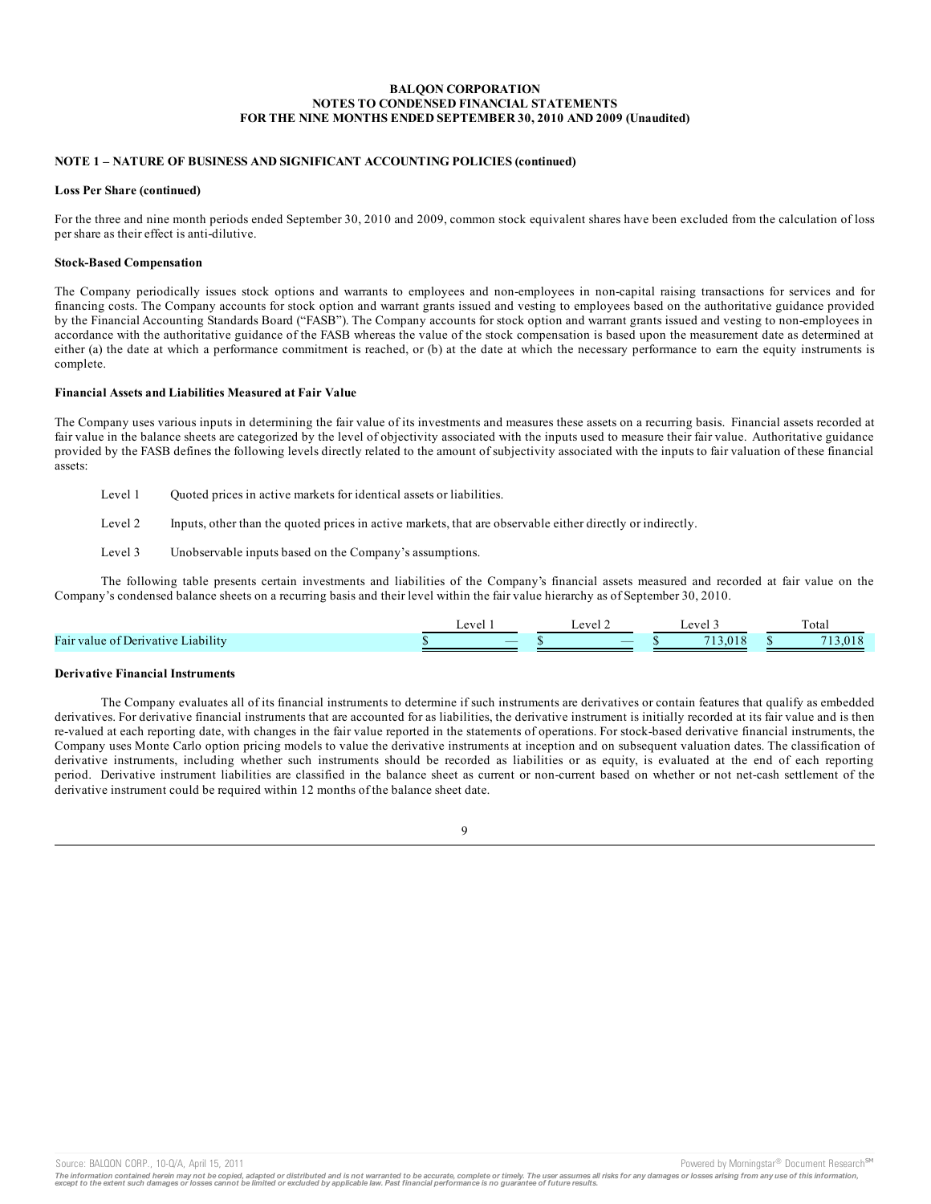# **NOTE 1 – NATURE OF BUSINESS AND SIGNIFICANT ACCOUNTING POLICIES (continued)**

#### **Loss Per Share (continued)**

For the three and nine month periods ended September 30, 2010 and 2009, common stock equivalent shares have been excluded from the calculation of loss per share as their effect is anti-dilutive.

#### **Stock-Based Compensation**

The Company periodically issues stock options and warrants to employees and non-employees in non-capital raising transactions for services and for financing costs. The Company accounts for stock option and warrant grants issued and vesting to employees based on the authoritative guidance provided by the Financial Accounting Standards Board ("FASB"). The Company accounts for stock option and warrant grants issued and vesting to non-employees in accordance with the authoritative guidance of the FASB whereas the value of the stock compensation is based upon the measurement date as determined at either (a) the date at which a performance commitment is reached, or (b) at the date at which the necessary performance to earn the equity instruments is complete.

#### **Financial Assets and Liabilities Measured at Fair Value**

The Company uses various inputs in determining the fair value of its investments and measures these assets on a recurring basis. Financial assets recorded at fair value in the balance sheets are categorized by the level of objectivity associated with the inputs used to measure their fair value. Authoritative guidance provided by the FASB defines the following levels directly related to the amount of subjectivity associated with the inputs to fair valuation of these financial assets:

Level 1 Ouoted prices in active markets for identical assets or liabilities.

Level 2 Inputs, other than the quoted prices in active markets, that are observable either directly or indirectly.

Level 3 Unobservable inputs based on the Company's assumptions.

The following table presents certain investments and liabilities of the Company's financial assets measured and recorded at fair value on the Company's condensed balance sheets on a recurring basis and their level within the fair value hierarchy as of September 30, 2010.

|                                                      | evel.<br>$\overline{\phantom{a}}$ | Level 2 | Level . | Total |
|------------------------------------------------------|-----------------------------------|---------|---------|-------|
| -<br>Liability<br>Fair value<br>: Derivative<br>- of | __                                |         | .018    | .018  |

#### **Derivative Financial Instruments**

The Company evaluates all of its financial instruments to determine if such instruments are derivatives or contain features that qualify as embedded derivatives. For derivative financial instruments that are accounted for as liabilities, the derivative instrument is initially recorded at its fair value and is then re-valued at each reporting date, with changes in the fair value reported in the statements of operations. For stock-based derivative financial instruments, the Company uses Monte Carlo option pricing models to value the derivative instruments at inception and on subsequent valuation dates. The classification of derivative instruments, including whether such instruments should be recorded as liabilities or as equity, is evaluated at the end of each reporting period. Derivative instrument liabilities are classified in the balance sheet as current or non-current based on whether or not net-cash settlement of the derivative instrument could be required within 12 months of the balance sheet date.

Source: BALQON CORP., 10-Q/A, April 15, 2011 Powered by Morningstar® Document Research Street by Morningstar® Document Research Street by Morningstar® Document Research Street by Morningstar® Document Research Street by Mo

The information contained herein may not be copied, adapted or distributed and is not warranted to be accurate, complete or timely. The user assumes all risks for any damages or losses arising from any use of this informat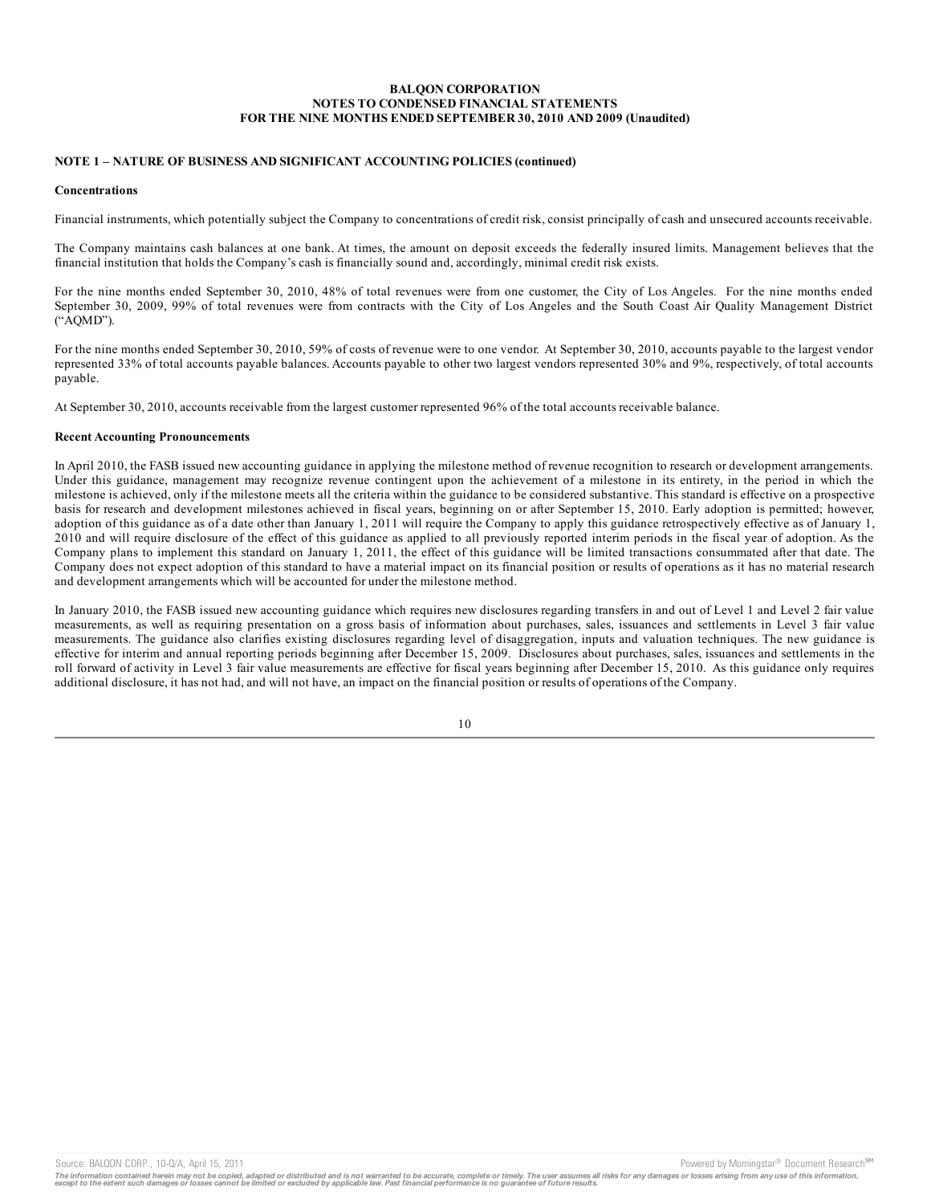## **NOTE 1 – NATURE OF BUSINESS AND SIGNIFICANT ACCOUNTING POLICIES (continued)**

### **Concentrations**

Financial instruments, which potentially subject the Company to concentrations of credit risk, consist principally of cash and unsecured accounts receivable.

The Company maintains cash balances at one bank. At times, the amount on deposit exceeds the federally insured limits. Management believes that the financial institution that holds the Company's cash is financially sound and, accordingly, minimal credit risk exists.

For the nine months ended September 30, 2010, 48% of total revenues were from one customer, the City of Los Angeles. For the nine months ended September 30, 2009, 99% of total revenues were from contracts with the City of Los Angeles and the South Coast Air Quality Management District ("AQMD").

For the nine months ended September 30, 2010, 59% of costs of revenue were to one vendor. At September 30, 2010, accounts payable to the largest vendor represented 33% of total accounts payable balances. Accounts payable to other two largest vendors represented 30% and 9%, respectively, of total accounts payable.

At September 30, 2010, accounts receivable from the largest customer represented 96% of the total accounts receivable balance.

### **Recent Accounting Pronouncements**

In April 2010, the FASB issued new accounting guidance in applying the milestone method of revenue recognition to research or development arrangements. Under this guidance, management may recognize revenue contingent upon the achievement of a milestone in its entirety, in the period in which the milestone is achieved, only if the milestone meets all the criteria within the guidance to be considered substantive. This standard is effective on a prospective basis for research and development milestones achieved in fiscal years, beginning on or after September 15, 2010. Early adoption is permitted; however, adoption of this guidance as of a date other than January 1, 2011 will require the Company to apply this guidance retrospectively effective as of January 1, 2010 and will require disclosure of the effect of this guidance as applied to all previously reported interim periods in the fiscal year of adoption. As the Company plans to implement this standard on January 1, 2011, the effect of this guidance will be limited transactions consummated after that date. The Company does not expect adoption of this standard to have a material impact on its financial position or results of operations as it has no material research and development arrangements which will be accounted for under the milestone method.

In January 2010, the FASB issued new accounting guidance which requires new disclosures regarding transfers in and out of Level 1 and Level 2 fair value measurements, as well as requiring presentation on a gross basis of information about purchases, sales, issuances and settlements in Level 3 fair value measurements. The guidance also clarifies existing disclosures regarding level of disaggregation, inputs and valuation techniques. The new guidance is effective for interim and annual reporting periods beginning after December 15, 2009. Disclosures about purchases, sales, issuances and settlements in the roll forward of activity in Level 3 fair value measurements are effective for fiscal years beginning after December 15, 2010. As this guidance only requires additional disclosure, it has not had, and will not have, an impact on the financial position or results of operations of the Company.



The information contained herein may not be copied, adapted or distributed and is not warranted to be accurate, complete or timely. The user assumes all risks for any damages or losses arising from any use of this informat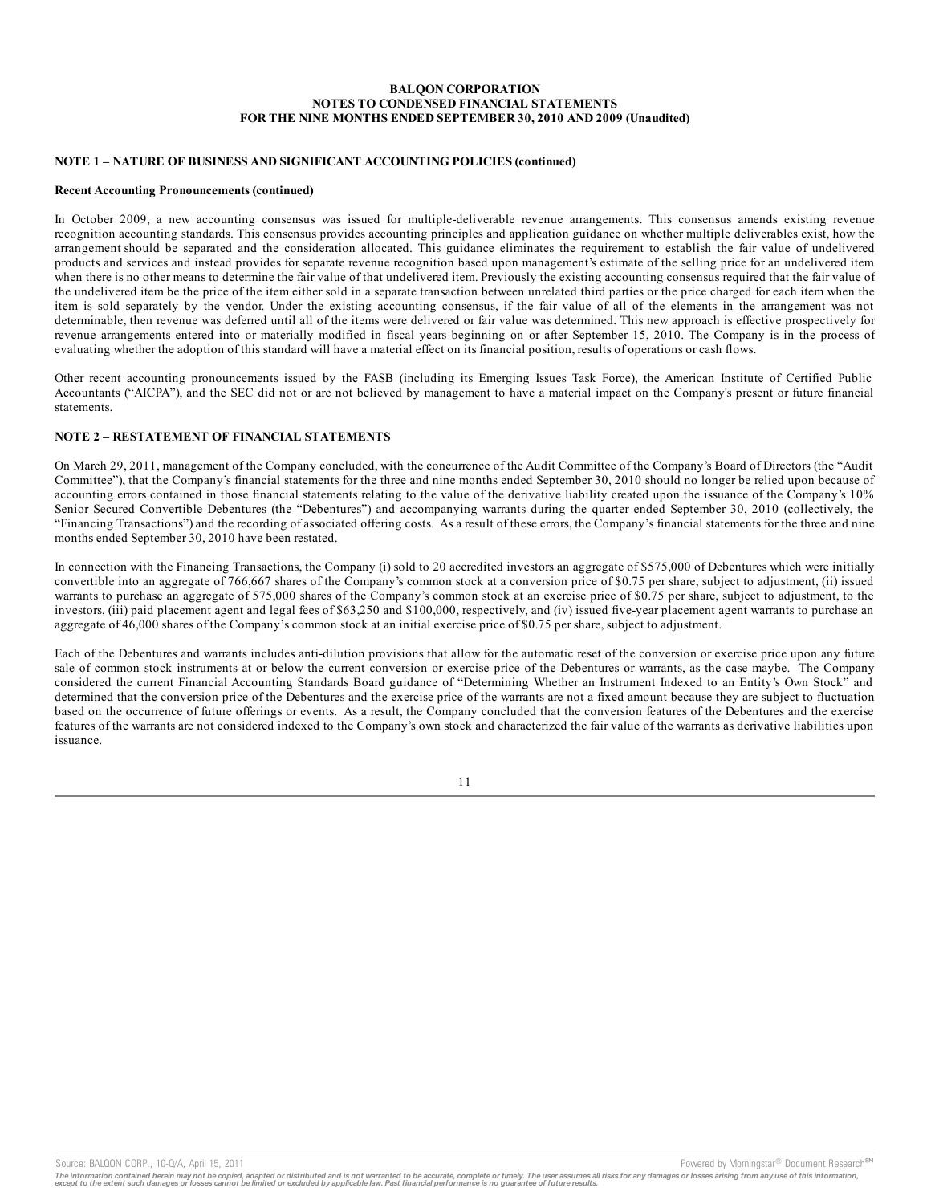# **NOTE 1 – NATURE OF BUSINESS AND SIGNIFICANT ACCOUNTING POLICIES (continued)**

#### **Recent Accounting Pronouncements (continued)**

In October 2009, a new accounting consensus was issued for multiple-deliverable revenue arrangements. This consensus amends existing revenue recognition accounting standards. This consensus provides accounting principles and application guidance on whether multiple deliverables exist, how the arrangement should be separated and the consideration allocated. This guidance eliminates the requirement to establish the fair value of undelivered products and services and instead provides for separate revenue recognition based upon management's estimate of the selling price for an undelivered item when there is no other means to determine the fair value of that undelivered item. Previously the existing accounting consensus required that the fair value of the undelivered item be the price of the item either sold in a separate transaction between unrelated third parties or the price charged for each item when the item is sold separately by the vendor. Under the existing accounting consensus, if the fair value of all of the elements in the arrangement was not determinable, then revenue was deferred until all of the items were delivered or fair value was determined. This new approach is effective prospectively for revenue arrangements entered into or materially modified in fiscal years beginning on or after September 15, 2010. The Company is in the process of evaluating whether the adoption of this standard will have a material effect on its financial position, results of operations or cash flows.

Other recent accounting pronouncements issued by the FASB (including its Emerging Issues Task Force), the American Institute of Certified Public Accountants ("AICPA"), and the SEC did not or are not believed by management to have a material impact on the Company's present or future financial statements.

# **NOTE 2 – RESTATEMENT OF FINANCIAL STATEMENTS**

On March 29, 2011, management of the Company concluded, with the concurrence of the Audit Committee of the Company's Board of Directors (the "Audit Committee"), that the Company's financial statements for the three and nine months ended September 30, 2010 should no longer be relied upon because of accounting errors contained in those financial statements relating to the value of the derivative liability created upon the issuance of the Company's 10% Senior Secured Convertible Debentures (the "Debentures") and accompanying warrants during the quarter ended September 30, 2010 (collectively, the "Financing Transactions") and the recording of associated offering costs. As a result of these errors, the Company's financial statements for the three and nine months ended September 30, 2010 have been restated.

In connection with the Financing Transactions, the Company (i) sold to 20 accredited investors an aggregate of \$575,000 of Debentures which were initially convertible into an aggregate of 766,667 shares of the Company's common stock at a conversion price of \$0.75 per share, subject to adjustment, (ii) issued warrants to purchase an aggregate of 575,000 shares of the Company's common stock at an exercise price of \$0.75 per share, subject to adjustment, to the investors, (iii) paid placement agent and legal fees of \$63,250 and \$100,000, respectively, and (iv) issued five-year placement agent warrants to purchase an aggregate of 46,000 shares of the Company's common stock at an initial exercise price of \$0.75 per share, subject to adjustment.

Each of the Debentures and warrants includes anti-dilution provisions that allow for the automatic reset of the conversion or exercise price upon any future sale of common stock instruments at or below the current conversion or exercise price of the Debentures or warrants, as the case maybe. The Company considered the current Financial Accounting Standards Board guidance of "Determining Whether an Instrument Indexed to an Entity's Own Stock" and determined that the conversion price of the Debentures and the exercise price of the warrants are not a fixed amount because they are subject to fluctuation based on the occurrence of future offerings or events. As a result, the Company concluded that the conversion features of the Debentures and the exercise features of the warrants are not considered indexed to the Company's own stock and characterized the fair value of the warrants as derivative liabilities upon issuance.

Source: BALQON CORP., 10-Q/A, April 15, 2011 **Powered by Morningstar® Document Research** Morningstar® Document Research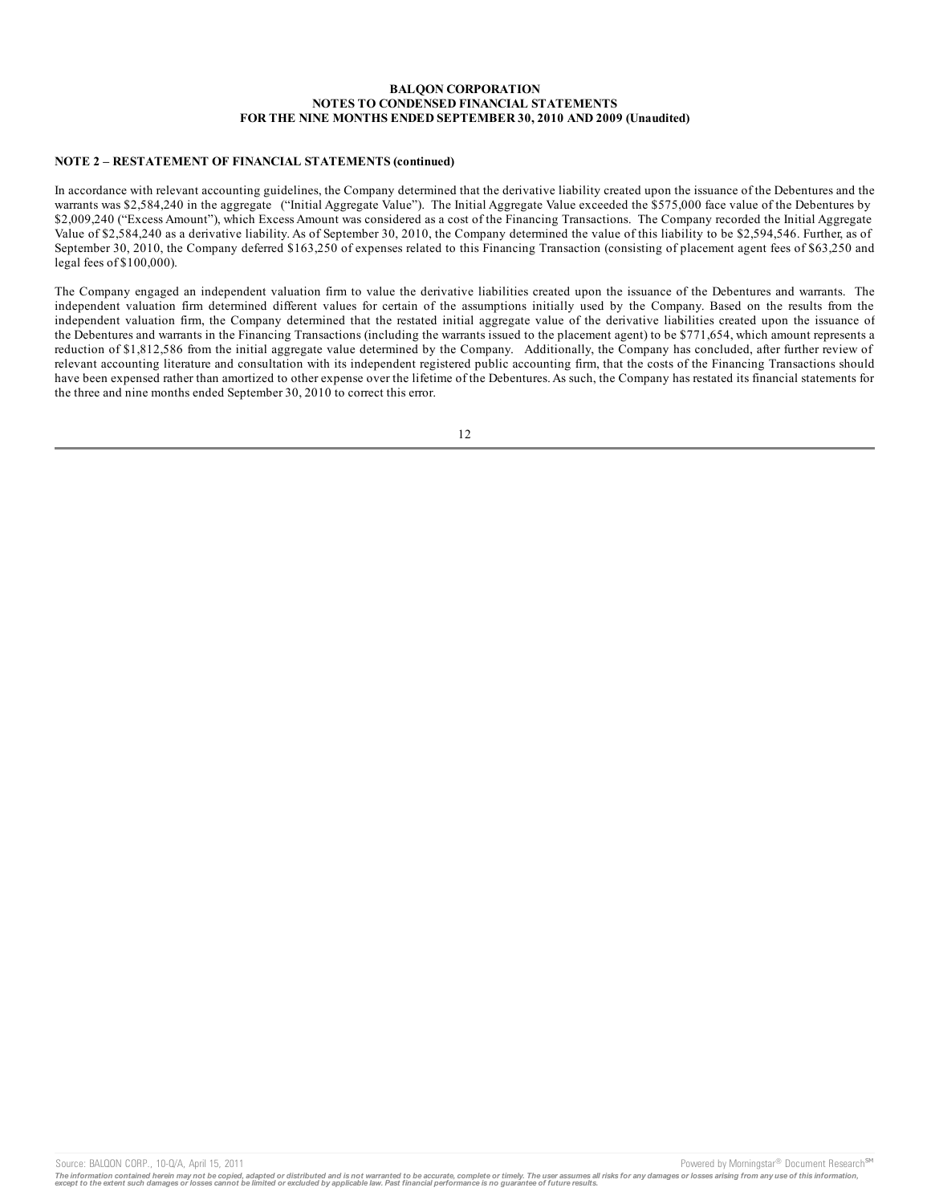# **NOTE 2 – RESTATEMENT OF FINANCIAL STATEMENTS (continued)**

In accordance with relevant accounting guidelines, the Company determined that the derivative liability created upon the issuance of the Debentures and the warrants was \$2,584,240 in the aggregate ("Initial Aggregate Value"). The Initial Aggregate Value exceeded the \$575,000 face value of the Debentures by \$2,009,240 ("Excess Amount"), which Excess Amount was considered as a cost of the Financing Transactions. The Company recorded the Initial Aggregate Value of \$2,584,240 as a derivative liability. As of September 30, 2010, the Company determined the value of this liability to be \$2,594,546. Further, as of September 30, 2010, the Company deferred \$163,250 of expenses related to this Financing Transaction (consisting of placement agent fees of \$63,250 and legal fees of \$100,000).

The Company engaged an independent valuation firm to value the derivative liabilities created upon the issuance of the Debentures and warrants. The independent valuation firm determined different values for certain of the assumptions initially used by the Company. Based on the results from the independent valuation firm, the Company determined that the restated initial aggregate value of the derivative liabilities created upon the issuance of the Debentures and warrants in the Financing Transactions (including the warrants issued to the placement agent) to be \$771,654, which amount represents a reduction of \$1,812,586 from the initial aggregate value determined by the Company. Additionally, the Company has concluded, after further review of relevant accounting literature and consultation with its independent registered public accounting firm, that the costs of the Financing Transactions should have been expensed rather than amortized to other expense over the lifetime of the Debentures. As such, the Company has restated its financial statements for the three and nine months ended September 30, 2010 to correct this error.

12

The information contained herein may not be copied, adapted or distributed and is not warranted to be accurate, complete or timely. The user assumes all risks for any damages or losses arising from any use of this informat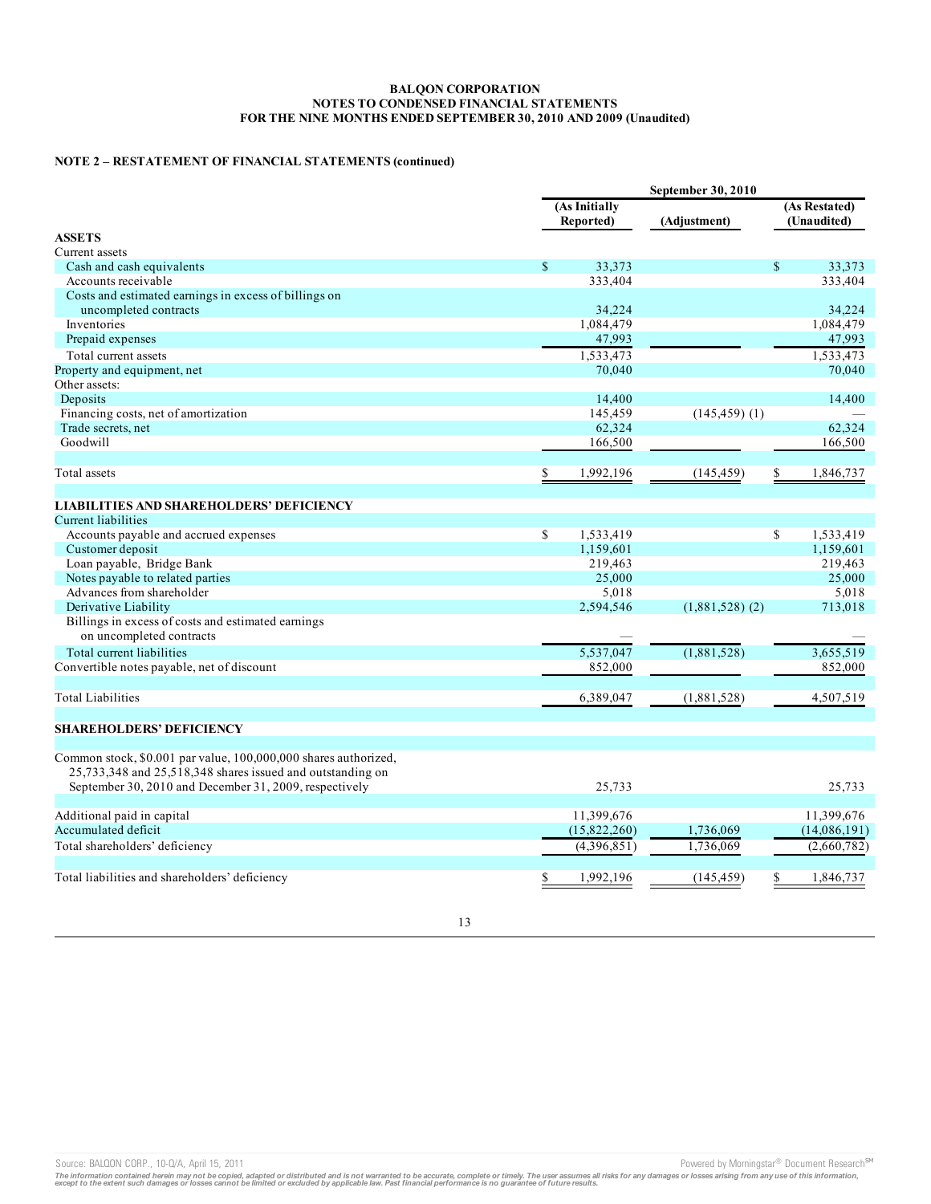# **NOTE 2 – RESTATEMENT OF FINANCIAL STATEMENTS (continued)**

|                                                                                                                      |                         | September 30, 2010 |                        |  |  |  |
|----------------------------------------------------------------------------------------------------------------------|-------------------------|--------------------|------------------------|--|--|--|
|                                                                                                                      | (As Initially           |                    | (As Restated)          |  |  |  |
|                                                                                                                      | Reported)               | (Adjustment)       | (Unaudited)            |  |  |  |
| <b>ASSETS</b>                                                                                                        |                         |                    |                        |  |  |  |
| Current assets                                                                                                       |                         |                    |                        |  |  |  |
| Cash and cash equivalents                                                                                            | $\mathcal{S}$<br>33,373 |                    | $\mathbb{S}$<br>33,373 |  |  |  |
| Accounts receivable                                                                                                  | 333,404                 |                    | 333,404                |  |  |  |
| Costs and estimated earnings in excess of billings on                                                                |                         |                    |                        |  |  |  |
| uncompleted contracts                                                                                                | 34,224                  |                    | 34.224                 |  |  |  |
| Inventories                                                                                                          | 1,084,479               |                    | 1.084.479              |  |  |  |
| Prepaid expenses                                                                                                     | 47,993                  |                    | 47,993                 |  |  |  |
| Total current assets                                                                                                 | 1,533,473               |                    | 1,533,473              |  |  |  |
| Property and equipment, net                                                                                          | 70,040                  |                    | 70,040                 |  |  |  |
| Other assets:                                                                                                        |                         |                    |                        |  |  |  |
| Deposits                                                                                                             | 14,400                  |                    | 14,400                 |  |  |  |
| Financing costs, net of amortization                                                                                 | 145,459                 | $(145, 459)$ (1)   |                        |  |  |  |
| Trade secrets, net                                                                                                   | 62,324                  |                    | 62,324                 |  |  |  |
| Goodwill                                                                                                             | 166,500                 |                    | 166,500                |  |  |  |
| Total assets                                                                                                         | 1,992,196               | (145, 459)         | 1,846,737              |  |  |  |
| <b>LIABILITIES AND SHAREHOLDERS' DEFICIENCY</b>                                                                      |                         |                    |                        |  |  |  |
| Current liabilities                                                                                                  |                         |                    |                        |  |  |  |
| Accounts payable and accrued expenses                                                                                | \$<br>1,533,419         |                    | \$<br>1,533,419        |  |  |  |
| Customer deposit                                                                                                     | 1,159,601               |                    | 1,159,601              |  |  |  |
| Loan payable, Bridge Bank                                                                                            | 219,463                 |                    | 219,463                |  |  |  |
| Notes payable to related parties                                                                                     | 25,000                  |                    | 25,000                 |  |  |  |
| Advances from shareholder                                                                                            | 5,018                   |                    | 5,018                  |  |  |  |
| Derivative Liability                                                                                                 | 2,594,546               | $(1,881,528)$ (2)  | 713,018                |  |  |  |
| Billings in excess of costs and estimated earnings                                                                   |                         |                    |                        |  |  |  |
| on uncompleted contracts                                                                                             |                         |                    |                        |  |  |  |
| Total current liabilities                                                                                            | 5,537,047               | (1,881,528)        | 3,655,519              |  |  |  |
| Convertible notes payable, net of discount                                                                           | 852,000                 |                    | 852,000                |  |  |  |
|                                                                                                                      |                         |                    |                        |  |  |  |
| <b>Total Liabilities</b>                                                                                             | 6,389,047               | (1,881,528)        | 4,507,519              |  |  |  |
| <b>SHAREHOLDERS' DEFICIENCY</b>                                                                                      |                         |                    |                        |  |  |  |
|                                                                                                                      |                         |                    |                        |  |  |  |
| Common stock, \$0.001 par value, 100,000,000 shares authorized,                                                      |                         |                    |                        |  |  |  |
| 25,733,348 and 25,518,348 shares issued and outstanding on<br>September 30, 2010 and December 31, 2009, respectively | 25,733                  |                    | 25,733                 |  |  |  |
| Additional paid in capital                                                                                           | 11,399,676              |                    | 11,399,676             |  |  |  |
| Accumulated deficit                                                                                                  | (15,822,260)            | 1,736,069          | (14,086,191)           |  |  |  |
| Total shareholders' deficiency                                                                                       | (4,396,851)             | 1,736,069          | (2,660,782)            |  |  |  |
| Total liabilities and shareholders' deficiency                                                                       | 1,992,196               | (145, 459)         | 1,846,737              |  |  |  |
|                                                                                                                      |                         |                    |                        |  |  |  |



Source: BALQON CORP., 10-Q/A, April 15, 2011 **Powered by Morningstar®** Document Research SM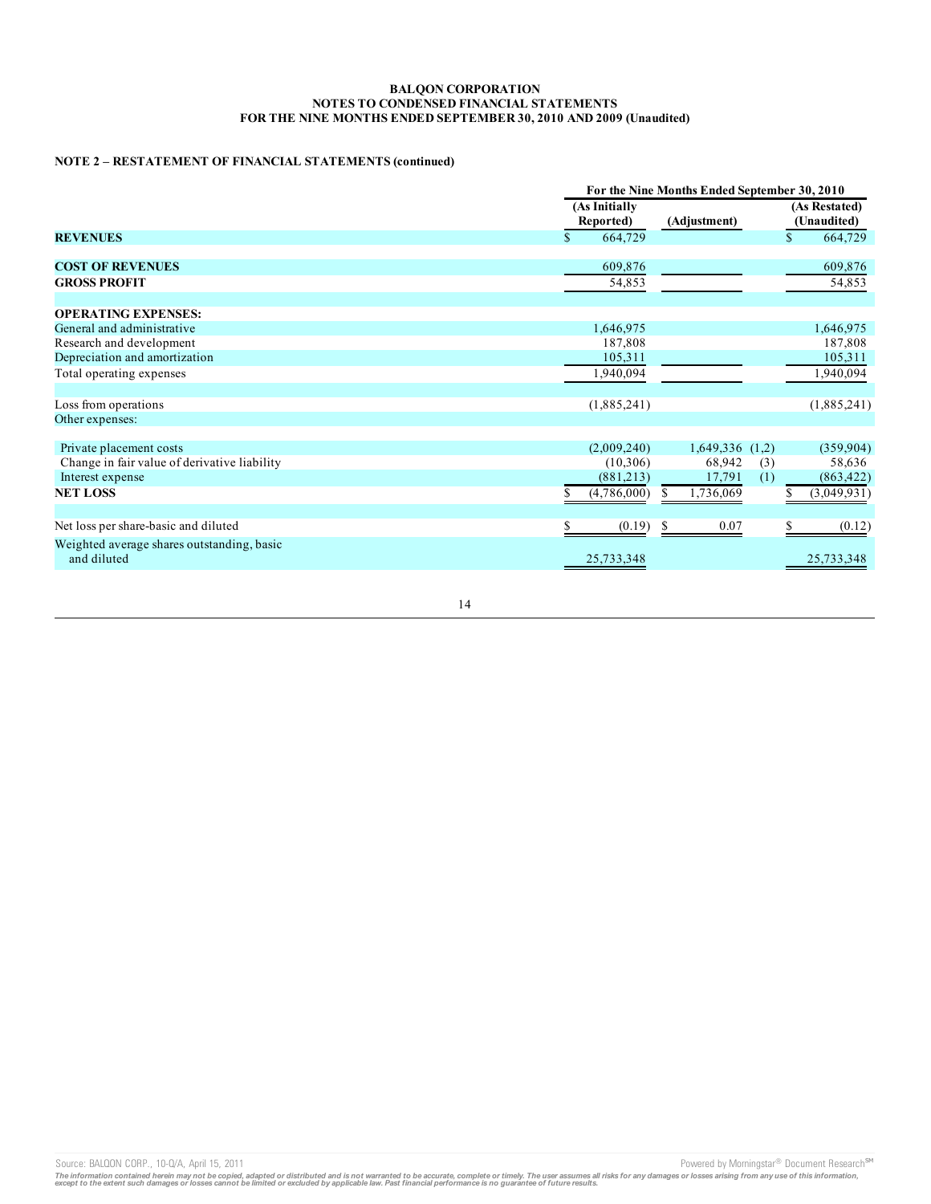# **NOTE 2 – RESTATEMENT OF FINANCIAL STATEMENTS (continued)**

|                                              |                            | For the Nine Months Ended September 30, 2010 |       |                              |  |  |  |  |
|----------------------------------------------|----------------------------|----------------------------------------------|-------|------------------------------|--|--|--|--|
|                                              | (As Initially<br>Reported) | (Adjustment)                                 |       | (As Restated)<br>(Unaudited) |  |  |  |  |
| <b>REVENUES</b>                              | 664,729                    |                                              |       | 664,729<br>\$                |  |  |  |  |
| <b>COST OF REVENUES</b>                      | 609,876                    |                                              |       | 609,876                      |  |  |  |  |
| <b>GROSS PROFIT</b>                          | 54,853                     |                                              |       | 54,853                       |  |  |  |  |
| <b>OPERATING EXPENSES:</b>                   |                            |                                              |       |                              |  |  |  |  |
| General and administrative                   | 1,646,975                  |                                              |       | 1,646,975                    |  |  |  |  |
| Research and development                     | 187,808                    |                                              |       | 187,808                      |  |  |  |  |
| Depreciation and amortization                | 105,311                    |                                              |       | 105,311                      |  |  |  |  |
| Total operating expenses                     | 1,940,094                  |                                              |       | 1,940,094                    |  |  |  |  |
| Loss from operations                         | (1,885,241)                |                                              |       | (1,885,241)                  |  |  |  |  |
| Other expenses:                              |                            |                                              |       |                              |  |  |  |  |
| Private placement costs                      | (2,009,240)                | 1,649,336                                    | (1,2) | (359, 904)                   |  |  |  |  |
| Change in fair value of derivative liability | (10,306)                   | 68,942                                       | (3)   | 58,636                       |  |  |  |  |
| Interest expense                             | (881,213)                  | 17,791                                       | (1)   | (863, 422)                   |  |  |  |  |
| <b>NET LOSS</b>                              | (4,786,000)                | 1,736,069<br>\$.                             |       | (3,049,931)<br>S             |  |  |  |  |
| Net loss per share-basic and diluted         | (0.19)                     | 0.07<br>S                                    |       | S.<br>(0.12)                 |  |  |  |  |
| Weighted average shares outstanding, basic   |                            |                                              |       |                              |  |  |  |  |
| and diluted                                  | 25,733,348                 |                                              |       | 25,733,348                   |  |  |  |  |

14

Source: BALQON CORP., 10-Q/A, April 15, 2011 **Powered by Morningstar®** Document Research SM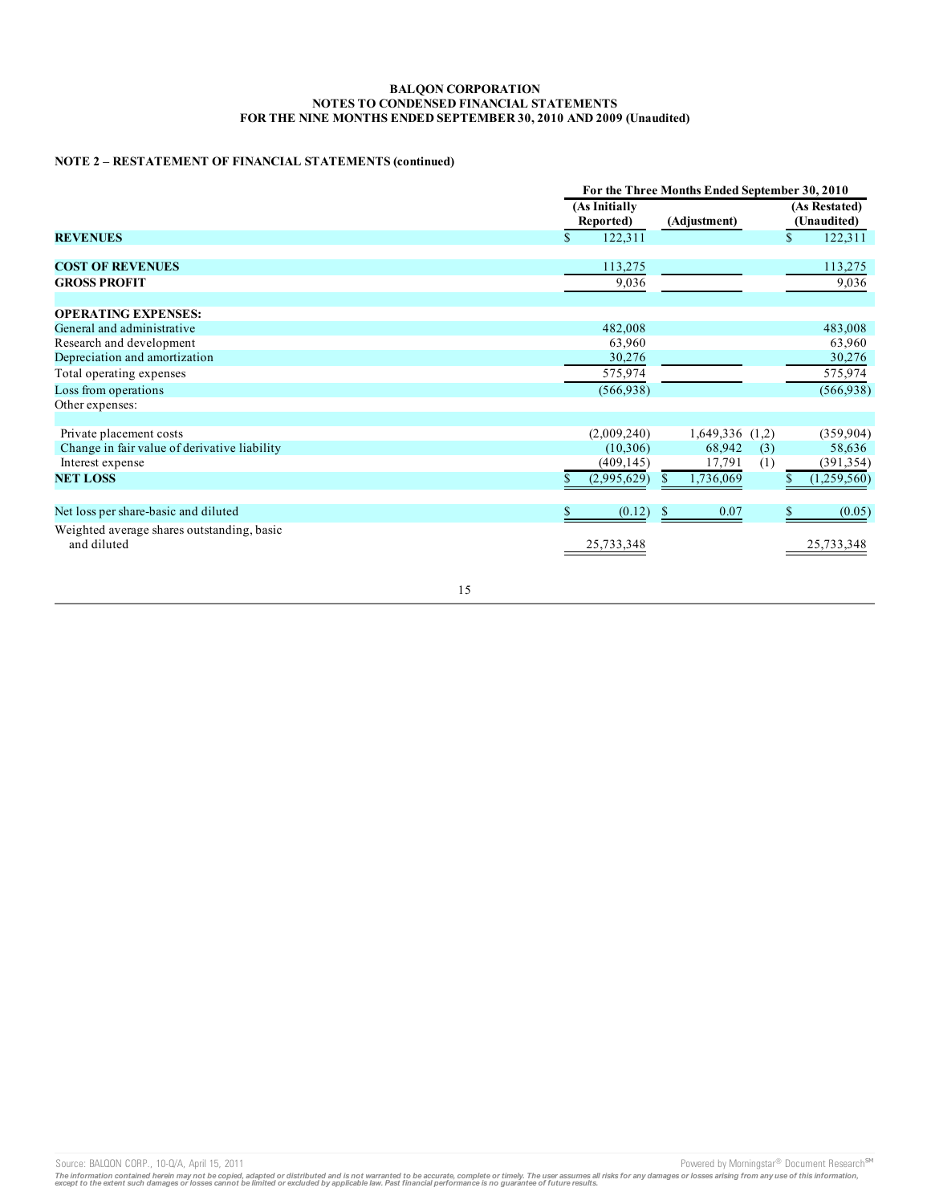# **NOTE 2 – RESTATEMENT OF FINANCIAL STATEMENTS (continued)**

|                                                           |               | For the Three Months Ended September 30, 2010 |       |             |  |  |  |  |
|-----------------------------------------------------------|---------------|-----------------------------------------------|-------|-------------|--|--|--|--|
|                                                           | (As Initially | Reported)<br>(Adjustment)                     |       |             |  |  |  |  |
|                                                           |               |                                               |       | (Unaudited) |  |  |  |  |
| <b>REVENUES</b>                                           | 122,311<br>S. |                                               | \$    | 122,311     |  |  |  |  |
| <b>COST OF REVENUES</b>                                   | 113,275       |                                               |       | 113,275     |  |  |  |  |
| <b>GROSS PROFIT</b>                                       | 9,036         |                                               |       | 9,036       |  |  |  |  |
| <b>OPERATING EXPENSES:</b>                                |               |                                               |       |             |  |  |  |  |
| General and administrative                                | 482,008       |                                               |       | 483,008     |  |  |  |  |
| Research and development                                  | 63,960        |                                               |       | 63,960      |  |  |  |  |
| Depreciation and amortization                             | 30,276        |                                               |       | 30,276      |  |  |  |  |
| Total operating expenses                                  | 575,974       |                                               |       | 575,974     |  |  |  |  |
| Loss from operations                                      | (566, 938)    |                                               |       | (566, 938)  |  |  |  |  |
| Other expenses:                                           |               |                                               |       |             |  |  |  |  |
|                                                           |               |                                               |       |             |  |  |  |  |
| Private placement costs                                   | (2,009,240)   | 1,649,336                                     | (1,2) | (359,904)   |  |  |  |  |
| Change in fair value of derivative liability              | (10,306)      | 68,942                                        | (3)   | 58,636      |  |  |  |  |
| Interest expense                                          | (409, 145)    | 17,791                                        | (1)   | (391, 354)  |  |  |  |  |
| <b>NET LOSS</b>                                           | (2,995,629)   | 1,736,069                                     |       | (1,259,560) |  |  |  |  |
| Net loss per share-basic and diluted                      | (0.12)        | 0.07                                          |       | (0.05)      |  |  |  |  |
| Weighted average shares outstanding, basic<br>and diluted | 25,733,348    |                                               |       | 25,733,348  |  |  |  |  |

15

Source: BALQON CORP., 10-Q/A, April 15, 2011 **Powered by Morningstar®** Document Research SM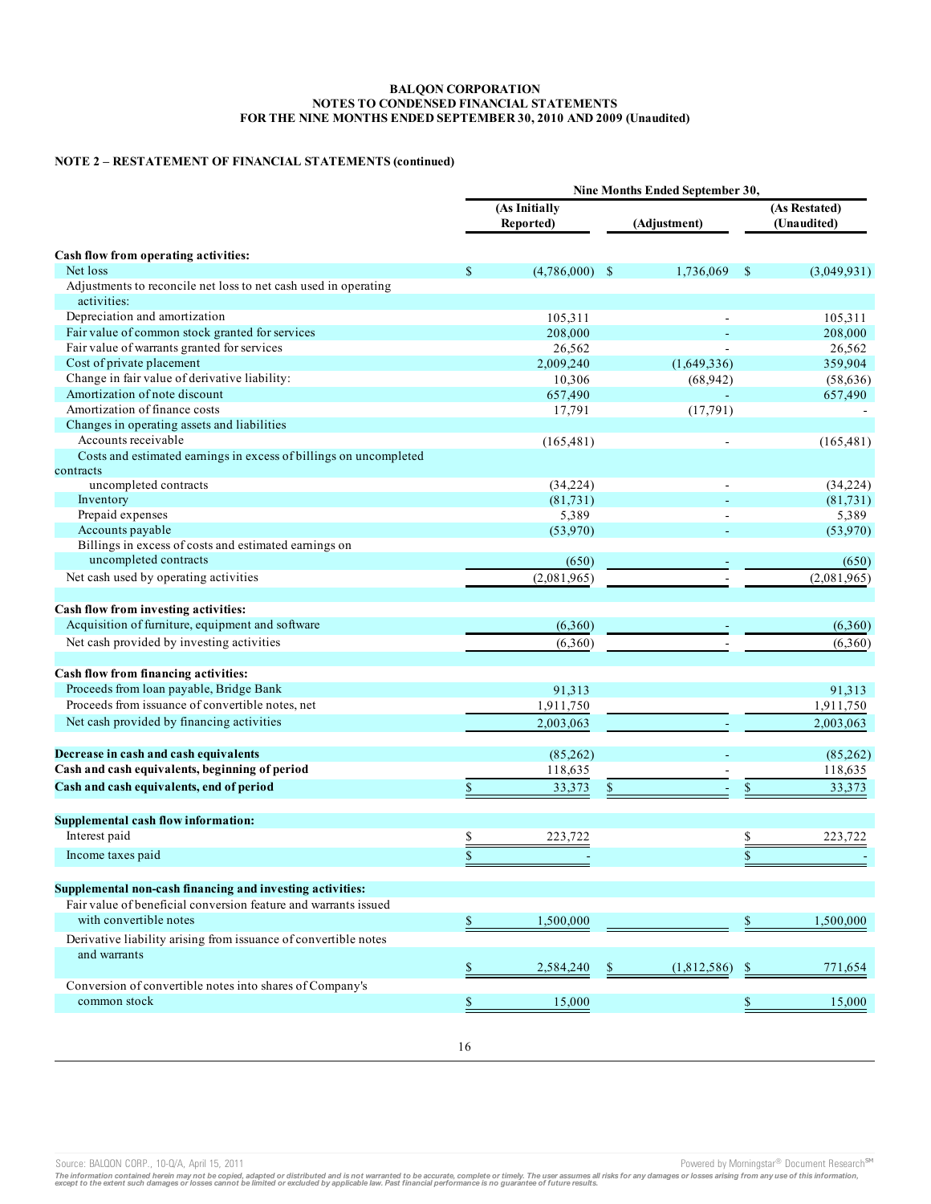# **NOTE 2 – RESTATEMENT OF FINANCIAL STATEMENTS (continued)**

|                                                                   |    |                            | Nine Months Ended September 30, |               |                              |  |  |  |
|-------------------------------------------------------------------|----|----------------------------|---------------------------------|---------------|------------------------------|--|--|--|
|                                                                   |    | (As Initially<br>Reported) | (Adjustment)                    |               | (As Restated)<br>(Unaudited) |  |  |  |
| Cash flow from operating activities:                              |    |                            |                                 |               |                              |  |  |  |
| Net loss                                                          | \$ | $(4,786,000)$ \$           | 1,736,069                       | \$            | (3,049,931)                  |  |  |  |
| Adjustments to reconcile net loss to net cash used in operating   |    |                            |                                 |               |                              |  |  |  |
| activities:                                                       |    |                            |                                 |               |                              |  |  |  |
| Depreciation and amortization                                     |    | 105,311                    |                                 |               | 105,311                      |  |  |  |
| Fair value of common stock granted for services                   |    | 208,000                    |                                 |               | 208,000                      |  |  |  |
| Fair value of warrants granted for services                       |    | 26,562                     |                                 |               | 26,562                       |  |  |  |
| Cost of private placement                                         |    | 2,009,240                  | (1,649,336)                     |               | 359,904                      |  |  |  |
| Change in fair value of derivative liability:                     |    | 10,306                     | (68, 942)                       |               | (58, 636)                    |  |  |  |
| Amortization of note discount                                     |    | 657,490                    |                                 |               | 657,490                      |  |  |  |
| Amortization of finance costs                                     |    | 17,791                     | (17,791)                        |               |                              |  |  |  |
| Changes in operating assets and liabilities                       |    |                            |                                 |               |                              |  |  |  |
| Accounts receivable                                               |    | (165, 481)                 |                                 |               | (165, 481)                   |  |  |  |
| Costs and estimated earnings in excess of billings on uncompleted |    |                            |                                 |               |                              |  |  |  |
| contracts<br>uncompleted contracts                                |    | (34, 224)                  |                                 |               | (34, 224)                    |  |  |  |
| Inventory                                                         |    | (81, 731)                  |                                 |               | (81, 731)                    |  |  |  |
| Prepaid expenses                                                  |    | 5,389                      |                                 |               | 5,389                        |  |  |  |
| Accounts payable                                                  |    | (53,970)                   |                                 |               | (53,970)                     |  |  |  |
| Billings in excess of costs and estimated earnings on             |    |                            |                                 |               |                              |  |  |  |
| uncompleted contracts                                             |    | (650)                      |                                 |               | (650)                        |  |  |  |
| Net cash used by operating activities                             |    | (2,081,965)                |                                 |               | (2,081,965)                  |  |  |  |
|                                                                   |    |                            |                                 |               |                              |  |  |  |
| Cash flow from investing activities:                              |    |                            |                                 |               |                              |  |  |  |
| Acquisition of furniture, equipment and software                  |    | (6,360)                    |                                 |               | (6,360)                      |  |  |  |
| Net cash provided by investing activities                         |    | (6,360)                    |                                 |               | (6,360)                      |  |  |  |
| Cash flow from financing activities:                              |    |                            |                                 |               |                              |  |  |  |
| Proceeds from loan payable, Bridge Bank                           |    | 91,313                     |                                 |               | 91,313                       |  |  |  |
| Proceeds from issuance of convertible notes, net                  |    | 1,911,750                  |                                 |               | 1,911,750                    |  |  |  |
| Net cash provided by financing activities                         |    | 2,003,063                  |                                 |               | 2,003,063                    |  |  |  |
|                                                                   |    |                            |                                 |               |                              |  |  |  |
| Decrease in cash and cash equivalents                             |    | (85,262)                   |                                 |               | (85,262)                     |  |  |  |
| Cash and cash equivalents, beginning of period                    |    | 118,635                    |                                 |               | 118,635                      |  |  |  |
| Cash and cash equivalents, end of period                          |    | 33,373                     | \$                              | \$            | 33,373                       |  |  |  |
| Supplemental cash flow information:                               |    |                            |                                 |               |                              |  |  |  |
| Interest paid                                                     | \$ | 223,722                    |                                 |               | 223,722                      |  |  |  |
|                                                                   |    |                            |                                 | $\frac{1}{2}$ |                              |  |  |  |
| Income taxes paid                                                 | \$ |                            |                                 | $\mathbf S$   |                              |  |  |  |
| Supplemental non-cash financing and investing activities:         |    |                            |                                 |               |                              |  |  |  |
| Fair value of beneficial conversion feature and warrants issued   |    |                            |                                 |               |                              |  |  |  |
| with convertible notes                                            | \$ | 1,500,000                  |                                 | \$            | 1,500,000                    |  |  |  |
| Derivative liability arising from issuance of convertible notes   |    |                            |                                 |               |                              |  |  |  |
| and warrants                                                      |    |                            |                                 |               |                              |  |  |  |
|                                                                   | \$ | 2,584,240                  | \$<br>(1,812,586)               | \$            | 771,654                      |  |  |  |
| Conversion of convertible notes into shares of Company's          |    |                            |                                 |               |                              |  |  |  |
| common stock                                                      | S  | 15,000                     |                                 |               | 15,000                       |  |  |  |
|                                                                   |    |                            |                                 |               |                              |  |  |  |
|                                                                   | 16 |                            |                                 |               |                              |  |  |  |

Source: BALQON CORP., 10-Q/A, April 15, 2011 **Powered by Morningstar®** Document Research SM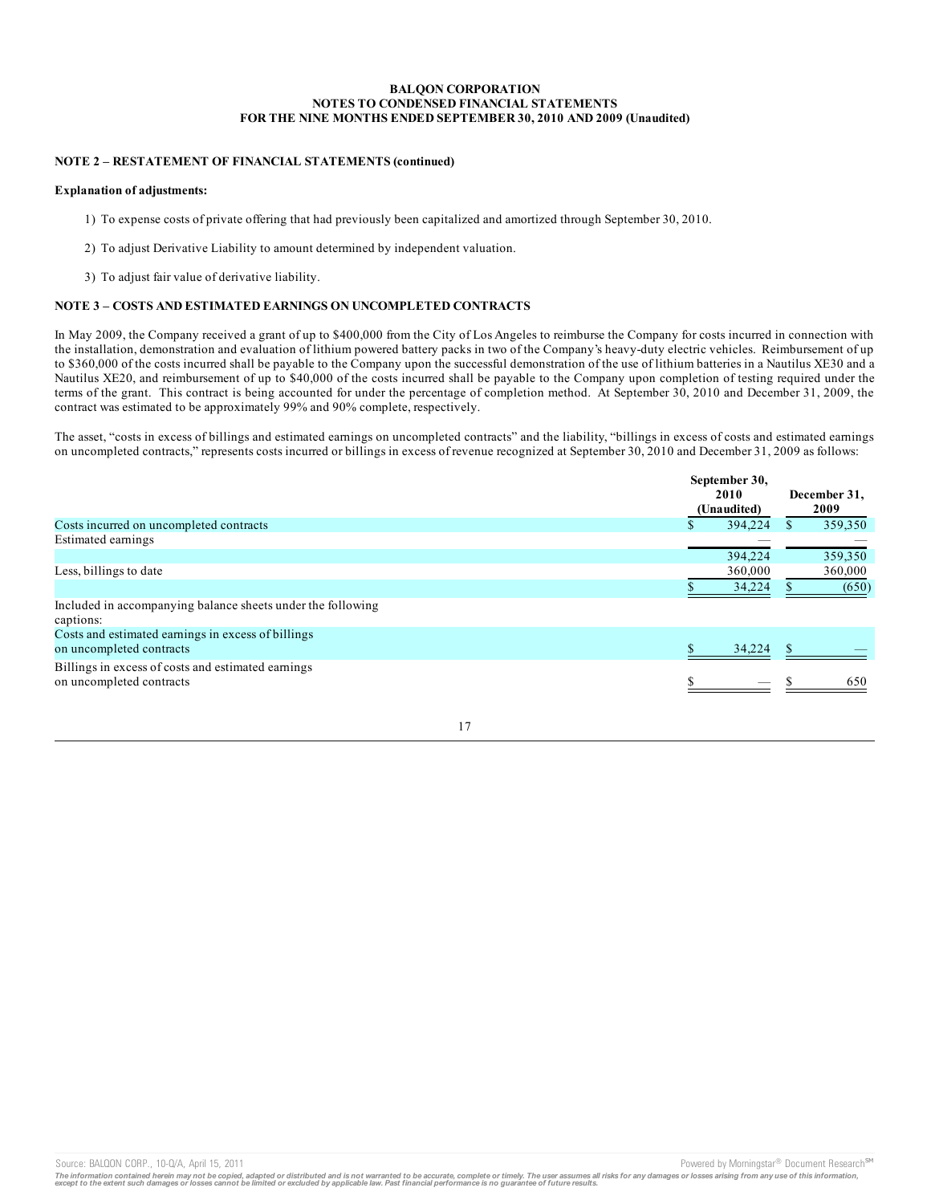# **NOTE 2 – RESTATEMENT OF FINANCIAL STATEMENTS (continued)**

### **Explanation of adjustments:**

- 1) To expense costs of private offering that had previously been capitalized and amortized through September 30, 2010.
- 2) To adjust Derivative Liability to amount determined by independent valuation.
- 3) To adjust fair value of derivative liability.

## **NOTE 3 – COSTS AND ESTIMATED EARNINGS ON UNCOMPLETED CONTRACTS**

In May 2009, the Company received a grant of up to \$400,000 from the City of Los Angeles to reimburse the Company for costs incurred in connection with the installation, demonstration and evaluation of lithium powered battery packs in two of the Company's heavy-duty electric vehicles. Reimbursement of up to \$360,000 of the costs incurred shall be payable to the Company upon the successful demonstration of the use of lithium batteries in a Nautilus XE30 and a Nautilus XE20, and reimbursement of up to \$40,000 of the costs incurred shall be payable to the Company upon completion of testing required under the terms of the grant. This contract is being accounted for under the percentage of completion method. At September 30, 2010 and December 31, 2009, the contract was estimated to be approximately 99% and 90% complete, respectively.

The asset, "costs in excess of billings and estimated earnings on uncompleted contracts" and the liability, "billings in excess of costs and estimated earnings on uncompleted contracts," represents costs incurred or billings in excess of revenue recognized at September 30, 2010 and December 31, 2009 as follows:

|                                                                                | September 30,<br>2010<br>(Unaudited) | December 31,<br>2009 |
|--------------------------------------------------------------------------------|--------------------------------------|----------------------|
| Costs incurred on uncompleted contracts                                        | 394,224                              | 359,350              |
| Estimated earnings                                                             | 394,224                              | 359,350              |
| Less, billings to date                                                         | 360,000                              | 360,000              |
|                                                                                | 34,224                               | (650)                |
| Included in accompanying balance sheets under the following<br>captions:       |                                      |                      |
| Costs and estimated earnings in excess of billings<br>on uncompleted contracts | 34.224                               |                      |
| Billings in excess of costs and estimated earnings<br>on uncompleted contracts |                                      | 650                  |



The information contained herein may not be copied, adapted or distributed and is not warranted to be accurate, complete or timely. The user assumes all risks for any damages or losses arising from any use of this informat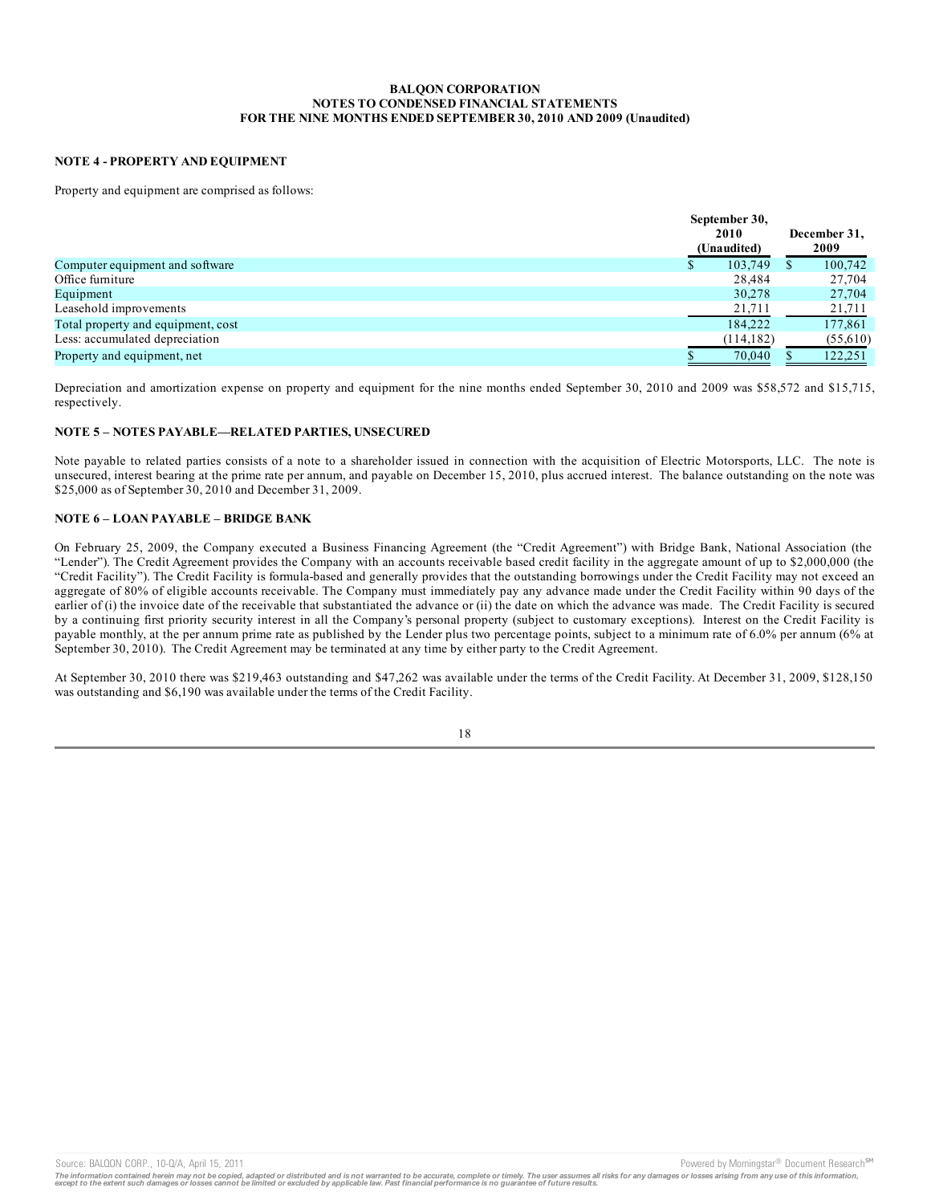# **NOTE 4 - PROPERTY AND EQUIPMENT**

Property and equipment are comprised as follows:

|                                    | September 30, |  |              |  |
|------------------------------------|---------------|--|--------------|--|
|                                    | 2010          |  | December 31, |  |
|                                    | (Unaudited)   |  | 2009         |  |
| Computer equipment and software    | 103.749       |  | 100.742      |  |
| Office furniture                   | 28,484        |  | 27,704       |  |
| Equipment                          | 30,278        |  | 27,704       |  |
| Leasehold improvements             | 21,711        |  | 21,711       |  |
| Total property and equipment, cost | 184,222       |  | 177,861      |  |
| Less: accumulated depreciation     | (114, 182)    |  | (55,610)     |  |
| Property and equipment, net        | 70,040        |  | 122.251      |  |

Depreciation and amortization expense on property and equipment for the nine months ended September 30, 2010 and 2009 was \$58,572 and \$15,715, respectively.

# **NOTE 5 – NOTES PAYABLE—RELATED PARTIES, UNSECURED**

Note payable to related parties consists of a note to a shareholder issued in connection with the acquisition of Electric Motorsports, LLC. The note is unsecured, interest bearing at the prime rate per annum, and payable on December 15, 2010, plus accrued interest. The balance outstanding on the note was \$25,000 as of September 30, 2010 and December 31, 2009.

# **NOTE 6 – LOAN PAYABLE – BRIDGE BANK**

On February 25, 2009, the Company executed a Business Financing Agreement (the "Credit Agreement") with Bridge Bank, National Association (the "Lender"). The Credit Agreement provides the Company with an accounts receivable based credit facility in the aggregate amount of up to \$2,000,000 (the "Credit Facility"). The Credit Facility is formula-based and generally provides that the outstanding borrowings under the Credit Facility may not exceed an aggregate of 80% of eligible accounts receivable. The Company must immediately pay any advance made under the Credit Facility within 90 days of the earlier of (i) the invoice date of the receivable that substantiated the advance or (ii) the date on which the advance was made. The Credit Facility is secured by a continuing first priority security interest in all the Company's personal property (subject to customary exceptions). Interest on the Credit Facility is payable monthly, at the per annum prime rate as published by the Lender plus two percentage points, subject to a minimum rate of 6.0% per annum (6% at September 30, 2010). The Credit Agreement may be terminated at any time by either party to the Credit Agreement.

At September 30, 2010 there was \$219,463 outstanding and \$47,262 was available under the terms of the Credit Facility. At December 31, 2009, \$128,150 was outstanding and \$6,190 was available under the terms of the Credit Facility.

Source: BALQON CORP., 10-Q/A, April 15, 2011 **Powered by Morningstar<sup>®</sup> Document Research<sup>™</sup>** 

The information contained herein may not be copied, adapted or distributed and is not warranted to be accurate, complete or timely. The user assumes all risks for any damages or losses arising from any use of this informat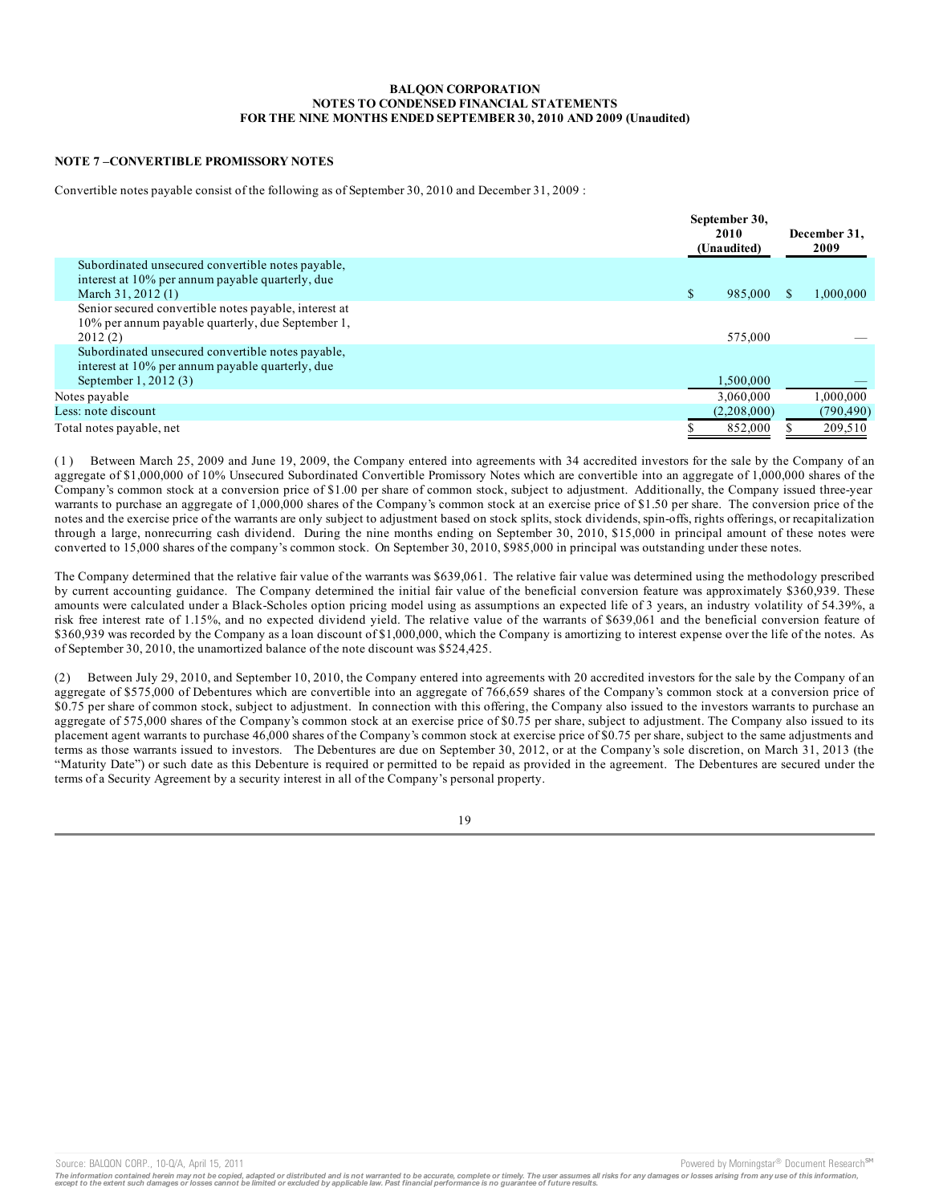# **NOTE 7 –CONVERTIBLE PROMISSORY NOTES**

Convertible notes payable consist of the following as of September 30, 2010 and December 31, 2009 :

|                                                       |     | September 30,<br>2010<br>(Unaudited) | December 31.<br>2009 |
|-------------------------------------------------------|-----|--------------------------------------|----------------------|
| Subordinated unsecured convertible notes payable,     |     |                                      |                      |
| interest at 10% per annum payable quarterly, due      |     |                                      |                      |
| March 31, 2012 (1)                                    | \$. | 985,000                              | 000,000.1            |
| Senior secured convertible notes payable, interest at |     |                                      |                      |
| 10% per annum payable quarterly, due September 1,     |     |                                      |                      |
| 2012(2)                                               |     | 575,000                              |                      |
| Subordinated unsecured convertible notes payable,     |     |                                      |                      |
| interest at 10% per annum payable quarterly, due      |     |                                      |                      |
| September 1, 2012 (3)                                 |     | 1,500,000                            |                      |
| Notes payable                                         |     | 3.060.000                            | 000.000.1            |
| Less: note discount                                   |     | (2,208,000)                          | (790, 490)           |
| Total notes payable, net                              |     | 852,000                              | 209,510              |

Between March 25, 2009 and June 19, 2009, the Company entered into agreements with 34 accredited investors for the sale by the Company of an aggregate of \$1,000,000 of 10% Unsecured Subordinated Convertible Promissory Notes which are convertible into an aggregate of 1,000,000 shares of the Company's common stock at a conversion price of \$1.00 per share of common stock, subject to adjustment. Additionally, the Company issued three-year warrants to purchase an aggregate of 1,000,000 shares of the Company's common stock at an exercise price of \$1.50 per share. The conversion price of the notes and the exercise price of the warrants are only subject to adjustment based on stock splits, stock dividends, spin-offs, rights offerings, or recapitalization through a large, nonrecurring cash dividend. During the nine months ending on September 30, 2010, \$15,000 in principal amount of these notes were converted to 15,000 shares of the company's common stock. On September 30, 2010, \$985,000 in principal was outstanding under these notes.

The Company determined that the relative fair value of the warrants was \$639,061. The relative fair value was determined using the methodology prescribed by current accounting guidance. The Company determined the initial fair value of the beneficial conversion feature was approximately \$360,939. These amounts were calculated under a Black-Scholes option pricing model using as assumptions an expected life of 3 years, an industry volatility of 54.39%, a risk free interest rate of 1.15%, and no expected dividend yield. The relative value of the warrants of \$639,061 and the beneficial conversion feature of \$360,939 was recorded by the Company as a loan discount of \$1,000,000, which the Company is amortizing to interest expense over the life of the notes. As of September 30, 2010, the unamortized balance of the note discount was \$524,425.

(2) Between July 29, 2010, and September 10, 2010, the Company entered into agreements with 20 accredited investors for the sale by the Company of an aggregate of \$575,000 of Debentures which are convertible into an aggregate of 766,659 shares of the Company's common stock at a conversion price of \$0.75 per share of common stock, subject to adjustment. In connection with this offering, the Company also issued to the investors warrants to purchase an aggregate of 575,000 shares of the Company's common stock at an exercise price of \$0.75 per share, subject to adjustment. The Company also issued to its placement agent warrants to purchase 46,000 shares of the Company's common stock at exercise price of \$0.75 per share, subject to the same adjustments and terms as those warrants issued to investors. The Debentures are due on September 30, 2012, or at the Company's sole discretion, on March 31, 2013 (the "Maturity Date") or such date as this Debenture is required or permitted to be repaid as provided in the agreement. The Debentures are secured under the terms of a Security Agreement by a security interest in all of the Company's personal property.

19

Source: BALQON CORP., 10-Q/A, April 15, 2011 Powered by Morningstar® Document Research Morningstar® Document Research Morningstar® Document Research Morningstar® Document Research Morningstar 2011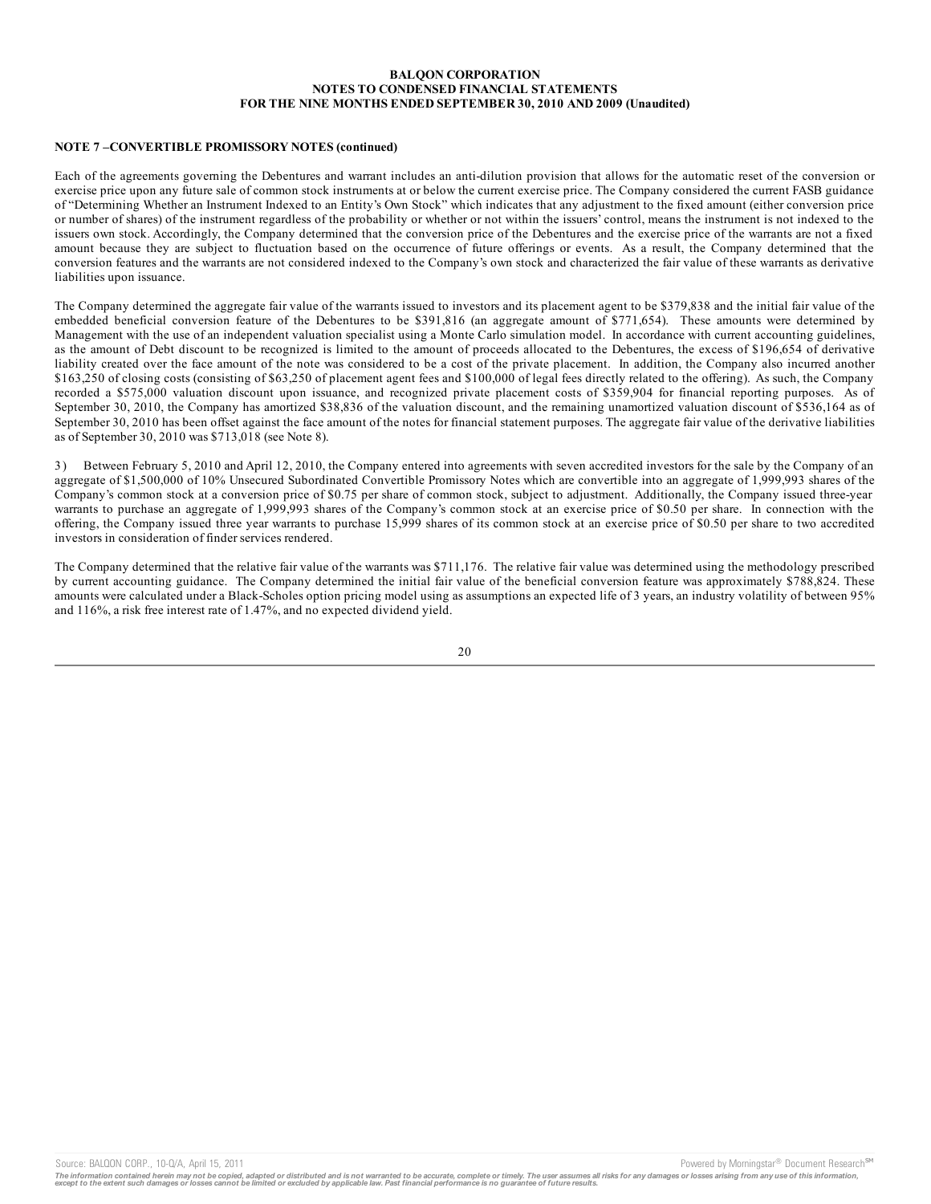# **NOTE 7 –CONVERTIBLE PROMISSORY NOTES (continued)**

Each of the agreements governing the Debentures and warrant includes an anti-dilution provision that allows for the automatic reset of the conversion or exercise price upon any future sale of common stock instruments at or below the current exercise price. The Company considered the current FASB guidance of "Determining Whether an Instrument Indexed to an Entity's Own Stock" which indicates that any adjustment to the fixed amount (either conversion price or number of shares) of the instrument regardless of the probability or whether or not within the issuers' control, means the instrument is not indexed to the issuers own stock. Accordingly, the Company determined that the conversion price of the Debentures and the exercise price of the warrants are not a fixed amount because they are subject to fluctuation based on the occurrence of future offerings or events. As a result, the Company determined that the conversion features and the warrants are not considered indexed to the Company's own stock and characterized the fair value of these warrants as derivative liabilities upon issuance.

The Company determined the aggregate fair value of the warrants issued to investors and its placement agent to be \$379,838 and the initial fair value of the embedded beneficial conversion feature of the Debentures to be \$391,816 (an aggregate amount of \$771,654). These amounts were determined by Management with the use of an independent valuation specialist using a Monte Carlo simulation model. In accordance with current accounting guidelines, as the amount of Debt discount to be recognized is limited to the amount of proceeds allocated to the Debentures, the excess of \$196,654 of derivative liability created over the face amount of the note was considered to be a cost of the private placement. In addition, the Company also incurred another \$163,250 of closing costs (consisting of \$63,250 of placement agent fees and \$100,000 of legal fees directly related to the offering). As such, the Company recorded a \$575,000 valuation discount upon issuance, and recognized private placement costs of \$359,904 for financial reporting purposes. As of September 30, 2010, the Company has amortized \$38,836 of the valuation discount, and the remaining unamortized valuation discount of \$536,164 as of September 30, 2010 has been offset against the face amount of the notes for financial statement purposes. The aggregate fair value of the derivative liabilities as of September 30, 2010 was \$713,018 (see Note 8).

3) Between February 5, 2010 and April 12, 2010, the Company entered into agreements with seven accredited investors for the sale by the Company of an aggregate of \$1,500,000 of 10% Unsecured Subordinated Convertible Promissory Notes which are convertible into an aggregate of 1,999,993 shares of the Company's common stock at a conversion price of \$0.75 per share of common stock, subject to adjustment. Additionally, the Company issued three-year warrants to purchase an aggregate of 1,999,993 shares of the Company's common stock at an exercise price of \$0.50 per share. In connection with the offering, the Company issued three year warrants to purchase 15,999 shares of its common stock at an exercise price of \$0.50 per share to two accredited investors in consideration of finder services rendered.

The Company determined that the relative fair value of the warrants was \$711,176. The relative fair value was determined using the methodology prescribed by current accounting guidance. The Company determined the initial fair value of the beneficial conversion feature was approximately \$788,824. These amounts were calculated under a Black-Scholes option pricing model using as assumptions an expected life of 3 years, an industry volatility of between 95% and 116%, a risk free interest rate of 1.47%, and no expected dividend yield.



Source: BALQON CORP., 10-Q/A, April 15, 2011 **Powered by Morningstar® Document Research** in Powered by Morningstar® Document Research in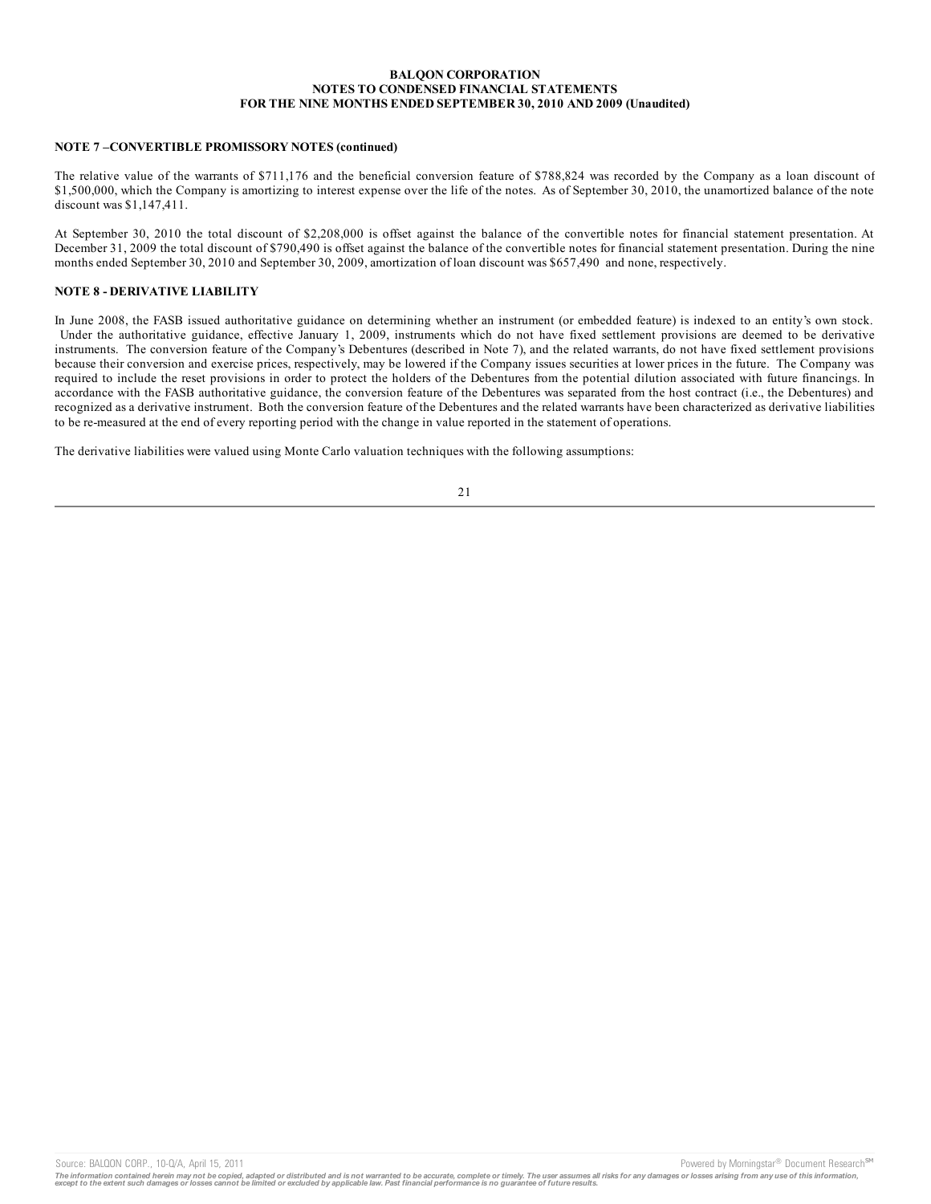## **NOTE 7 –CONVERTIBLE PROMISSORY NOTES (continued)**

The relative value of the warrants of \$711,176 and the beneficial conversion feature of \$788,824 was recorded by the Company as a loan discount of \$1,500,000, which the Company is amortizing to interest expense over the life of the notes. As of September 30, 2010, the unamortized balance of the note discount was \$1,147,411.

At September 30, 2010 the total discount of \$2,208,000 is offset against the balance of the convertible notes for financial statement presentation. At December 31, 2009 the total discount of \$790,490 is offset against the balance of the convertible notes for financial statement presentation. During the nine months ended September 30, 2010 and September 30, 2009, amortization of loan discount was \$657,490 and none, respectively.

## **NOTE 8 - DERIVATIVE LIABILITY**

In June 2008, the FASB issued authoritative guidance on determining whether an instrument (or embedded feature) is indexed to an entity's own stock. Under the authoritative guidance, effective January 1, 2009, instruments which do not have fixed settlement provisions are deemed to be derivative instruments. The conversion feature of the Company's Debentures (described in Note 7), and the related warrants, do not have fixed settlement provisions because their conversion and exercise prices, respectively, may be lowered if the Company issues securities at lower prices in the future. The Company was required to include the reset provisions in order to protect the holders of the Debentures from the potential dilution associated with future financings. In accordance with the FASB authoritative guidance, the conversion feature of the Debentures was separated from the host contract (i.e., the Debentures) and recognized as a derivative instrument. Both the conversion feature of the Debentures and the related warrants have been characterized as derivative liabilities to be re-measured at the end of every reporting period with the change in value reported in the statement of operations.

The derivative liabilities were valued using Monte Carlo valuation techniques with the following assumptions:

## 21

The information contained herein may not be copied, adapted or distributed and is not warranted to be accurate, complete or timely. The user assumes all risks for any damages or losses arising from any use of this informat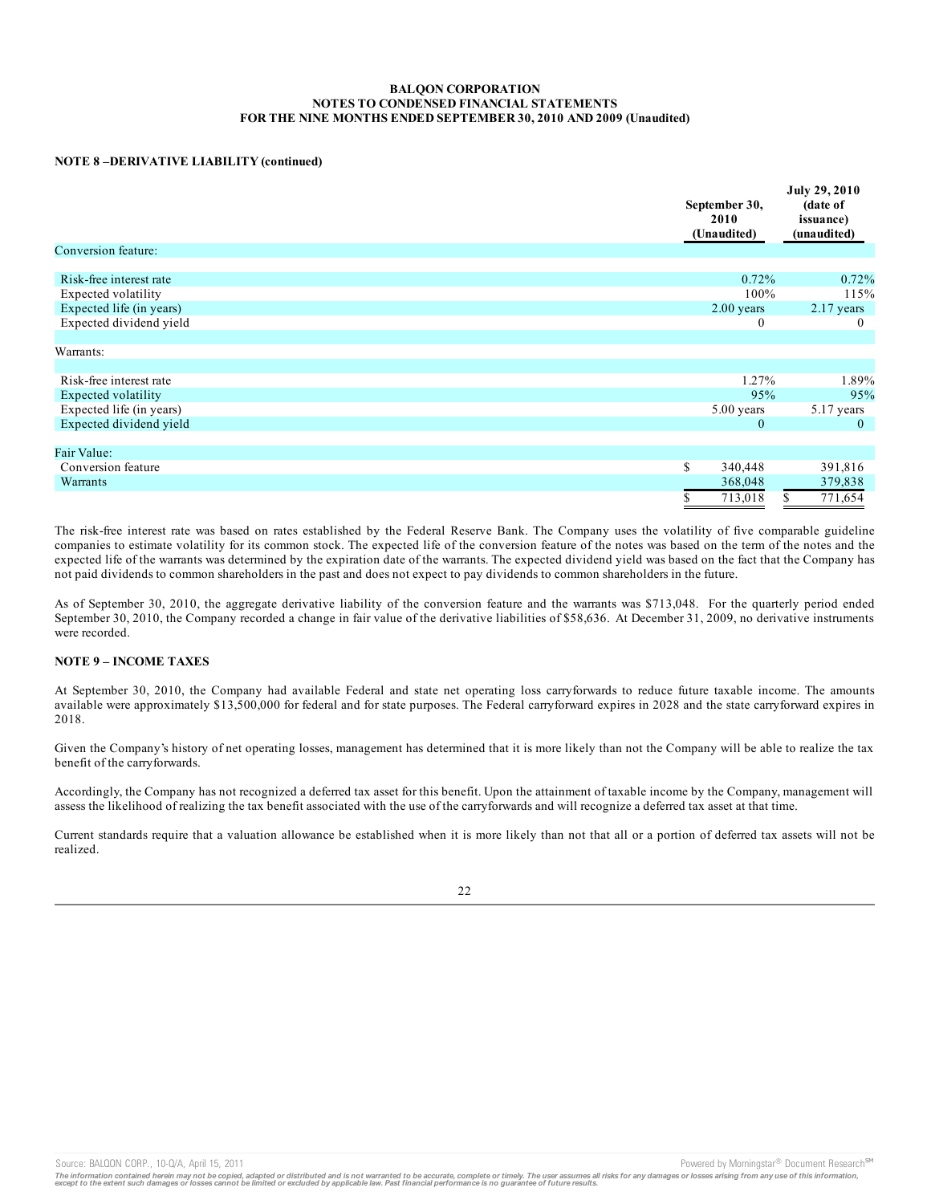# **NOTE 8 –DERIVATIVE LIABILITY (continued)**

|                          | September 30,<br>2010<br>(Unaudited) | <b>July 29, 2010</b><br>(date of<br><i>issuance</i> )<br>(unaudited) |
|--------------------------|--------------------------------------|----------------------------------------------------------------------|
| Conversion feature:      |                                      |                                                                      |
| Risk-free interest rate  | 0.72%                                | 0.72%                                                                |
| Expected volatility      | 100%                                 | 115%                                                                 |
| Expected life (in years) | 2.00 years                           | 2.17 years                                                           |
| Expected dividend yield  | $\bf{0}$                             | $\theta$                                                             |
|                          |                                      |                                                                      |
| Warrants:                |                                      |                                                                      |
|                          |                                      |                                                                      |
| Risk-free interest rate  | 1.27%                                | 1.89%                                                                |
| Expected volatility      | 95%                                  | 95%                                                                  |
| Expected life (in years) | 5.00 years                           | 5.17 years                                                           |
| Expected dividend yield  | $\mathbf{0}$                         | $\overline{0}$                                                       |
|                          |                                      |                                                                      |
| Fair Value:              |                                      |                                                                      |
| Conversion feature       | \$<br>340,448                        | 391,816                                                              |
| Warrants                 | 368,048                              | 379,838                                                              |
|                          | 713,018                              | 771,654                                                              |

The risk-free interest rate was based on rates established by the Federal Reserve Bank. The Company uses the volatility of five comparable guideline companies to estimate volatility for its common stock. The expected life of the conversion feature of the notes was based on the term of the notes and the expected life of the warrants was determined by the expiration date of the warrants. The expected dividend yield was based on the fact that the Company has not paid dividends to common shareholders in the past and does not expect to pay dividends to common shareholders in the future.

As of September 30, 2010, the aggregate derivative liability of the conversion feature and the warrants was \$713,048. For the quarterly period ended September 30, 2010, the Company recorded a change in fair value of the derivative liabilities of \$58,636. At December 31, 2009, no derivative instruments were recorded.

# **NOTE 9 – INCOME TAXES**

At September 30, 2010, the Company had available Federal and state net operating loss carryforwards to reduce future taxable income. The amounts available were approximately \$13,500,000 for federal and for state purposes. The Federal carryforward expires in 2028 and the state carryforward expires in 2018.

Given the Company's history of net operating losses, management has determined that it is more likely than not the Company will be able to realize the tax benefit of the carryforwards.

Accordingly, the Company has not recognized a deferred tax asset for this benefit. Upon the attainment of taxable income by the Company, management will assess the likelihood of realizing the tax benefit associated with the use of the carryforwards and will recognize a deferred tax asset at that time.

Current standards require that a valuation allowance be established when it is more likely than not that all or a portion of deferred tax assets will not be realized.



Source: BALQON CORP., 10-Q/A, April 15, 2011 **Powered by Morningstar® Document Research** stream of the second stream of the second stream of the second stream of the second stream of the second stream of the second stream

The information contained herein may not be copied, adapted or distributed and is not warranted to be accurate, complete or timely. The user assumes all risks for any damages or losses arising from any use of this informat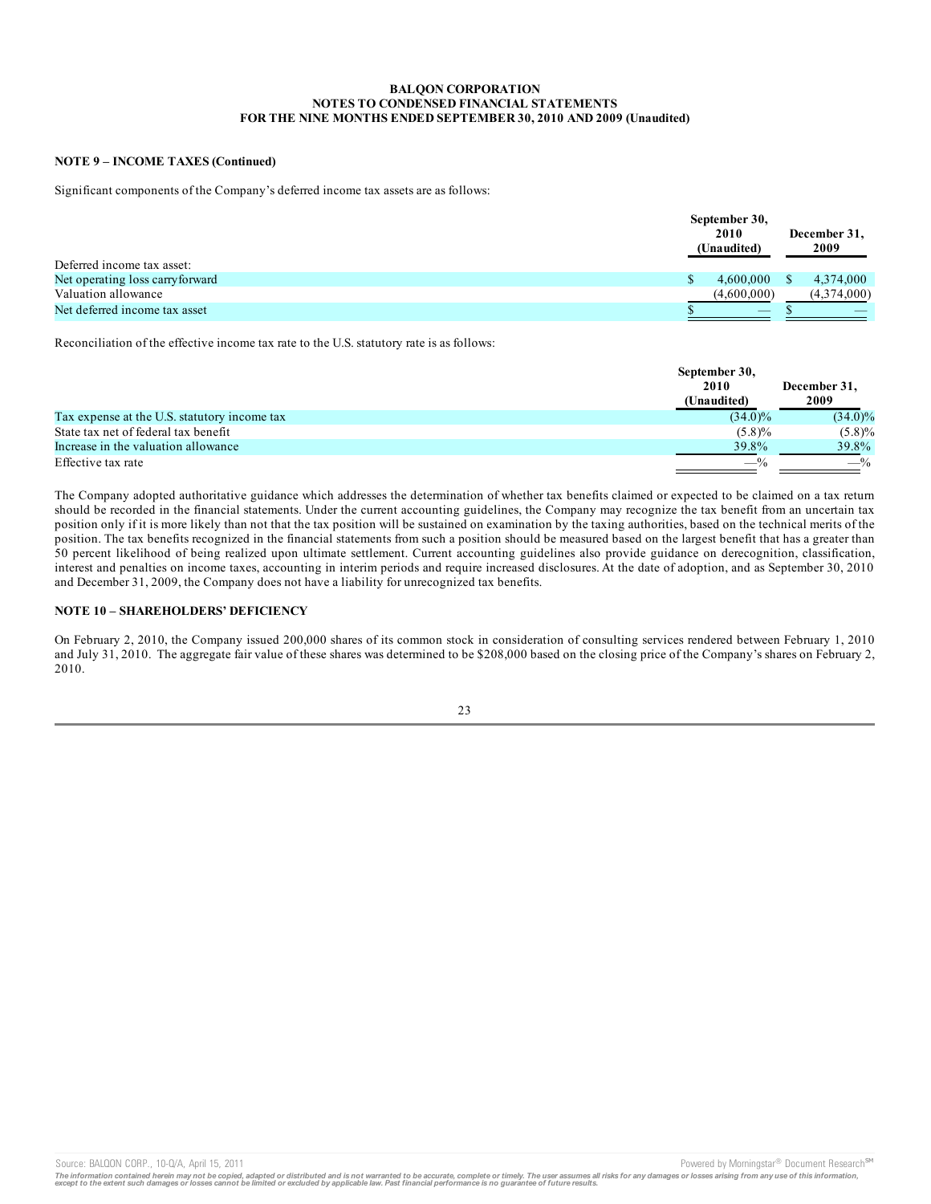# **NOTE 9 – INCOME TAXES (Continued)**

Significant components of the Company's deferred income tax assets are as follows:

|                                  | September 30,<br>2010<br>(Unaudited) |             | December 31,<br>2009 |  |
|----------------------------------|--------------------------------------|-------------|----------------------|--|
| Deferred income tax asset:       |                                      |             |                      |  |
| Net operating loss carry forward |                                      | 4,600,000   | 4,374,000            |  |
| Valuation allowance              |                                      | (4,600,000) | (4,374,000)          |  |
| Net deferred income tax asset    |                                      |             |                      |  |

Reconciliation of the effective income tax rate to the U.S. statutory rate is as follows:

|                                              | September 30,       |                      |
|----------------------------------------------|---------------------|----------------------|
|                                              | 2010<br>(Unaudited) | December 31,<br>2009 |
| Tax expense at the U.S. statutory income tax | $(34.0)\%$          | $(34.0)\%$           |
| State tax net of federal tax benefit         | $(5.8)\%$           | $(5.8)\%$            |
| Increase in the valuation allowance          | 39.8%               | 39.8%                |
| Effective tax rate                           | $-$                 | $-$ %                |

The Company adopted authoritative guidance which addresses the determination of whether tax benefits claimed or expected to be claimed on a tax return should be recorded in the financial statements. Under the current accounting guidelines, the Company may recognize the tax benefit from an uncertain tax position only if it is more likely than not that the tax position will be sustained on examination by the taxing authorities, based on the technical merits of the position. The tax benefits recognized in the financial statements from such a position should be measured based on the largest benefit that has a greater than 50 percent likelihood of being realized upon ultimate settlement. Current accounting guidelines also provide guidance on derecognition, classification, interest and penalties on income taxes, accounting in interim periods and require increased disclosures. At the date of adoption, and as September 30, 2010 and December 31, 2009, the Company does not have a liability for unrecognized tax benefits.

## **NOTE 10 – SHAREHOLDERS' DEFICIENCY**

On February 2, 2010, the Company issued 200,000 shares of its common stock in consideration of consulting services rendered between February 1, 2010 and July 31, 2010. The aggregate fair value of these shares was determined to be \$208,000 based on the closing price of the Company's shares on February 2, 2010.



The information contained herein may not be copied, adapted or distributed and is not warranted to be accurate, complete or timely. The user assumes all risks for any damages or losses arising from any use of this informat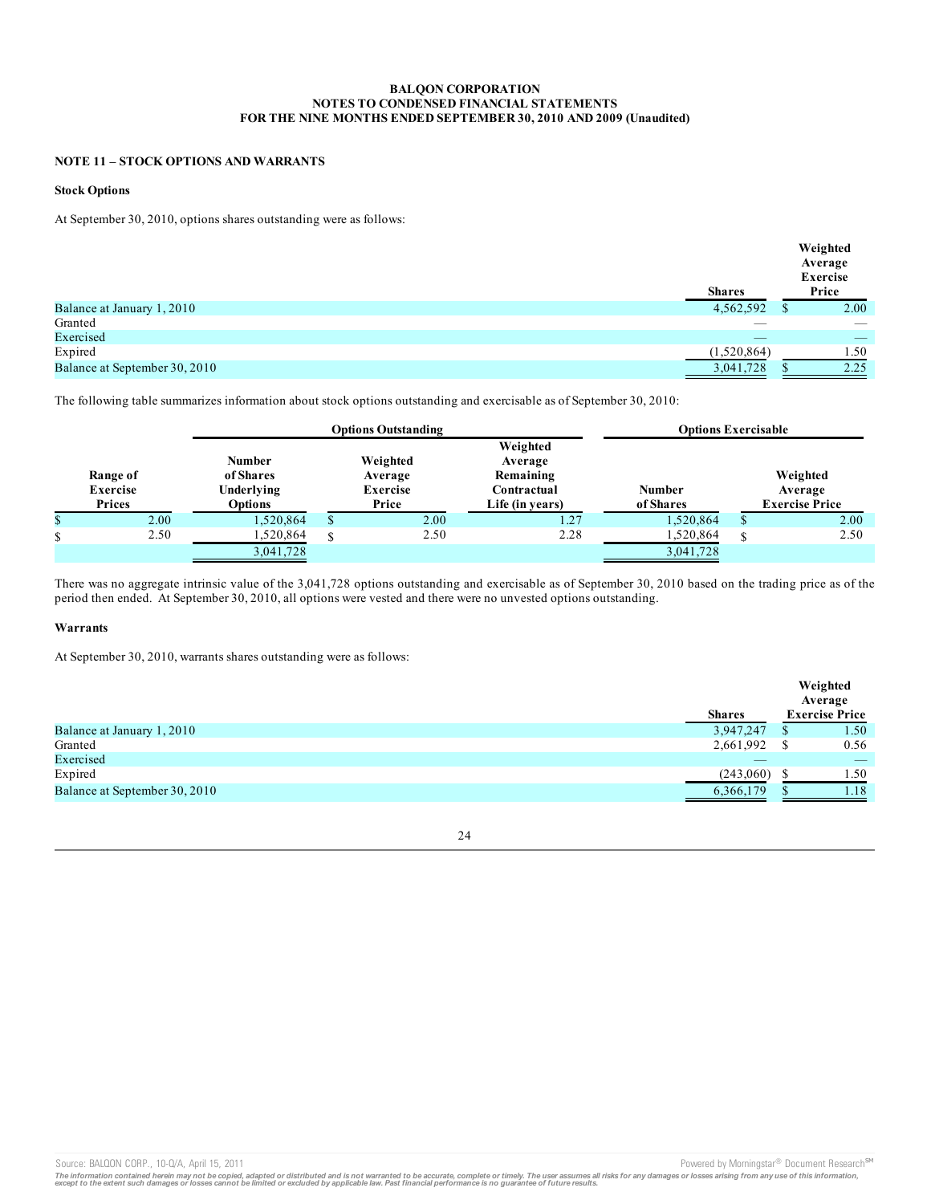# **NOTE 11 – STOCK OPTIONS AND WARRANTS**

# **Stock Options**

At September 30, 2010, options shares outstanding were as follows:

|                               | <b>Shares</b> | Weighted<br>Average<br><b>Exercise</b><br>Price |
|-------------------------------|---------------|-------------------------------------------------|
| Balance at January 1, 2010    | 4,562,592     | 2.00                                            |
| Granted                       | $-$           | $\overline{\phantom{a}}$                        |
| Exercised                     |               |                                                 |
| Expired                       | (1,520,864)   | 1.50                                            |
| Balance at September 30, 2010 | 3,041,728     | 2.25                                            |

The following table summarizes information about stock options outstanding and exercisable as of September 30, 2010:

|                                |      |                                                     | <b>Options Outstanding</b>               |                                                                    | <b>Options Exercisable</b> |  |                                              |  |  |
|--------------------------------|------|-----------------------------------------------------|------------------------------------------|--------------------------------------------------------------------|----------------------------|--|----------------------------------------------|--|--|
| Range of<br>Exercise<br>Prices |      | Number<br>of Shares<br>Underlying<br><b>Options</b> | Weighted<br>Average<br>Exercise<br>Price | Weighted<br>Average<br>Remaining<br>Contractual<br>Life (in years) | <b>Number</b><br>of Shares |  | Weighted<br>Average<br><b>Exercise Price</b> |  |  |
| \$                             | 2.00 | 1,520,864                                           | 2.00                                     | 1.27                                                               | 1,520,864                  |  | 2.00                                         |  |  |
| \$                             | 2.50 | 1,520,864                                           | 2.50                                     | 2.28                                                               | 1,520,864                  |  | 2.50                                         |  |  |
|                                |      | 3,041,728                                           |                                          |                                                                    | 3,041,728                  |  |                                              |  |  |

There was no aggregate intrinsic value of the 3,041,728 options outstanding and exercisable as of September 30, 2010 based on the trading price as of the period then ended. At September 30, 2010, all options were vested and there were no unvested options outstanding.

## **Warrants**

At September 30, 2010, warrants shares outstanding were as follows:

|                               |               | Weighted<br>Average   |
|-------------------------------|---------------|-----------------------|
|                               | <b>Shares</b> | <b>Exercise Price</b> |
| Balance at January 1, 2010    | 3,947,247     | $1.50^{+}$            |
| Granted                       | 2,661,992     | 0.56                  |
| Exercised                     | __            |                       |
| Expired                       | (243,060)     | 1.50                  |
| Balance at September 30, 2010 | 6,366,179     | 1.18                  |

24

Source: BALQON CORP., 10-Q/A, April 15, 2011 **Powered by Morningstar® Document Research** in Powered by Morningstar® Document Research in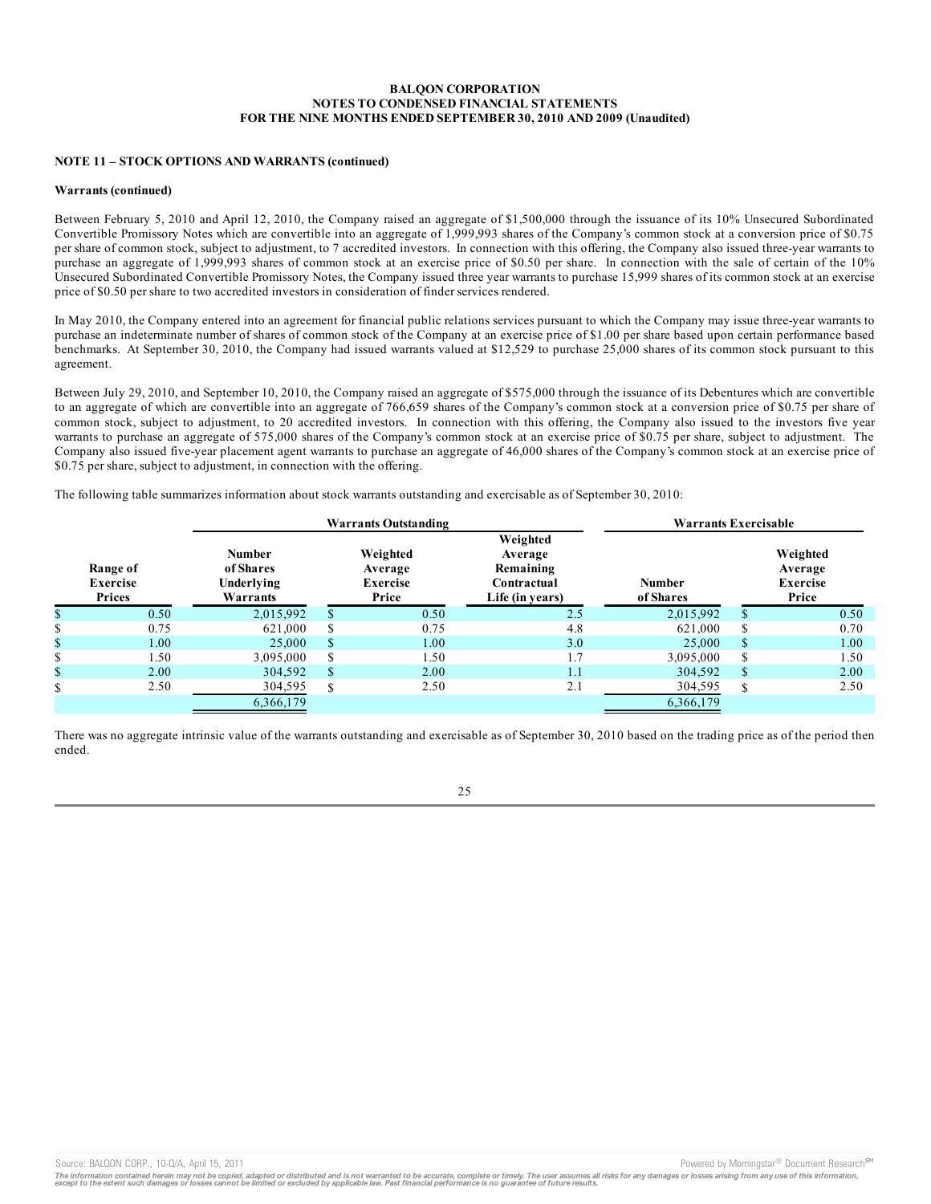# **NOTE 11 – STOCK OPTIONS AND WARRANTS (continued)**

#### **Warrants (continued)**

Between February 5, 2010 and April 12, 2010, the Company raised an aggregate of \$1,500,000 through the issuance of its 10% Unsecured Subordinated Convertible Promissory Notes which are convertible into an aggregate of 1,999,993 shares of the Company's common stock at a conversion price of \$0.75 per share of common stock, subject to adjustment, to 7 accredited investors. In connection with this offering, the Company also issued three-year warrants to purchase an aggregate of 1,999,993 shares of common stock at an exercise price of \$0.50 per share. In connection with the sale of certain of the 10% Unsecured Subordinated Convertible Promissory Notes, the Company issued three year warrants to purchase 15,999 shares of its common stock at an exercise price of \$0.50 per share to two accredited investors in consideration of finder services rendered.

In May 2010, the Company entered into an agreement for financial public relations services pursuant to which the Company may issue three-year warrants to purchase an indeterminate number of shares of common stock of the Company at an exercise price of \$1.00 per share based upon certain performance based benchmarks. At September 30, 2010, the Company had issued warrants valued at \$12,529 to purchase 25,000 shares of its common stock pursuant to this agreement.

Between July 29, 2010, and September 10, 2010, the Company raised an aggregate of \$575,000 through the issuance of its Debentures which are convertible to an aggregate of which are convertible into an aggregate of 766,659 shares of the Company's common stock at a conversion price of \$0.75 per share of common stock, subject to adjustment, to 20 accredited investors. In connection with this offering, the Company also issued to the investors five year warrants to purchase an aggregate of 575,000 shares of the Company's common stock at an exercise price of \$0.75 per share, subject to adjustment. The Company also issued five-year placement agent warrants to purchase an aggregate of 46,000 shares of the Company's common stock at an exercise price of \$0.75 per share, subject to adjustment, in connection with the offering.

The following table summarizes information about stock warrants outstanding and exercisable as of September 30, 2010:

|                                              |      |                                                      |             | <b>Warrants Outstanding</b>              |                                                                    | <b>Warrants Exercisable</b> |    |                                                 |  |  |
|----------------------------------------------|------|------------------------------------------------------|-------------|------------------------------------------|--------------------------------------------------------------------|-----------------------------|----|-------------------------------------------------|--|--|
| Range of<br><b>Exercise</b><br><b>Prices</b> |      | <b>Number</b><br>of Shares<br>Underlying<br>Warrants |             | Weighted<br>Average<br>Exercise<br>Price | Weighted<br>Average<br>Remaining<br>Contractual<br>Life (in years) | <b>Number</b><br>of Shares  |    | Weighted<br>Average<br><b>Exercise</b><br>Price |  |  |
| \$                                           | 0.50 | 2,015,992                                            | \$          | 0.50                                     | 2.5                                                                | 2,015,992                   |    | 0.50                                            |  |  |
| \$                                           | 0.75 | 621,000                                              | \$          | 0.75                                     | 4.8                                                                | 621,000                     |    | 0.70                                            |  |  |
| \$                                           | 1.00 | 25,000                                               | \$          | 1.00                                     | 3.0                                                                | 25,000                      |    | 1.00                                            |  |  |
| \$                                           | 1.50 | 3,095,000                                            | \$          | 1.50                                     | 1.7                                                                | 3,095,000                   |    | 1.50                                            |  |  |
| \$                                           | 2.00 | 304,592                                              | \$          | 2.00                                     | 1.1                                                                | 304,592                     | S  | 2.00                                            |  |  |
| \$                                           | 2.50 | 304,595                                              | $\mathbf S$ | 2.50                                     | 2.1                                                                | 304,595                     | \$ | 2.50                                            |  |  |
|                                              |      | 6,366,179                                            |             |                                          |                                                                    | 6,366,179                   |    |                                                 |  |  |

There was no aggregate intrinsic value of the warrants outstanding and exercisable as of September 30, 2010 based on the trading price as of the period then ended.

#### 25

Source: BALQON CORP., 10-Q/A, April 15, 2011 Powered by Morningstar® Document Research Morningstar® Document Research Morningstar® Document Research Morningstar® Document Research Morningstar 2011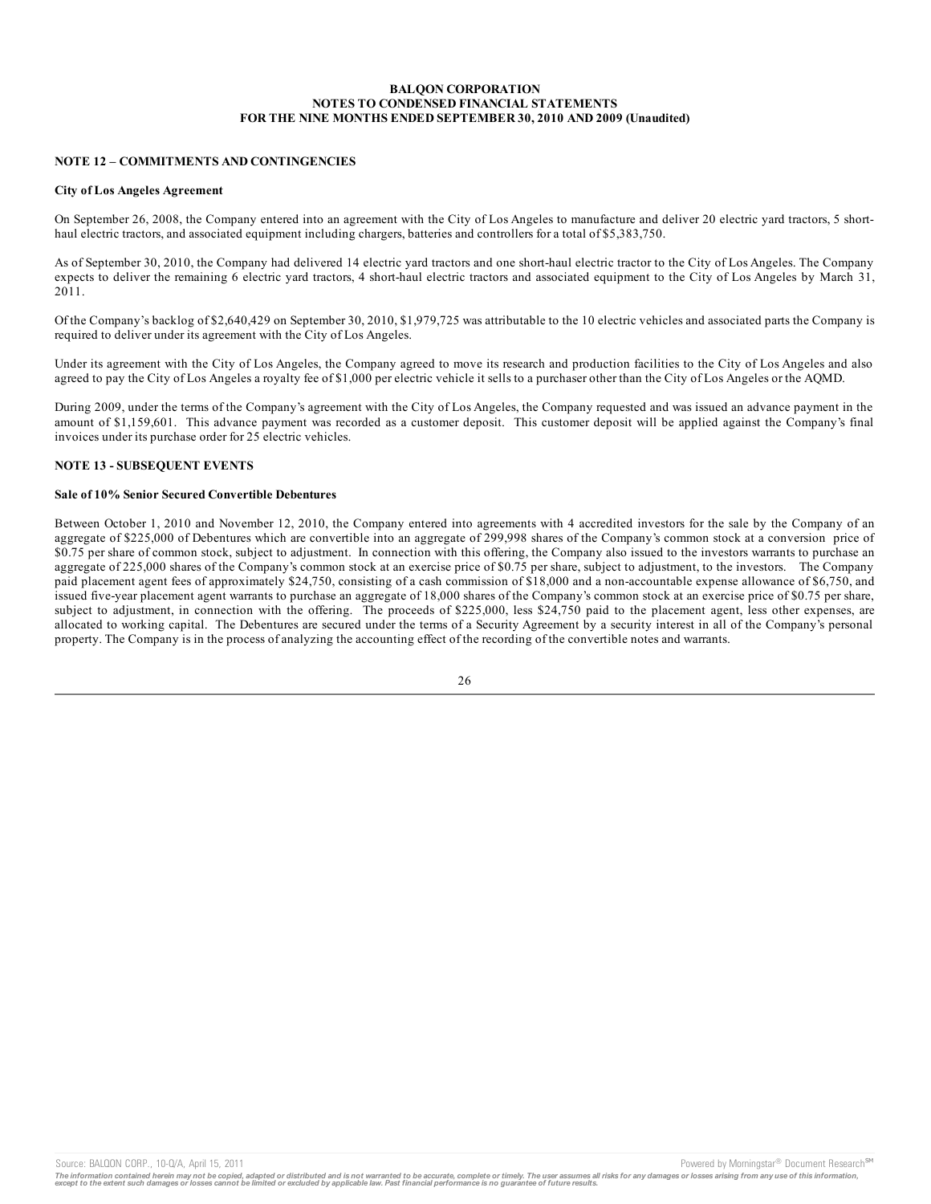# **NOTE 12 – COMMITMENTS AND CONTINGENCIES**

#### **City of Los Angeles Agreement**

On September 26, 2008, the Company entered into an agreement with the City of Los Angeles to manufacture and deliver 20 electric yard tractors, 5 shorthaul electric tractors, and associated equipment including chargers, batteries and controllers for a total of \$5,383,750.

As of September 30, 2010, the Company had delivered 14 electric yard tractors and one short-haul electric tractor to the City of Los Angeles. The Company expects to deliver the remaining 6 electric yard tractors, 4 short-haul electric tractors and associated equipment to the City of Los Angeles by March 31, 2011.

Of the Company's backlog of \$2,640,429 on September 30, 2010, \$1,979,725 was attributable to the 10 electric vehicles and associated parts the Company is required to deliver under its agreement with the City of Los Angeles.

Under its agreement with the City of Los Angeles, the Company agreed to move its research and production facilities to the City of Los Angeles and also agreed to pay the City of Los Angeles a royalty fee of \$1,000 per electric vehicle it sells to a purchaser other than the City of Los Angeles or the AQMD.

During 2009, under the terms of the Company's agreement with the City of Los Angeles, the Company requested and was issued an advance payment in the amount of \$1,159,601. This advance payment was recorded as a customer deposit. This customer deposit will be applied against the Company's final invoices under its purchase order for 25 electric vehicles.

## **NOTE 13 - SUBSEQUENT EVENTS**

# **Sale of 10% Senior Secured Convertible Debentures**

Between October 1, 2010 and November 12, 2010, the Company entered into agreements with 4 accredited investors for the sale by the Company of an aggregate of \$225,000 of Debentures which are convertible into an aggregate of 299,998 shares of the Company's common stock at a conversion price of \$0.75 per share of common stock, subject to adjustment. In connection with this offering, the Company also issued to the investors warrants to purchase an aggregate of 225,000 shares of the Company's common stock at an exercise price of \$0.75 per share, subject to adjustment, to the investors. The Company paid placement agent fees of approximately \$24,750, consisting of a cash commission of \$18,000 and a non-accountable expense allowance of \$6,750, and issued five-year placement agent warrants to purchase an aggregate of 18,000 shares of the Company's common stock at an exercise price of \$0.75 per share, subject to adjustment, in connection with the offering. The proceeds of \$225,000, less \$24,750 paid to the placement agent, less other expenses, are allocated to working capital. The Debentures are secured under the terms of a Security Agreement by a security interest in all of the Company's personal property. The Company is in the process of analyzing the accounting effect of the recording of the convertible notes and warrants.



The information contained herein may not be copied, adapted or distributed and is not warranted to be accurate, complete or timely. The user assumes all risks for any damages or losses arising from any use of this informat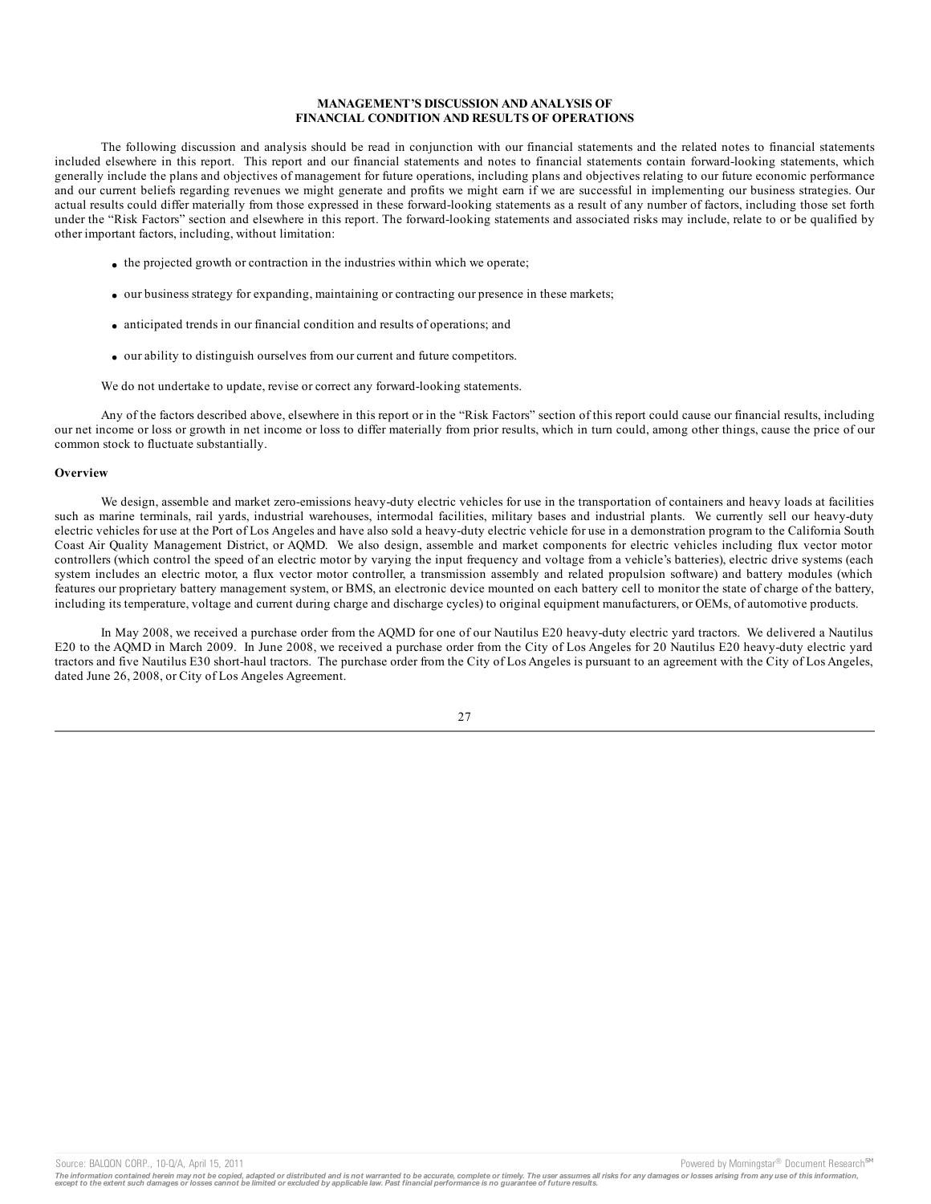#### **MANAGEMENT'S DISCUSSION AND ANALYSIS OF FINANCIAL CONDITION AND RESULTS OF OPERATIONS**

The following discussion and analysis should be read in conjunction with our financial statements and the related notes to financial statements included elsewhere in this report. This report and our financial statements and notes to financial statements contain forward-looking statements, which generally include the plans and objectives of management for future operations, including plans and objectives relating to our future economic performance and our current beliefs regarding revenues we might generate and profits we might earn if we are successful in implementing our business strategies. Our actual results could differ materially from those expressed in these forward-looking statements as a result of any number of factors, including those set forth under the "Risk Factors" section and elsewhere in this report. The forward-looking statements and associated risks may include, relate to or be qualified by other important factors, including, without limitation:

- $\bullet$  the projected growth or contraction in the industries within which we operate;
- · our business strategy for expanding, maintaining or contracting our presence in these markets;
- · anticipated trends in our financial condition and results of operations; and
- · our ability to distinguish ourselves from our current and future competitors.

We do not undertake to update, revise or correct any forward-looking statements.

Any of the factors described above, elsewhere in this report or in the "Risk Factors" section of this report could cause our financial results, including our net income or loss or growth in net income or loss to differ materially from prior results, which in turn could, among other things, cause the price of our common stock to fluctuate substantially.

### **Overview**

We design, assemble and market zero-emissions heavy-duty electric vehicles for use in the transportation of containers and heavy loads at facilities such as marine terminals, rail yards, industrial warehouses, intermodal facilities, military bases and industrial plants. We currently sell our heavy-duty electric vehicles for use at the Port of Los Angeles and have also sold a heavy-duty electric vehicle for use in a demonstration program to the California South Coast Air Quality Management District, or AQMD. We also design, assemble and market components for electric vehicles including flux vector motor controllers (which control the speed of an electric motor by varying the input frequency and voltage from a vehicle's batteries), electric drive systems (each system includes an electric motor, a flux vector motor controller, a transmission assembly and related propulsion software) and battery modules (which features our proprietary battery management system, or BMS, an electronic device mounted on each battery cell to monitor the state of charge of the battery, including its temperature, voltage and current during charge and discharge cycles) to original equipment manufacturers, or OEMs, of automotive products.

In May 2008, we received a purchase order from the AQMD for one of our Nautilus E20 heavy-duty electric yard tractors. We delivered a Nautilus E20 to the AQMD in March 2009. In June 2008, we received a purchase order from the City of Los Angeles for 20 Nautilus E20 heavy-duty electric yard tractors and five Nautilus E30 short-haul tractors. The purchase order from the City of Los Angeles is pursuant to an agreement with the City of Los Angeles, dated June 26, 2008, or City of Los Angeles Agreement.

Source: BALQON CORP., 10-Q/A, April 15, 2011 **Powered by Morningstar® Document Research** in Powered by Morningstar® Document Research in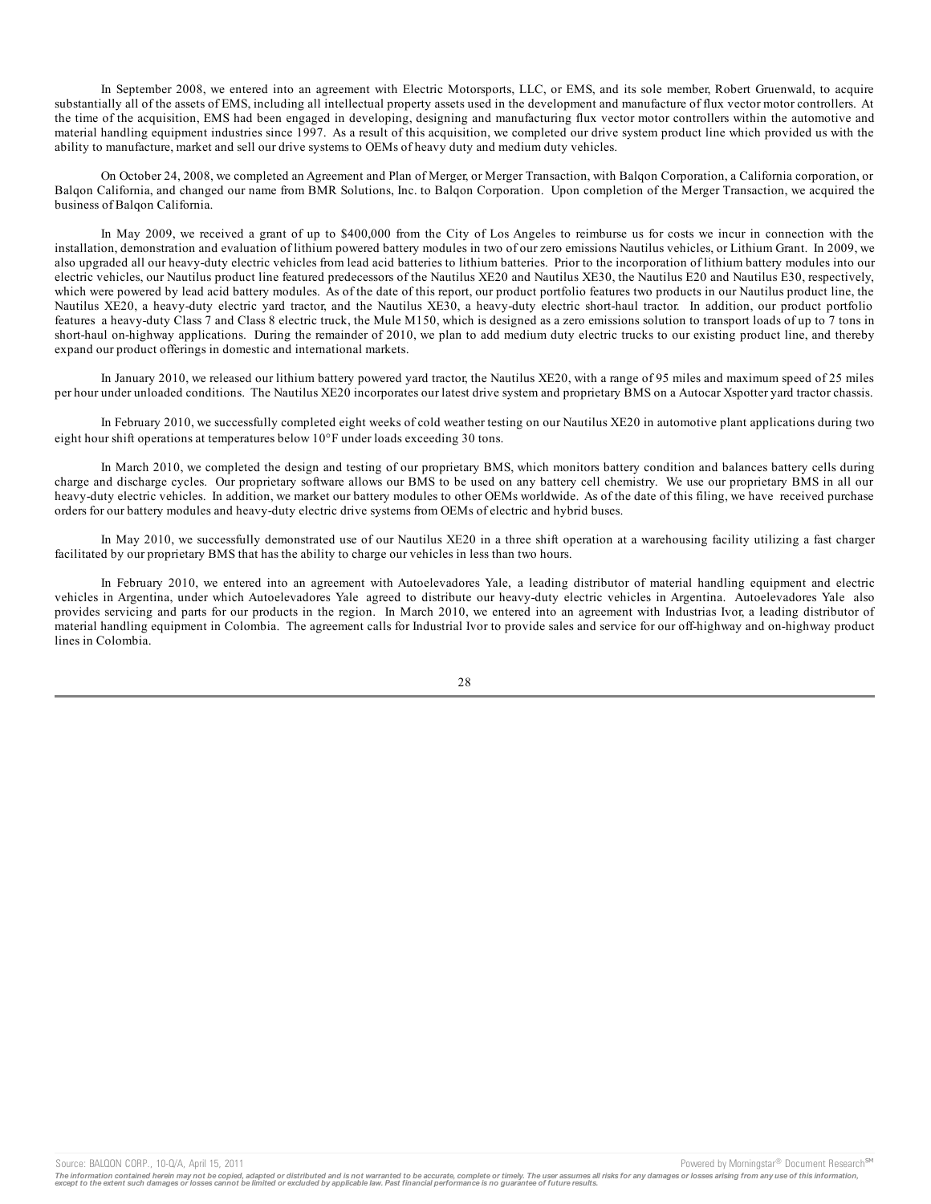In September 2008, we entered into an agreement with Electric Motorsports, LLC, or EMS, and its sole member, Robert Gruenwald, to acquire substantially all of the assets of EMS, including all intellectual property assets used in the development and manufacture of flux vector motor controllers. At the time of the acquisition, EMS had been engaged in developing, designing and manufacturing flux vector motor controllers within the automotive and material handling equipment industries since 1997. As a result of this acquisition, we completed our drive system product line which provided us with the ability to manufacture, market and sell our drive systems to OEMs of heavy duty and medium duty vehicles.

On October 24, 2008, we completed an Agreement and Plan of Merger, or Merger Transaction, with Balqon Corporation, a California corporation, or Balqon California, and changed our name from BMR Solutions, Inc. to Balqon Corporation. Upon completion of the Merger Transaction, we acquired the business of Balqon California.

In May 2009, we received a grant of up to \$400,000 from the City of Los Angeles to reimburse us for costs we incur in connection with the installation, demonstration and evaluation of lithium powered battery modules in two of our zero emissions Nautilus vehicles, or Lithium Grant. In 2009, we also upgraded all our heavy-duty electric vehicles from lead acid batteries to lithium batteries. Prior to the incorporation of lithium battery modules into our electric vehicles, our Nautilus product line featured predecessors of the Nautilus XE20 and Nautilus XE30, the Nautilus E20 and Nautilus E30, respectively, which were powered by lead acid battery modules. As of the date of this report, our product portfolio features two products in our Nautilus product line, the Nautilus XE20, a heavy-duty electric yard tractor, and the Nautilus XE30, a heavy-duty electric short-haul tractor. In addition, our product portfolio features a heavy-duty Class 7 and Class 8 electric truck, the Mule M150, which is designed as a zero emissions solution to transport loads of up to 7 tons in short-haul on-highway applications. During the remainder of 2010, we plan to add medium duty electric trucks to our existing product line, and thereby expand our product offerings in domestic and international markets.

In January 2010, we released our lithium battery powered yard tractor, the Nautilus XE20, with a range of 95 miles and maximum speed of 25 miles per hour under unloaded conditions. The Nautilus XE20 incorporates our latest drive system and proprietary BMS on a Autocar Xspotter yard tractor chassis.

In February 2010, we successfully completed eight weeks of cold weather testing on our Nautilus XE20 in automotive plant applications during two eight hour shift operations at temperatures below  $10^{\circ}$  F under loads exceeding 30 tons.

In March 2010, we completed the design and testing of our proprietary BMS, which monitors battery condition and balances battery cells during charge and discharge cycles. Our proprietary software allows our BMS to be used on any battery cell chemistry. We use our proprietary BMS in all our heavy-duty electric vehicles. In addition, we market our battery modules to other OEMs worldwide. As of the date of this filing, we have received purchase orders for our battery modules and heavy-duty electric drive systems from OEMs of electric and hybrid buses.

In May 2010, we successfully demonstrated use of our Nautilus XE20 in a three shift operation at a warehousing facility utilizing a fast charger facilitated by our proprietary BMS that has the ability to charge our vehicles in less than two hours.

In February 2010, we entered into an agreement with Autoelevadores Yale, a leading distributor of material handling equipment and electric vehicles in Argentina, under which Autoelevadores Yale agreed to distribute our heavy-duty electric vehicles in Argentina. Autoelevadores Yale also provides servicing and parts for our products in the region. In March 2010, we entered into an agreement with Industrias Ivor, a leading distributor of material handling equipment in Colombia. The agreement calls for Industrial Ivor to provide sales and service for our off-highway and on-highway product lines in Colombia.

28

Source: BALQON CORP., 10-Q/A, April 15, 2011 **Powered by Morningstar® Document Research** in Powered by Morningstar® Document Research in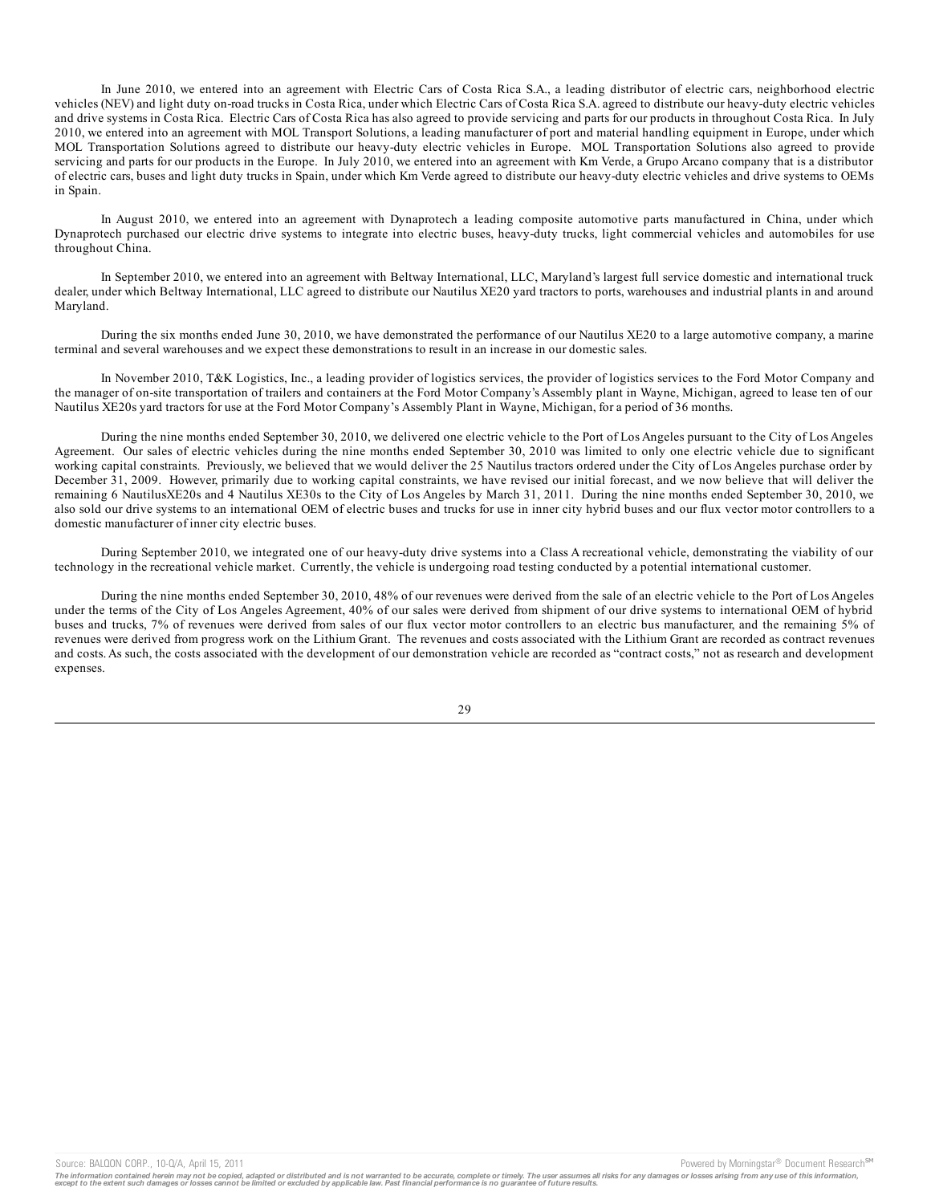In June 2010, we entered into an agreement with Electric Cars of Costa Rica S.A., a leading distributor of electric cars, neighborhood electric vehicles (NEV) and light duty on-road trucks in Costa Rica, under which Electric Cars of Costa Rica S.A. agreed to distribute our heavy-duty electric vehicles and drive systems in Costa Rica. Electric Cars of Costa Rica has also agreed to provide servicing and parts for our products in throughout Costa Rica. In July 2010, we entered into an agreement with MOL Transport Solutions, a leading manufacturer of port and material handling equipment in Europe, under which MOL Transportation Solutions agreed to distribute our heavy-duty electric vehicles in Europe. MOL Transportation Solutions also agreed to provide servicing and parts for our products in the Europe. In July 2010, we entered into an agreement with Km Verde, a Grupo Arcano company that is a distributor of electric cars, buses and light duty trucks in Spain, under which Km Verde agreed to distribute our heavy-duty electric vehicles and drive systems to OEMs in Spain.

In August 2010, we entered into an agreement with Dynaprotech a leading composite automotive parts manufactured in China, under which Dynaprotech purchased our electric drive systems to integrate into electric buses, heavy-duty trucks, light commercial vehicles and automobiles for use throughout China.

In September 2010, we entered into an agreement with Beltway International, LLC, Maryland's largest full service domestic and international truck dealer, under which Beltway International, LLC agreed to distribute our Nautilus XE20 yard tractors to ports, warehouses and industrial plants in and around Maryland.

During the six months ended June 30, 2010, we have demonstrated the performance of our Nautilus XE20 to a large automotive company, a marine terminal and several warehouses and we expect these demonstrations to result in an increase in our domestic sales.

In November 2010, T&K Logistics, Inc., a leading provider of logistics services, the provider of logistics services to the Ford Motor Company and the manager of on-site transportation of trailers and containers at the Ford Motor Company's Assembly plant in Wayne, Michigan, agreed to lease ten of our Nautilus XE20s yard tractors for use at the Ford Motor Company's Assembly Plant in Wayne, Michigan, for a period of 36 months.

During the nine months ended September 30, 2010, we delivered one electric vehicle to the Port of Los Angeles pursuant to the City of Los Angeles Agreement. Our sales of electric vehicles during the nine months ended September 30, 2010 was limited to only one electric vehicle due to significant working capital constraints. Previously, we believed that we would deliver the 25 Nautilus tractors ordered under the City of Los Angeles purchase order by December 31, 2009. However, primarily due to working capital constraints, we have revised our initial forecast, and we now believe that will deliver the remaining 6 NautilusXE20s and 4 Nautilus XE30s to the City of Los Angeles by March 31, 2011. During the nine months ended September 30, 2010, we also sold our drive systems to an international OEM of electric buses and trucks for use in inner city hybrid buses and our flux vector motor controllers to a domestic manufacturer of inner city electric buses.

During September 2010, we integrated one of our heavy-duty drive systems into a Class A recreational vehicle, demonstrating the viability of our technology in the recreational vehicle market. Currently, the vehicle is undergoing road testing conducted by a potential international customer.

During the nine months ended September 30, 2010, 48% of our revenues were derived from the sale of an electric vehicle to the Port of Los Angeles under the terms of the City of Los Angeles Agreement, 40% of our sales were derived from shipment of our drive systems to international OEM of hybrid buses and trucks, 7% of revenues were derived from sales of our flux vector motor controllers to an electric bus manufacturer, and the remaining 5% of revenues were derived from progress work on the Lithium Grant. The revenues and costs associated with the Lithium Grant are recorded as contract revenues and costs. As such, the costs associated with the development of our demonstration vehicle are recorded as "contract costs," not as research and development expenses.

29

Source: BALQON CORP., 10-Q/A, April 15, 2011 **Powered by Morningstar® Document Research** in Powered by Morningstar® Document Research in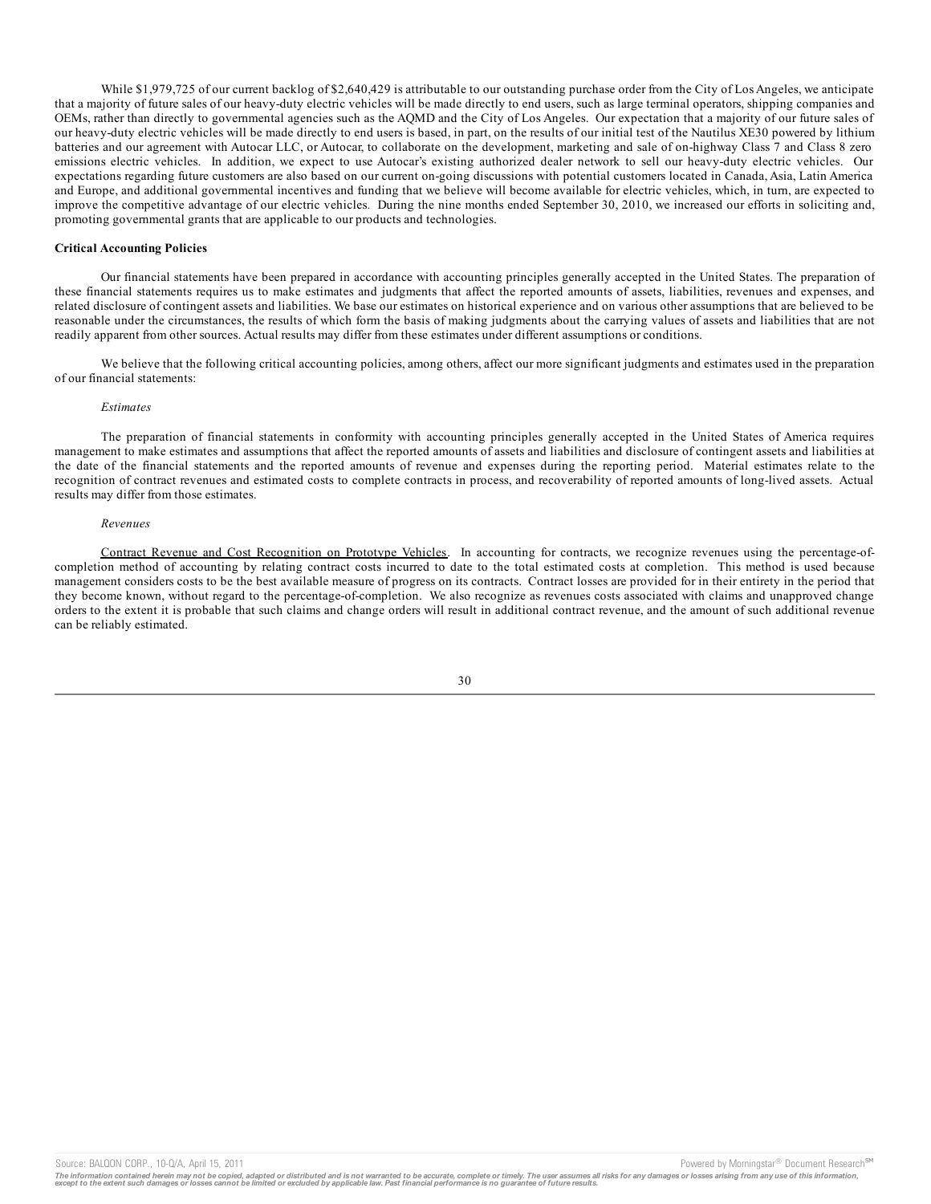While \$1,979,725 of our current backlog of \$2,640,429 is attributable to our outstanding purchase order from the City of Los Angeles, we anticipate that a majority of future sales of our heavy-duty electric vehicles will be made directly to end users, such as large terminal operators, shipping companies and OEMs, rather than directly to governmental agencies such as the AQMD and the City of Los Angeles. Our expectation that a majority of our future sales of our heavy-duty electric vehicles will be made directly to end users is based, in part, on the results of our initial test of the Nautilus XE30 powered by lithium batteries and our agreement with Autocar LLC, or Autocar, to collaborate on the development, marketing and sale of on-highway Class 7 and Class 8 zero emissions electric vehicles. In addition, we expect to use Autocar's existing authorized dealer network to sell our heavy-duty electric vehicles. Our expectations regarding future customers are also based on our current on-going discussions with potential customers located in Canada, Asia, Latin America and Europe, and additional governmental incentives and funding that we believe will become available for electric vehicles, which, in turn, are expected to improve the competitive advantage of our electric vehicles. During the nine months ended September 30, 2010, we increased our efforts in soliciting and, promoting governmental grants that are applicable to our products and technologies.

#### **Critical Accounting Policies**

Our financial statements have been prepared in accordance with accounting principles generally accepted in the United States. The preparation of these financial statements requires us to make estimates and judgments that affect the reported amounts of assets, liabilities, revenues and expenses, and related disclosure of contingent assets and liabilities. We base our estimates on historical experience and on various other assumptions that are believed to be reasonable under the circumstances, the results of which form the basis of making judgments about the carrying values of assets and liabilities that are not readily apparent from other sources. Actual results may differ from these estimates under different assumptions or conditions.

We believe that the following critical accounting policies, among others, affect our more significant judgments and estimates used in the preparation of our financial statements:

#### *Estimates*

The preparation of financial statements in conformity with accounting principles generally accepted in the United States of America requires management to make estimates and assumptions that affect the reported amounts of assets and liabilities and disclosure of contingent assets and liabilities at the date of the financial statements and the reported amounts of revenue and expenses during the reporting period. Material estimates relate to the recognition of contract revenues and estimated costs to complete contracts in process, and recoverability of reported amounts of long-lived assets. Actual results may differ from those estimates.

### *Revenues*

Contract Revenue and Cost Recognition on Prototype Vehicles. In accounting for contracts, we recognize revenues using the percentage-ofcompletion method of accounting by relating contract costs incurred to date to the total estimated costs at completion. This method is used because management considers costs to be the best available measure of progress on its contracts. Contract losses are provided for in their entirety in the period that they become known, without regard to the percentage-of-completion. We also recognize as revenues costs associated with claims and unapproved change orders to the extent it is probable that such claims and change orders will result in additional contract revenue, and the amount of such additional revenue can be reliably estimated.

The information contained herein may not be copied, adapted or distributed and is not warranted to be accurate, complete or timely. The user assumes all risks for any damages or losses arising from any use of this informat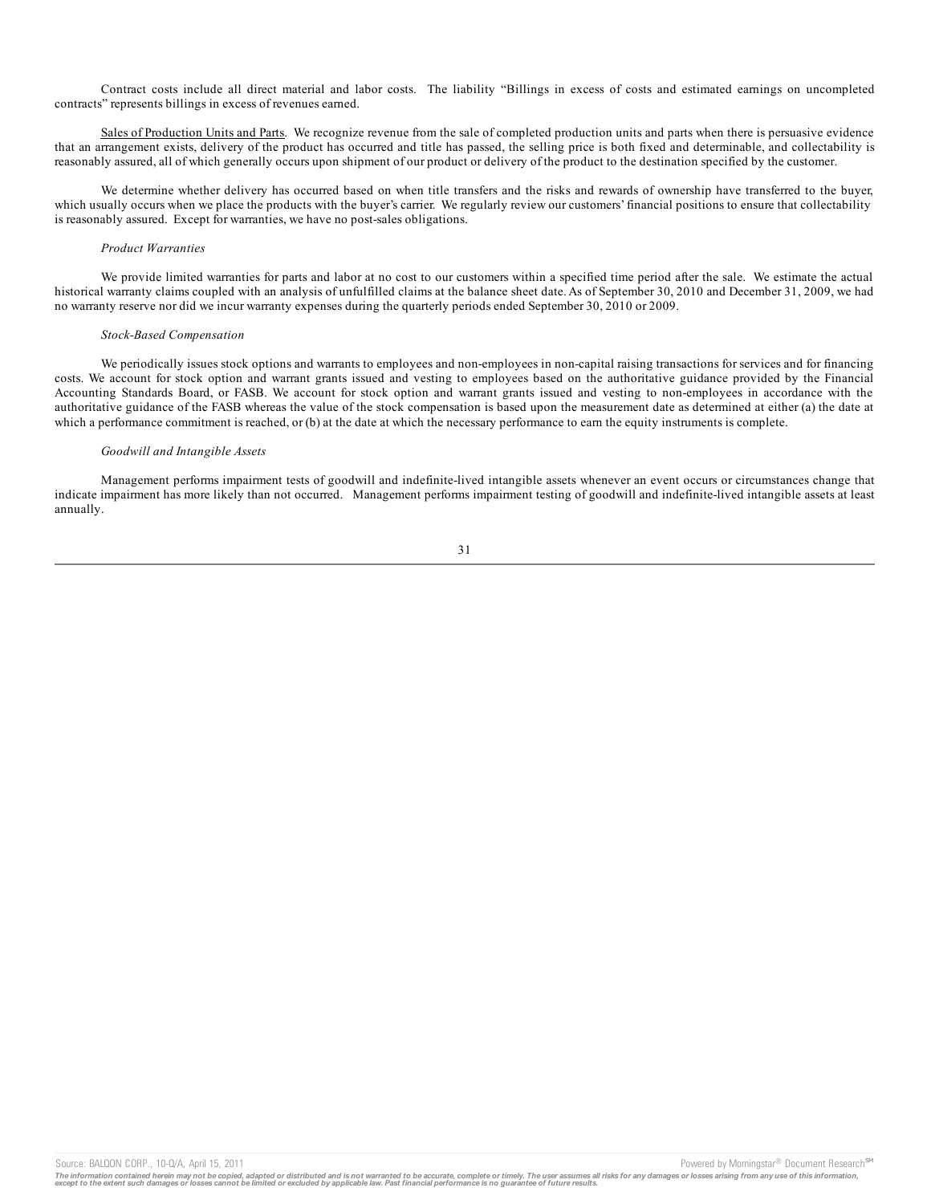Contract costs include all direct material and labor costs. The liability "Billings in excess of costs and estimated earnings on uncompleted contracts" represents billings in excess of revenues earned.

Sales of Production Units and Parts. We recognize revenue from the sale of completed production units and parts when there is persuasive evidence that an arrangement exists, delivery of the product has occurred and title has passed, the selling price is both fixed and determinable, and collectability is reasonably assured, all of which generally occurs upon shipment of our product or delivery of the product to the destination specified by the customer.

We determine whether delivery has occurred based on when title transfers and the risks and rewards of ownership have transferred to the buyer, which usually occurs when we place the products with the buyer's carrier. We regularly review our customers' financial positions to ensure that collectability is reasonably assured. Except for warranties, we have no post-sales obligations.

### *Product Warranties*

We provide limited warranties for parts and labor at no cost to our customers within a specified time period after the sale. We estimate the actual historical warranty claims coupled with an analysis of unfulfilled claims at the balance sheet date. As of September 30, 2010 and December 31, 2009, we had no warranty reserve nor did we incur warranty expenses during the quarterly periods ended September 30, 2010 or 2009.

#### *Stock-Based Compensation*

We periodically issues stock options and warrants to employees and non-employees in non-capital raising transactions for services and for financing costs. We account for stock option and warrant grants issued and vesting to employees based on the authoritative guidance provided by the Financial Accounting Standards Board, or FASB. We account for stock option and warrant grants issued and vesting to non-employees in accordance with the authoritative guidance of the FASB whereas the value of the stock compensation is based upon the measurement date as determined at either (a) the date at which a performance commitment is reached, or (b) at the date at which the necessary performance to earn the equity instruments is complete.

# *Goodwill and Intangible Assets*

Management performs impairment tests of goodwill and indefinite-lived intangible assets whenever an event occurs or circumstances change that indicate impairment has more likely than not occurred. Management performs impairment testing of goodwill and indefinite-lived intangible assets at least annually.

Source: BALQON CORP., 10-Q/A, April 15, 2011 **Powered by Morningstar® Document Research** in Powered by Morningstar® Document Research in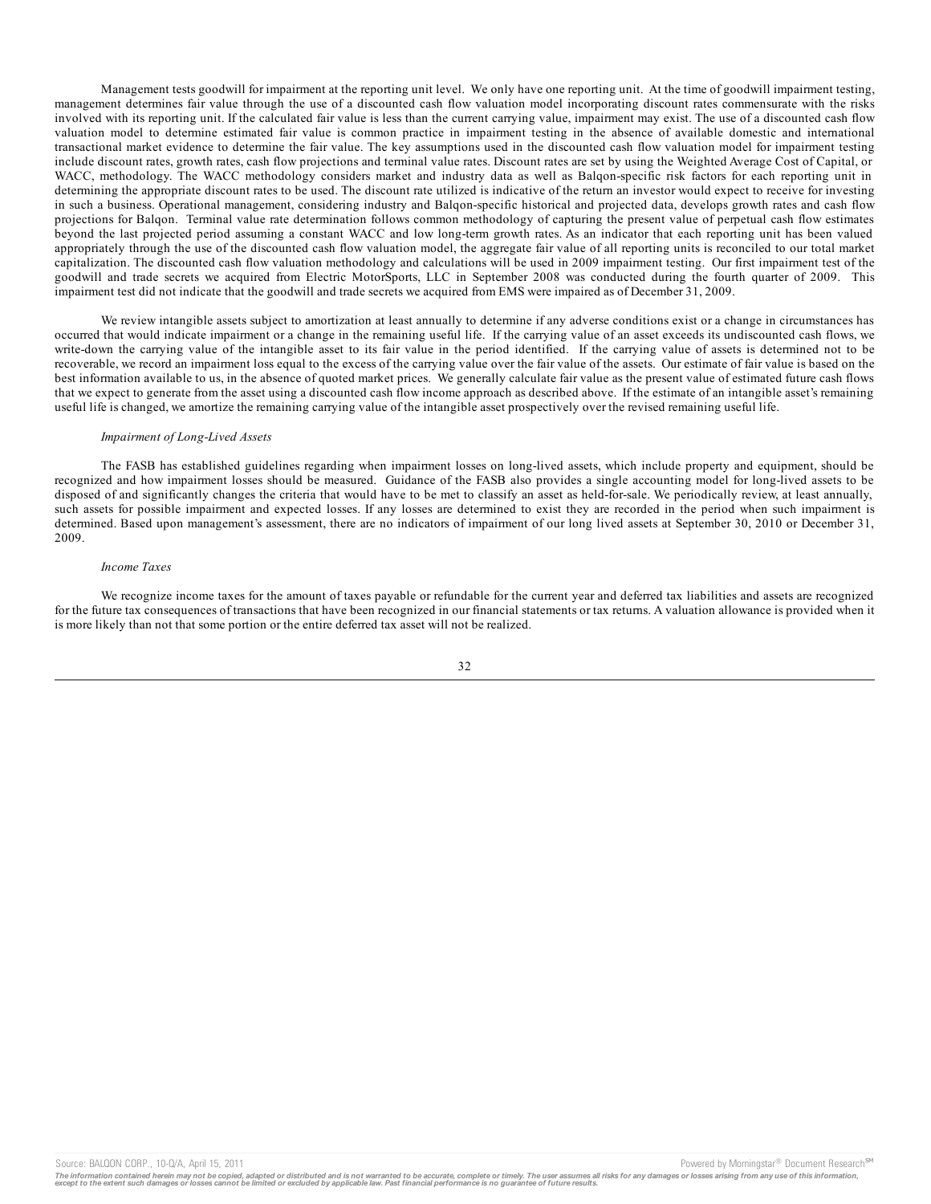Management tests goodwill for impairment at the reporting unit level. We only have one reporting unit. At the time of goodwill impairment testing, management determines fair value through the use of a discounted cash flow valuation model incorporating discount rates commensurate with the risks involved with its reporting unit. If the calculated fair value is less than the current carrying value, impairment may exist. The use of a discounted cash flow valuation model to determine estimated fair value is common practice in impairment testing in the absence of available domestic and international transactional market evidence to determine the fair value. The key assumptions used in the discounted cash flow valuation model for impairment testing include discount rates, growth rates, cash flow projections and terminal value rates. Discount rates are set by using the Weighted Average Cost of Capital, or WACC, methodology. The WACC methodology considers market and industry data as well as Balqon-specific risk factors for each reporting unit in determining the appropriate discount rates to be used. The discount rate utilized is indicative of the return an investor would expect to receive for investing in such a business. Operational management, considering industry and Balqon-specific historical and projected data, develops growth rates and cash flow projections for Balqon. Terminal value rate determination follows common methodology of capturing the present value of perpetual cash flow estimates beyond the last projected period assuming a constant WACC and low long-term growth rates. As an indicator that each reporting unit has been valued appropriately through the use of the discounted cash flow valuation model, the aggregate fair value of all reporting units is reconciled to our total market capitalization. The discounted cash flow valuation methodology and calculations will be used in 2009 impairment testing. Our first impairment test of the goodwill and trade secrets we acquired from Electric MotorSports, LLC in September 2008 was conducted during the fourth quarter of 2009. This impairment test did not indicate that the goodwill and trade secrets we acquired from EMS were impaired as of December 31, 2009.

We review intangible assets subject to amortization at least annually to determine if any adverse conditions exist or a change in circumstances has occurred that would indicate impairment or a change in the remaining useful life. If the carrying value of an asset exceeds its undiscounted cash flows, we write-down the carrying value of the intangible asset to its fair value in the period identified. If the carrying value of assets is determined not to be recoverable, we record an impairment loss equal to the excess of the carrying value over the fair value of the assets. Our estimate of fair value is based on the best information available to us, in the absence of quoted market prices. We generally calculate fair value as the present value of estimated future cash flows that we expect to generate from the asset using a discounted cash flow income approach as described above. If the estimate of an intangible asset's remaining useful life is changed, we amortize the remaining carrying value of the intangible asset prospectively over the revised remaining useful life.

#### *Impairment of Long-Lived Assets*

The FASB has established guidelines regarding when impairment losses on long-lived assets, which include property and equipment, should be recognized and how impairment losses should be measured. Guidance of the FASB also provides a single accounting model for long-lived assets to be disposed of and significantly changes the criteria that would have to be met to classify an asset as held-for-sale. We periodically review, at least annually, such assets for possible impairment and expected losses. If any losses are determined to exist they are recorded in the period when such impairment is determined. Based upon management's assessment, there are no indicators of impairment of our long lived assets at September 30, 2010 or December 31, 2009.

## *Income Taxes*

We recognize income taxes for the amount of taxes payable or refundable for the current year and deferred tax liabilities and assets are recognized for the future tax consequences of transactions that have been recognized in our financial statements or tax returns. A valuation allowance is provided when it is more likely than not that some portion or the entire deferred tax asset will not be realized.

Source: BALQON CORP., 10-Q/A, April 15, 2011 **Powered by Morningstar<sup>®</sup> Document Research<sup>™</sup>** 

The information contained herein may not be copied, adapted or distributed and is not warranted to be accurate, complete or timely. The user assumes all risks for any damages or losses arising from any use of this informat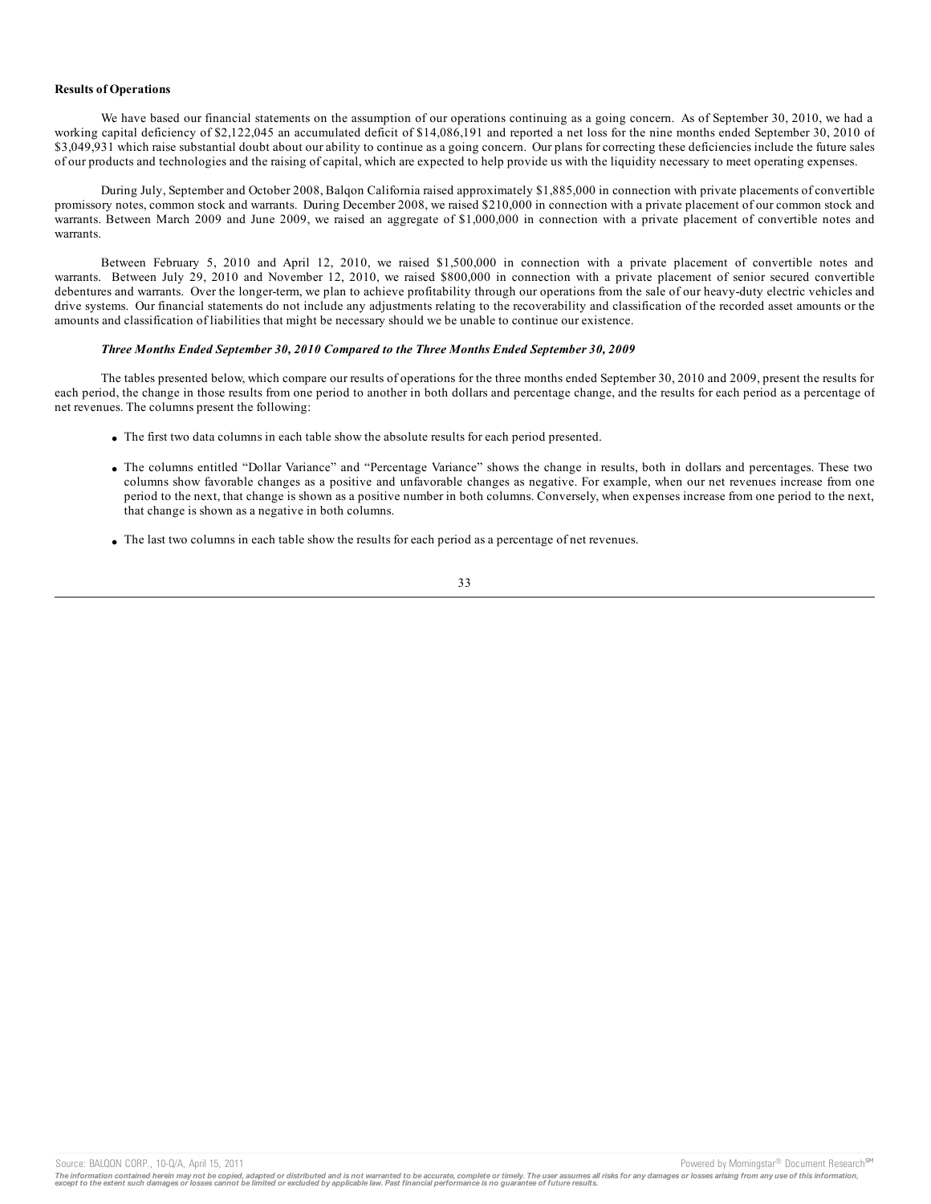#### **Results of Operations**

We have based our financial statements on the assumption of our operations continuing as a going concern. As of September 30, 2010, we had a working capital deficiency of \$2,122,045 an accumulated deficit of \$14,086,191 and reported a net loss for the nine months ended September 30, 2010 of \$3,049,931 which raise substantial doubt about our ability to continue as a going concern. Our plans for correcting these deficiencies include the future sales of our products and technologies and the raising of capital, which are expected to help provide us with the liquidity necessary to meet operating expenses.

During July, September and October 2008, Balqon California raised approximately \$1,885,000 in connection with private placements of convertible promissory notes, common stock and warrants. During December 2008, we raised \$210,000 in connection with a private placement of our common stock and warrants. Between March 2009 and June 2009, we raised an aggregate of \$1,000,000 in connection with a private placement of convertible notes and warrants.

Between February 5, 2010 and April 12, 2010, we raised \$1,500,000 in connection with a private placement of convertible notes and warrants. Between July 29, 2010 and November 12, 2010, we raised \$800,000 in connection with a private placement of senior secured convertible debentures and warrants. Over the longer-term, we plan to achieve profitability through our operations from the sale of our heavy-duty electric vehicles and drive systems. Our financial statements do not include any adjustments relating to the recoverability and classification of the recorded asset amounts or the amounts and classification of liabilities that might be necessary should we be unable to continue our existence.

## *Three Months Ended September 30, 2010 Compared to the Three Months Ended September 30, 2009*

The tables presented below, which compare our results of operations for the three months ended September 30, 2010 and 2009, present the results for each period, the change in those results from one period to another in both dollars and percentage change, and the results for each period as a percentage of net revenues. The columns present the following:

- · The first two data columns in each table show the absolute results for each period presented.
- · The columns entitled "Dollar Variance" and "Percentage Variance" shows the change in results, both in dollars and percentages. These two columns show favorable changes as a positive and unfavorable changes as negative. For example, when our net revenues increase from one period to the next, that change is shown as a positive number in both columns. Conversely, when expenses increase from one period to the next, that change is shown as a negative in both columns.
- · The last two columns in each table show the results for each period as a percentage of net revenues.

## 33

The information contained herein may not be copied, adapted or distributed and is not warranted to be accurate, complete or timely. The user assumes all risks for any damages or losses arising from any use of this informat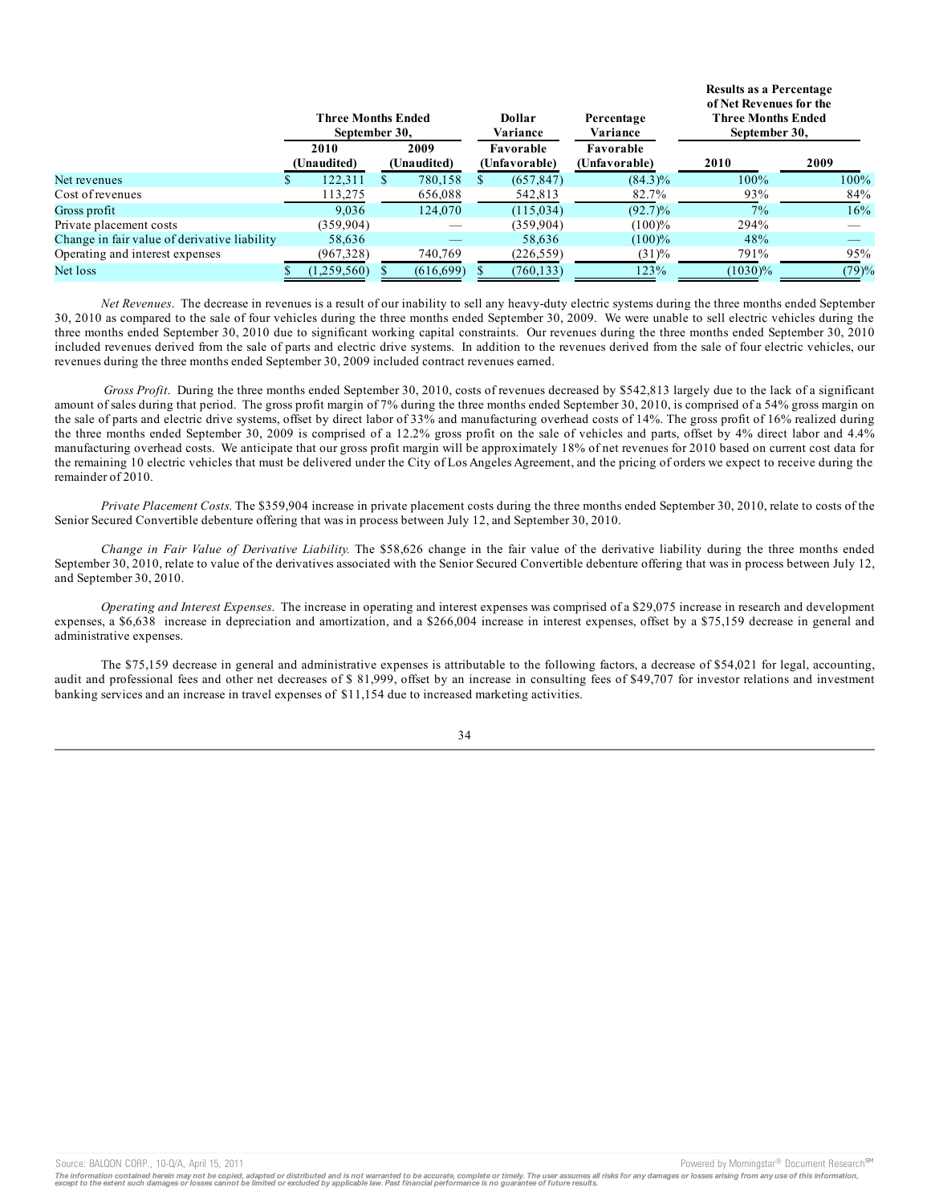|                                              | <b>Three Months Ended</b><br>September 30, |  |                     |  | Dollar<br>Variance         | Percentage<br>Variance     | Results as a Percentage<br>of Net Revenues for the<br><b>Three Months Ended</b><br>September 30, |       |  |  |
|----------------------------------------------|--------------------------------------------|--|---------------------|--|----------------------------|----------------------------|--------------------------------------------------------------------------------------------------|-------|--|--|
|                                              | 2010<br>(Unaudited)                        |  | 2009<br>(Unaudited) |  | Favorable<br>(Unfavorable) | Favorable<br>(Unfavorable) | 2010                                                                                             | 2009  |  |  |
| Net revenues                                 | 122.311                                    |  | 780,158             |  | (657, 847)                 | $(84.3)\%$                 | 100%                                                                                             | 100%  |  |  |
| Cost of revenues                             | 13,275                                     |  | 656,088             |  | 542,813                    | 82.7%                      | 93%                                                                                              | 84%   |  |  |
| Gross profit                                 | 9.036                                      |  | 124,070             |  | (115,034)                  | $(92.7)\%$                 | 7%                                                                                               | 16%   |  |  |
| Private placement costs                      | (359.904)                                  |  |                     |  | (359, 904)                 | (100)%                     | 294%                                                                                             |       |  |  |
| Change in fair value of derivative liability | 58,636                                     |  |                     |  | 58,636                     | (100)%                     | 48%                                                                                              |       |  |  |
| Operating and interest expenses              | (967,328)                                  |  | 740,769             |  | (226,559)                  | $(31)\%$                   | 791%                                                                                             | 95%   |  |  |
| Net loss                                     | (1,259,560)                                |  | (616, 699)          |  | (760, 133)                 | 123%                       | $(1030)\%$                                                                                       | (79)% |  |  |

*Net Revenues*. The decrease in revenues is a result of our inability to sell any heavy-duty electric systems during the three months ended September 30, 2010 as compared to the sale of four vehicles during the three months ended September 30, 2009. We were unable to sell electric vehicles during the three months ended September 30, 2010 due to significant working capital constraints. Our revenues during the three months ended September 30, 2010 included revenues derived from the sale of parts and electric drive systems. In addition to the revenues derived from the sale of four electric vehicles, our revenues during the three months ended September 30, 2009 included contract revenues earned.

*Gross Profit*. During the three months ended September 30, 2010, costs of revenues decreased by \$542,813 largely due to the lack of a significant amount of sales during that period. The gross profit margin of 7% during the three months ended September 30, 2010, is comprised of a 54% gross margin on the sale of parts and electric drive systems, offset by direct labor of 33% and manufacturing overhead costs of 14%. The gross profit of 16% realized during the three months ended September 30, 2009 is comprised of a 12.2% gross profit on the sale of vehicles and parts, offset by 4% direct labor and 4.4% manufacturing overhead costs. We anticipate that our gross profit margin will be approximately 18% of net revenues for 2010 based on current cost data for the remaining 10 electric vehicles that must be delivered under the City of Los Angeles Agreement, and the pricing of orders we expect to receive during the remainder of 2010.

*Private Placement Costs.* The \$359,904 increase in private placement costs during the three months ended September 30, 2010, relate to costs of the Senior Secured Convertible debenture offering that was in process between July 12, and September 30, 2010.

*Change in Fair Value of Derivative Liability.* The \$58,626 change in the fair value of the derivative liability during the three months ended September 30, 2010, relate to value of the derivatives associated with the Senior Secured Convertible debenture offering that was in process between July 12, and September 30, 2010.

*Operating and Interest Expenses*. The increase in operating and interest expenses was comprised of a \$29,075 increase in research and development expenses, a \$6,638 increase in depreciation and amortization, and a \$266,004 increase in interest expenses, offset by a \$75,159 decrease in general and administrative expenses.

The \$75,159 decrease in general and administrative expenses is attributable to the following factors, a decrease of \$54,021 for legal, accounting, audit and professional fees and other net decreases of \$ 81,999, offset by an increase in consulting fees of \$49,707 for investor relations and investment banking services and an increase in travel expenses of \$11,154 due to increased marketing activities.

34

The information contained herein may not be copied, adapted or distributed and is not warranted to be accurate, complete or timely. The user assumes all risks for any damages or losses arising from any use of this informat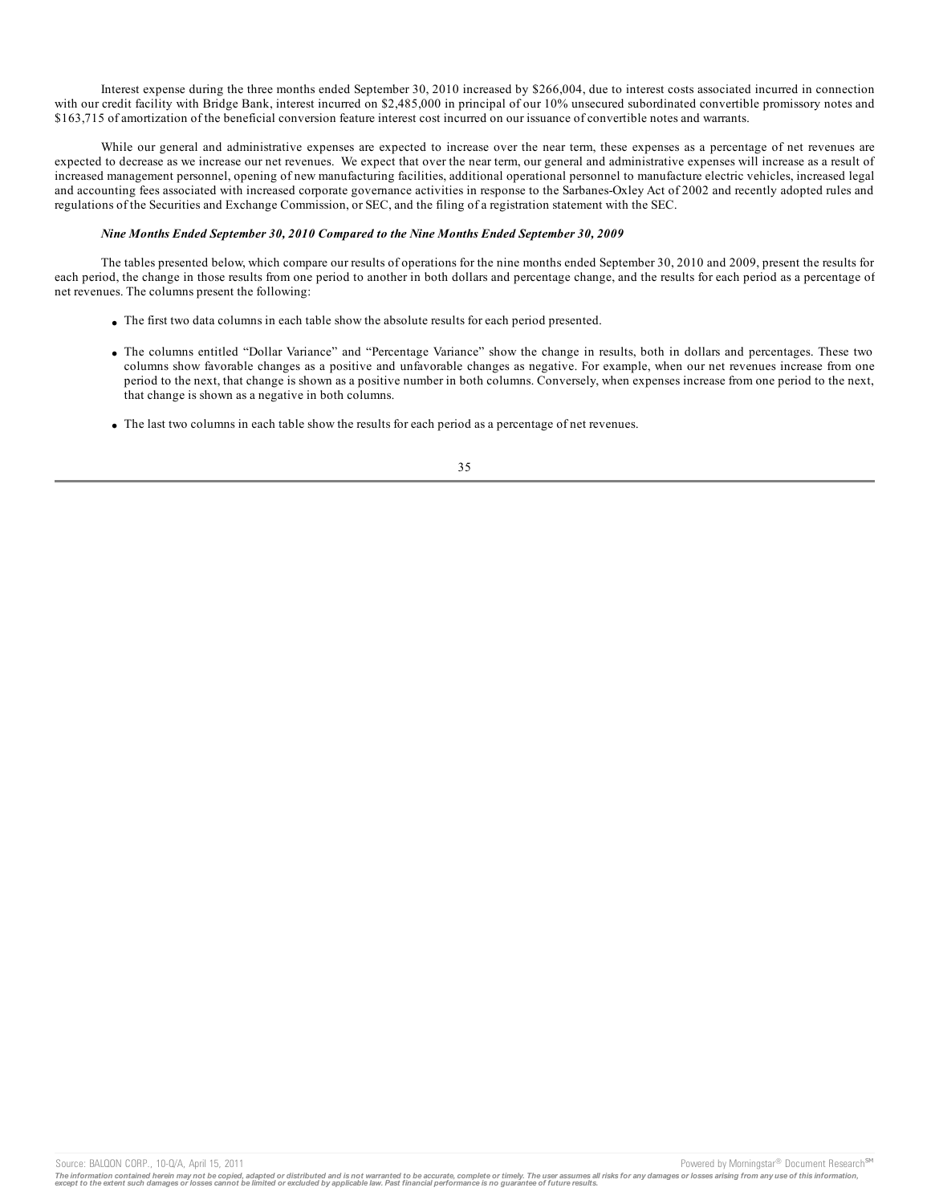Interest expense during the three months ended September 30, 2010 increased by \$266,004, due to interest costs associated incurred in connection with our credit facility with Bridge Bank, interest incurred on \$2,485,000 in principal of our 10% unsecured subordinated convertible promissory notes and \$163,715 of amortization of the beneficial conversion feature interest cost incurred on our issuance of convertible notes and warrants.

While our general and administrative expenses are expected to increase over the near term, these expenses as a percentage of net revenues are expected to decrease as we increase our net revenues. We expect that over the near term, our general and administrative expenses will increase as a result of increased management personnel, opening of new manufacturing facilities, additional operational personnel to manufacture electric vehicles, increased legal and accounting fees associated with increased corporate governance activities in response to the Sarbanes-Oxley Act of 2002 and recently adopted rules and regulations of the Securities and Exchange Commission, or SEC, and the filing of a registration statement with the SEC.

## *Nine Months Ended September 30, 2010 Compared to the Nine Months Ended September 30, 2009*

The tables presented below, which compare our results of operations for the nine months ended September 30, 2010 and 2009, present the results for each period, the change in those results from one period to another in both dollars and percentage change, and the results for each period as a percentage of net revenues. The columns present the following:

- · The first two data columns in each table show the absolute results for each period presented.
- · The columns entitled "Dollar Variance" and "Percentage Variance" show the change in results, both in dollars and percentages. These two columns show favorable changes as a positive and unfavorable changes as negative. For example, when our net revenues increase from one period to the next, that change is shown as a positive number in both columns. Conversely, when expenses increase from one period to the next, that change is shown as a negative in both columns.
- · The last two columns in each table show the results for each period as a percentage of net revenues.

### 35

The information contained herein may not be copied, adapted or distributed and is not warranted to be accurate, complete or timely. The user assumes all risks for any damages or losses arising from any use of this informat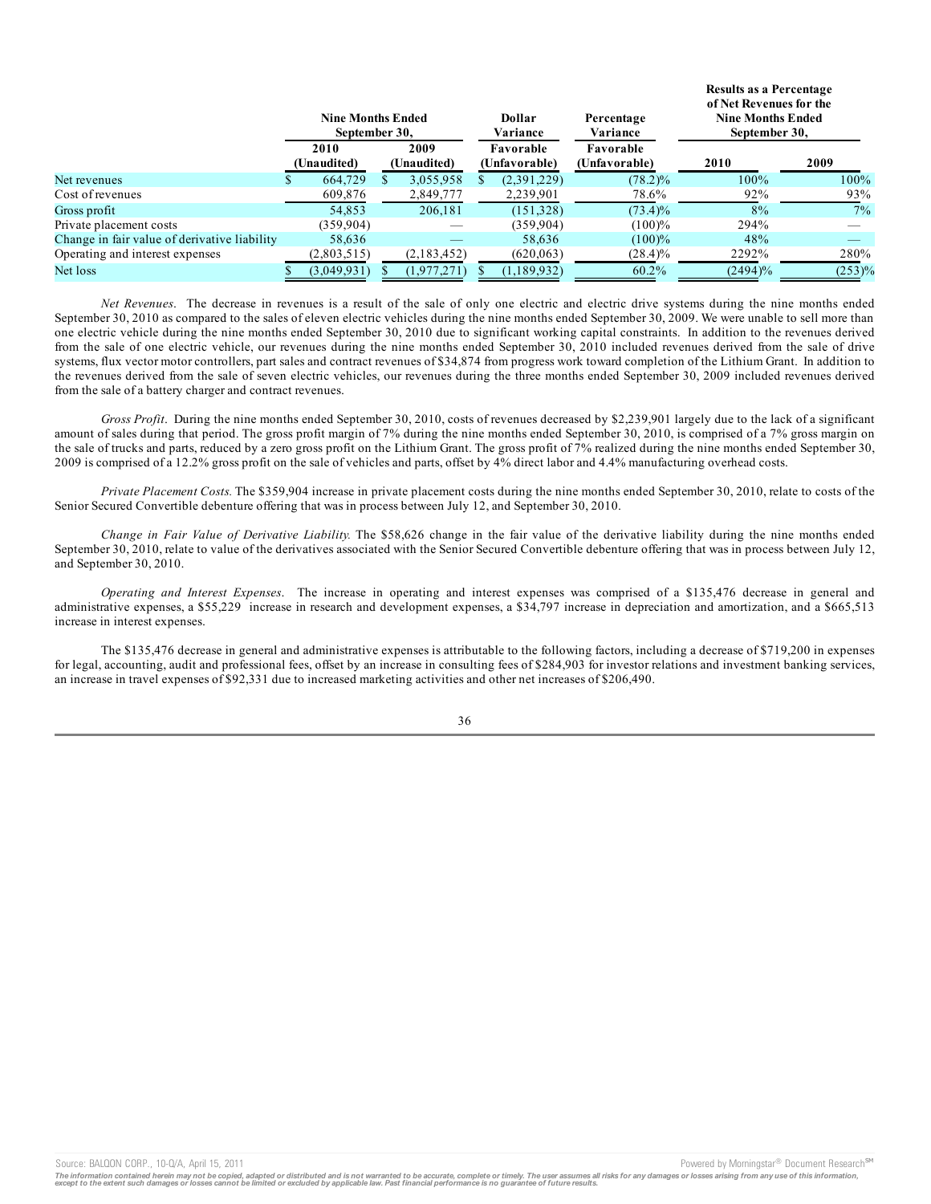|                                              | <b>Nine Months Ended</b><br>September 30. |             |  |                     |  | <b>Dollar</b><br>Variance  | Percentage<br>Variance     | Results as a Percentage<br>of Net Revenues for the<br><b>Nine Months Ended</b><br>September 30, |           |  |  |
|----------------------------------------------|-------------------------------------------|-------------|--|---------------------|--|----------------------------|----------------------------|-------------------------------------------------------------------------------------------------|-----------|--|--|
|                                              | 2010<br>(Unaudited)                       |             |  | 2009<br>(Unaudited) |  | Favorable<br>(Unfavorable) | Favorable<br>(Unfavorable) | 2010                                                                                            | 2009      |  |  |
| Net revenues                                 |                                           | 664,729     |  | 3,055,958           |  | (2,391,229)                | $(78.2)\%$                 | 100%                                                                                            | $100\%$   |  |  |
| Cost of revenues                             |                                           | 609,876     |  | 2,849,777           |  | 2,239,901                  | 78.6%                      | 92%                                                                                             | 93%       |  |  |
| Gross profit                                 |                                           | 54,853      |  | 206.181             |  | (151, 328)                 | $(73.4)\%$                 | 8%                                                                                              | $7\%$     |  |  |
| Private placement costs                      |                                           | (359.904)   |  |                     |  | (359, 904)                 | (100)%                     | 294%                                                                                            |           |  |  |
| Change in fair value of derivative liability |                                           | 58,636      |  |                     |  | 58,636                     | (100)%                     | 48%                                                                                             |           |  |  |
| Operating and interest expenses              |                                           | (2,803,515) |  | (2,183,452)         |  | (620, 063)                 | $(28.4)\%$                 | 2292%                                                                                           | 280%      |  |  |
| Net loss                                     |                                           | (3,049,931) |  | (1,977,271)         |  | (1, 189, 932)              | 60.2%                      | $(2494)\%$                                                                                      | $(253)\%$ |  |  |

*Net Revenues*. The decrease in revenues is a result of the sale of only one electric and electric drive systems during the nine months ended September 30, 2010 as compared to the sales of eleven electric vehicles during the nine months ended September 30, 2009. We were unable to sell more than one electric vehicle during the nine months ended September 30, 2010 due to significant working capital constraints. In addition to the revenues derived from the sale of one electric vehicle, our revenues during the nine months ended September 30, 2010 included revenues derived from the sale of drive systems, flux vector motor controllers, part sales and contract revenues of \$34,874 from progress work toward completion of the Lithium Grant. In addition to the revenues derived from the sale of seven electric vehicles, our revenues during the three months ended September 30, 2009 included revenues derived from the sale of a battery charger and contract revenues.

*Gross Profit*. During the nine months ended September 30, 2010, costs of revenues decreased by \$2,239,901 largely due to the lack of a significant amount of sales during that period. The gross profit margin of 7% during the nine months ended September 30, 2010, is comprised of a 7% gross margin on the sale of trucks and parts, reduced by a zero gross profit on the Lithium Grant. The gross profit of 7% realized during the nine months ended September 30, 2009 is comprised of a 12.2% gross profit on the sale of vehicles and parts, offset by 4% direct labor and 4.4% manufacturing overhead costs.

*Private Placement Costs.* The \$359,904 increase in private placement costs during the nine months ended September 30, 2010, relate to costs of the Senior Secured Convertible debenture offering that was in process between July 12, and September 30, 2010.

*Change in Fair Value of Derivative Liability.* The \$58,626 change in the fair value of the derivative liability during the nine months ended September 30, 2010, relate to value of the derivatives associated with the Senior Secured Convertible debenture offering that was in process between July 12, and September 30, 2010.

*Operating and Interest Expenses*. The increase in operating and interest expenses was comprised of a \$135,476 decrease in general and administrative expenses, a \$55,229 increase in research and development expenses, a \$34,797 increase in depreciation and amortization, and a \$665,513 increase in interest expenses.

The \$135,476 decrease in general and administrative expenses is attributable to the following factors, including a decrease of \$719,200 in expenses for legal, accounting, audit and professional fees, offset by an increase in consulting fees of \$284,903 for investor relations and investment banking services, an increase in travel expenses of \$92,331 due to increased marketing activities and other net increases of \$206,490.

36

The information contained herein may not be copied, adapted or distributed and is not warranted to be accurate, complete or timely. The user assumes all risks for any damages or losses arising from any use of this informat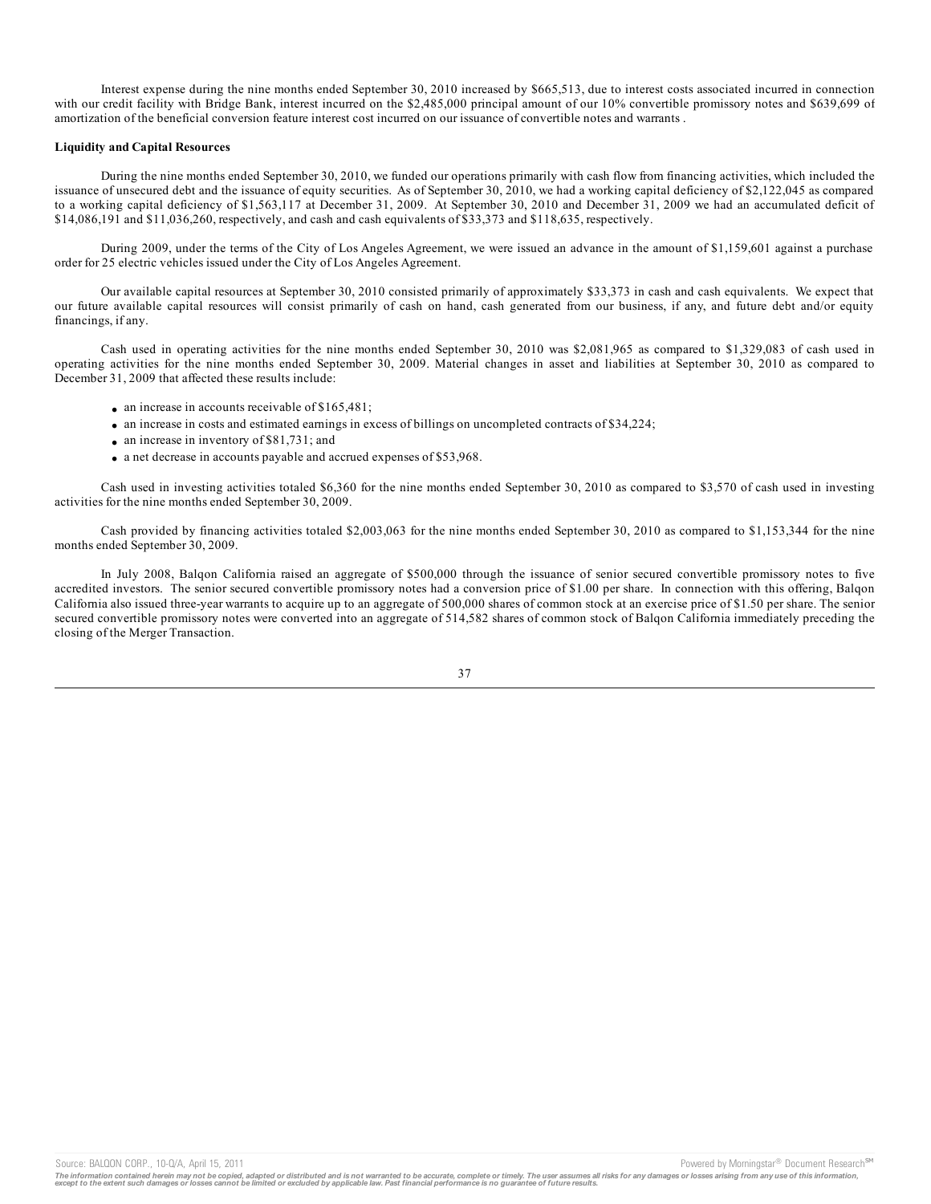Interest expense during the nine months ended September 30, 2010 increased by \$665,513, due to interest costs associated incurred in connection with our credit facility with Bridge Bank, interest incurred on the \$2,485,000 principal amount of our 10% convertible promissory notes and \$639,699 of amortization of the beneficial conversion feature interest cost incurred on our issuance of convertible notes and warrants .

## **Liquidity and Capital Resources**

During the nine months ended September 30, 2010, we funded our operations primarily with cash flow from financing activities, which included the issuance of unsecured debt and the issuance of equity securities. As of September 30, 2010, we had a working capital deficiency of \$2,122,045 as compared to a working capital deficiency of \$1,563,117 at December 31, 2009. At September 30, 2010 and December 31, 2009 we had an accumulated deficit of \$14,086,191 and \$11,036,260, respectively, and cash and cash equivalents of \$33,373 and \$118,635, respectively.

During 2009, under the terms of the City of Los Angeles Agreement, we were issued an advance in the amount of \$1,159,601 against a purchase order for 25 electric vehicles issued under the City of Los Angeles Agreement.

Our available capital resources at September 30, 2010 consisted primarily of approximately \$33,373 in cash and cash equivalents. We expect that our future available capital resources will consist primarily of cash on hand, cash generated from our business, if any, and future debt and/or equity financings, if any.

Cash used in operating activities for the nine months ended September 30, 2010 was \$2,081,965 as compared to \$1,329,083 of cash used in operating activities for the nine months ended September 30, 2009. Material changes in asset and liabilities at September 30, 2010 as compared to December 31, 2009 that affected these results include:

- an increase in accounts receivable of \$165,481;
- · an increase in costs and estimated earnings in excess of billings on uncompleted contracts of \$34,224;
- an increase in inventory of \$81,731; and
- · a net decrease in accounts payable and accrued expenses of \$53,968.

Cash used in investing activities totaled \$6,360 for the nine months ended September 30, 2010 as compared to \$3,570 of cash used in investing activities for the nine months ended September 30, 2009.

Cash provided by financing activities totaled \$2,003,063 for the nine months ended September 30, 2010 as compared to \$1,153,344 for the nine months ended September 30, 2009.

In July 2008, Balqon California raised an aggregate of \$500,000 through the issuance of senior secured convertible promissory notes to five accredited investors. The senior secured convertible promissory notes had a conversion price of \$1.00 per share. In connection with this offering, Balqon California also issued three-year warrants to acquire up to an aggregate of 500,000 shares of common stock at an exercise price of \$1.50 per share. The senior secured convertible promissory notes were converted into an aggregate of 514,582 shares of common stock of Balqon California immediately preceding the closing of the Merger Transaction.



The information contained herein may not be copied, adapted or distributed and is not warranted to be accurate, complete or timely. The user assumes all risks for any damages or losses arising from any use of this informat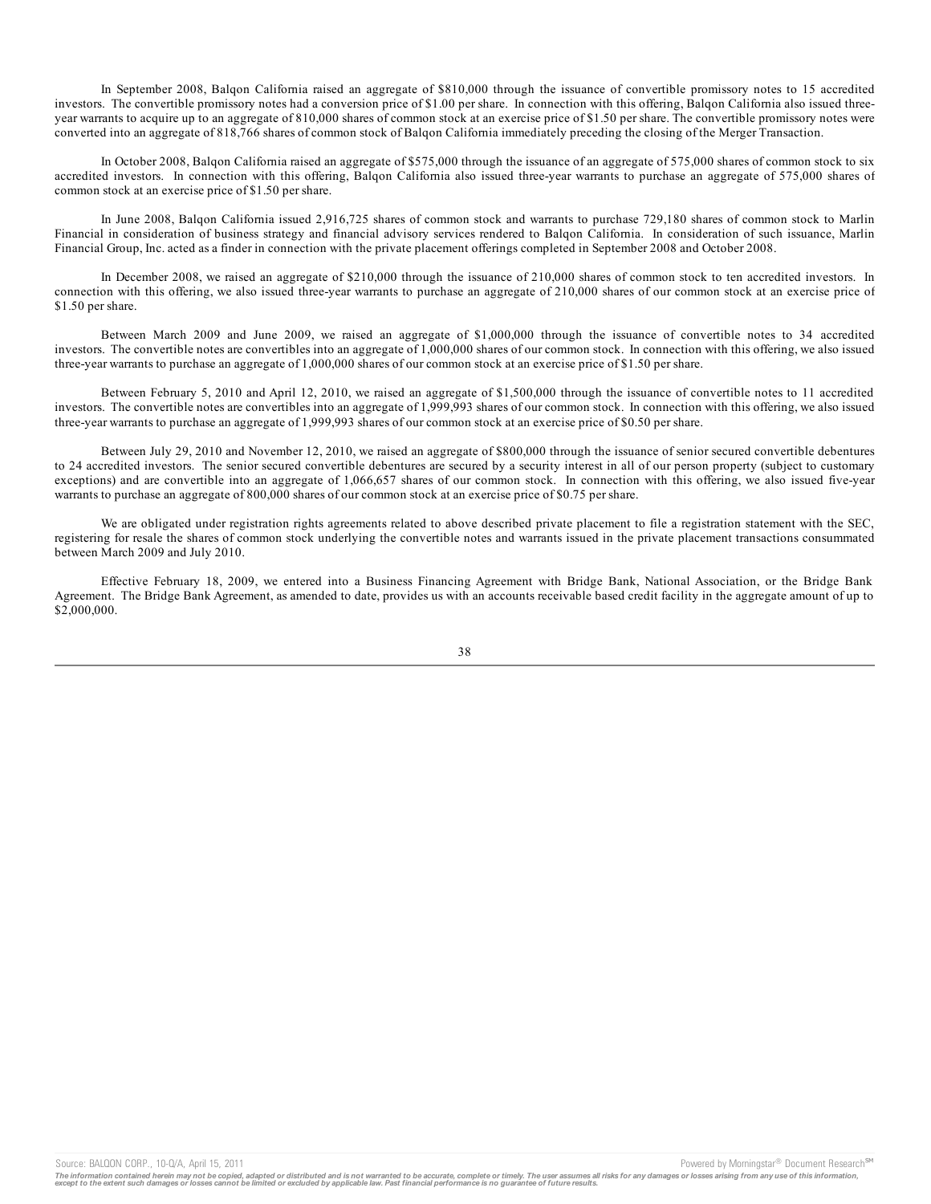In September 2008, Balqon California raised an aggregate of \$810,000 through the issuance of convertible promissory notes to 15 accredited investors. The convertible promissory notes had a conversion price of \$1.00 per share. In connection with this offering, Balqon California also issued threeyear warrants to acquire up to an aggregate of 810,000 shares of common stock at an exercise price of \$1.50 per share. The convertible promissory notes were converted into an aggregate of 818,766 shares of common stock of Balqon California immediately preceding the closing of the Merger Transaction.

In October 2008, Balqon California raised an aggregate of \$575,000 through the issuance of an aggregate of 575,000 shares of common stock to six accredited investors. In connection with this offering, Balqon California also issued three-year warrants to purchase an aggregate of 575,000 shares of common stock at an exercise price of \$1.50 per share.

In June 2008, Balqon California issued 2,916,725 shares of common stock and warrants to purchase 729,180 shares of common stock to Marlin Financial in consideration of business strategy and financial advisory services rendered to Balqon California. In consideration of such issuance, Marlin Financial Group, Inc. acted as a finder in connection with the private placement offerings completed in September 2008 and October 2008.

In December 2008, we raised an aggregate of \$210,000 through the issuance of 210,000 shares of common stock to ten accredited investors. In connection with this offering, we also issued three-year warrants to purchase an aggregate of 210,000 shares of our common stock at an exercise price of \$1.50 per share.

Between March 2009 and June 2009, we raised an aggregate of \$1,000,000 through the issuance of convertible notes to 34 accredited investors. The convertible notes are convertibles into an aggregate of 1,000,000 shares of our common stock. In connection with this offering, we also issued three-year warrants to purchase an aggregate of 1,000,000 shares of our common stock at an exercise price of \$1.50 per share.

Between February 5, 2010 and April 12, 2010, we raised an aggregate of \$1,500,000 through the issuance of convertible notes to 11 accredited investors. The convertible notes are convertibles into an aggregate of 1,999,993 shares of our common stock. In connection with this offering, we also issued three-year warrants to purchase an aggregate of 1,999,993 shares of our common stock at an exercise price of \$0.50 per share.

Between July 29, 2010 and November 12, 2010, we raised an aggregate of \$800,000 through the issuance of senior secured convertible debentures to 24 accredited investors. The senior secured convertible debentures are secured by a security interest in all of our person property (subject to customary exceptions) and are convertible into an aggregate of 1,066,657 shares of our common stock. In connection with this offering, we also issued five-year warrants to purchase an aggregate of 800,000 shares of our common stock at an exercise price of \$0.75 per share.

We are obligated under registration rights agreements related to above described private placement to file a registration statement with the SEC, registering for resale the shares of common stock underlying the convertible notes and warrants issued in the private placement transactions consummated between March 2009 and July 2010.

Effective February 18, 2009, we entered into a Business Financing Agreement with Bridge Bank, National Association, or the Bridge Bank Agreement. The Bridge Bank Agreement, as amended to date, provides us with an accounts receivable based credit facility in the aggregate amount of up to \$2,000,000.

38

Source: BALQON CORP., 10-Q/A, April 15, 2011 **Powered by Morningstar® Document Research** in Powered by Morningstar® Document Research in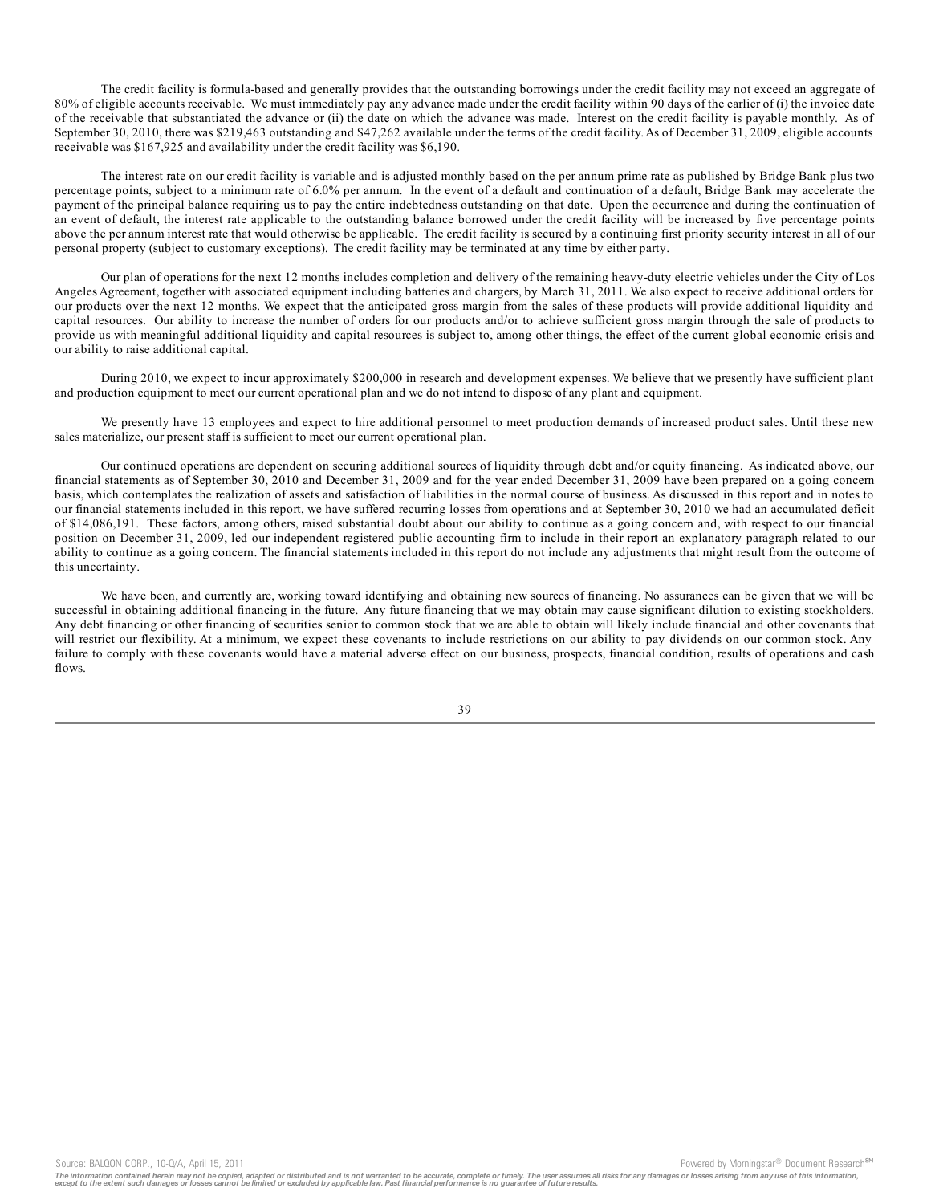The credit facility is formula-based and generally provides that the outstanding borrowings under the credit facility may not exceed an aggregate of 80% of eligible accounts receivable. We must immediately pay any advance made under the credit facility within 90 days of the earlier of (i) the invoice date of the receivable that substantiated the advance or (ii) the date on which the advance was made. Interest on the credit facility is payable monthly. As of September 30, 2010, there was \$219,463 outstanding and \$47,262 available under the terms of the credit facility. As of December 31, 2009, eligible accounts receivable was \$167,925 and availability under the credit facility was \$6,190.

The interest rate on our credit facility is variable and is adjusted monthly based on the per annum prime rate as published by Bridge Bank plus two percentage points, subject to a minimum rate of 6.0% per annum. In the event of a default and continuation of a default, Bridge Bank may accelerate the payment of the principal balance requiring us to pay the entire indebtedness outstanding on that date. Upon the occurrence and during the continuation of an event of default, the interest rate applicable to the outstanding balance borrowed under the credit facility will be increased by five percentage points above the per annum interest rate that would otherwise be applicable. The credit facility is secured by a continuing first priority security interest in all of our personal property (subject to customary exceptions). The credit facility may be terminated at any time by either party.

Our plan of operations for the next 12 months includes completion and delivery of the remaining heavy-duty electric vehicles under the City of Los Angeles Agreement, together with associated equipment including batteries and chargers, by March 31, 2011. We also expect to receive additional orders for our products over the next 12 months. We expect that the anticipated gross margin from the sales of these products will provide additional liquidity and capital resources. Our ability to increase the number of orders for our products and/or to achieve sufficient gross margin through the sale of products to provide us with meaningful additional liquidity and capital resources is subject to, among other things, the effect of the current global economic crisis and our ability to raise additional capital.

During 2010, we expect to incur approximately \$200,000 in research and development expenses. We believe that we presently have sufficient plant and production equipment to meet our current operational plan and we do not intend to dispose of any plant and equipment.

We presently have 13 employees and expect to hire additional personnel to meet production demands of increased product sales. Until these new sales materialize, our present staff is sufficient to meet our current operational plan.

Our continued operations are dependent on securing additional sources of liquidity through debt and/or equity financing. As indicated above, our financial statements as of September 30, 2010 and December 31, 2009 and for the year ended December 31, 2009 have been prepared on a going concern basis, which contemplates the realization of assets and satisfaction of liabilities in the normal course of business. As discussed in this report and in notes to our financial statements included in this report, we have suffered recurring losses from operations and at September 30, 2010 we had an accumulated deficit of \$14,086,191. These factors, among others, raised substantial doubt about our ability to continue as a going concern and, with respect to our financial position on December 31, 2009, led our independent registered public accounting firm to include in their report an explanatory paragraph related to our ability to continue as a going concern. The financial statements included in this report do not include any adjustments that might result from the outcome of this uncertainty.

We have been, and currently are, working toward identifying and obtaining new sources of financing. No assurances can be given that we will be successful in obtaining additional financing in the future. Any future financing that we may obtain may cause significant dilution to existing stockholders. Any debt financing or other financing of securities senior to common stock that we are able to obtain will likely include financial and other covenants that will restrict our flexibility. At a minimum, we expect these covenants to include restrictions on our ability to pay dividends on our common stock. Any failure to comply with these covenants would have a material adverse effect on our business, prospects, financial condition, results of operations and cash flows.

39

The information contained herein may not be copied, adapted or distributed and is not warranted to be accurate, complete or timely. The user assumes all risks for any damages or losses arising from any use of this informat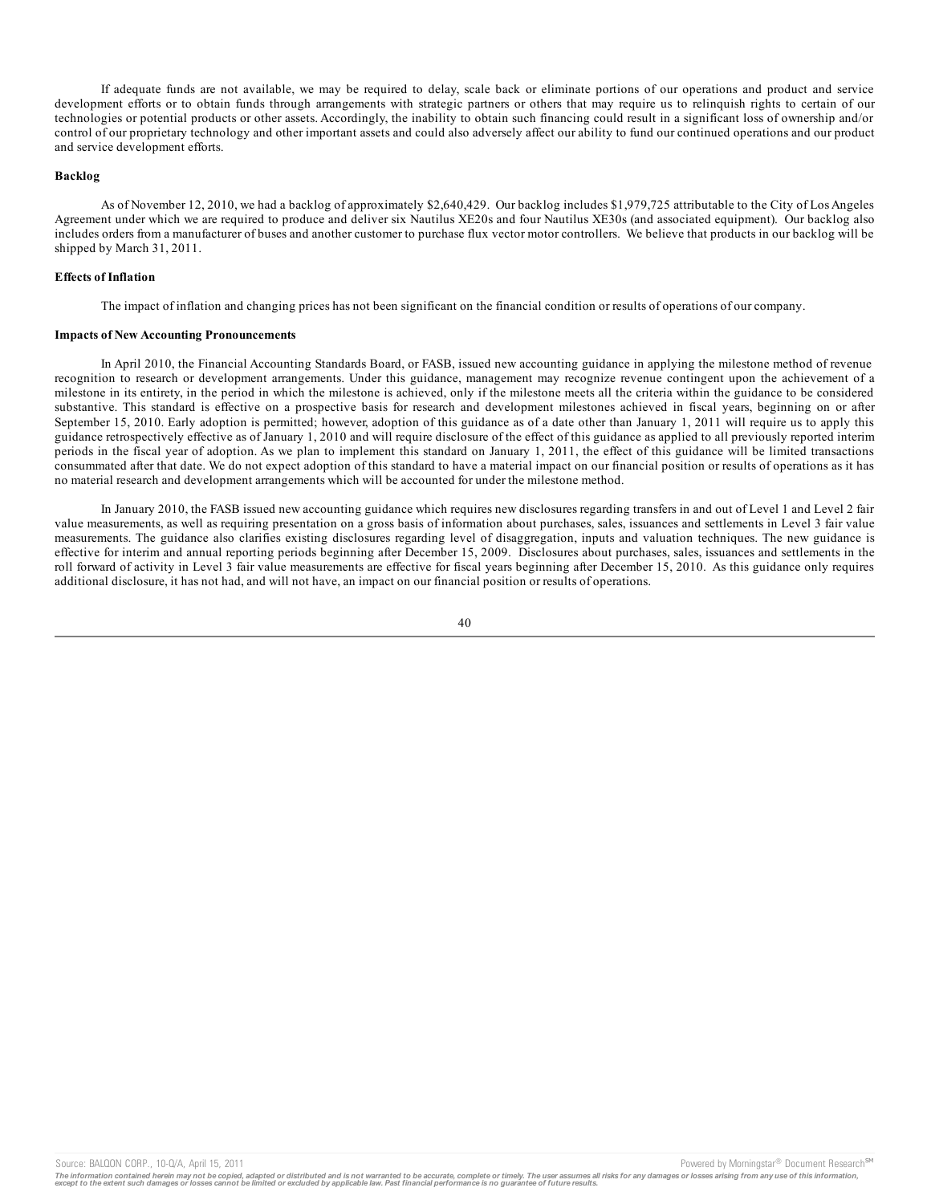If adequate funds are not available, we may be required to delay, scale back or eliminate portions of our operations and product and service development efforts or to obtain funds through arrangements with strategic partners or others that may require us to relinquish rights to certain of our technologies or potential products or other assets. Accordingly, the inability to obtain such financing could result in a significant loss of ownership and/or control of our proprietary technology and other important assets and could also adversely affect our ability to fund our continued operations and our product and service development efforts.

## **Backlog**

As of November 12, 2010, we had a backlog of approximately \$2,640,429. Our backlog includes \$1,979,725 attributable to the City of Los Angeles Agreement under which we are required to produce and deliver six Nautilus XE20s and four Nautilus XE30s (and associated equipment). Our backlog also includes orders from a manufacturer of buses and another customer to purchase flux vector motor controllers. We believe that products in our backlog will be shipped by March 31, 2011.

# **Effects of Inflation**

The impact of inflation and changing prices has not been significant on the financial condition or results of operations of our company.

### **Impacts of New Accounting Pronouncements**

In April 2010, the Financial Accounting Standards Board, or FASB, issued new accounting guidance in applying the milestone method of revenue recognition to research or development arrangements. Under this guidance, management may recognize revenue contingent upon the achievement of a milestone in its entirety, in the period in which the milestone is achieved, only if the milestone meets all the criteria within the guidance to be considered substantive. This standard is effective on a prospective basis for research and development milestones achieved in fiscal years, beginning on or after September 15, 2010. Early adoption is permitted; however, adoption of this guidance as of a date other than January 1, 2011 will require us to apply this guidance retrospectively effective as of January 1, 2010 and will require disclosure of the effect of this guidance as applied to all previously reported interim periods in the fiscal year of adoption. As we plan to implement this standard on January 1, 2011, the effect of this guidance will be limited transactions consummated after that date. We do not expect adoption of this standard to have a material impact on our financial position or results of operations as it has no material research and development arrangements which will be accounted for under the milestone method.

In January 2010, the FASB issued new accounting guidance which requires new disclosures regarding transfers in and out of Level 1 and Level 2 fair value measurements, as well as requiring presentation on a gross basis of information about purchases, sales, issuances and settlements in Level 3 fair value measurements. The guidance also clarifies existing disclosures regarding level of disaggregation, inputs and valuation techniques. The new guidance is effective for interim and annual reporting periods beginning after December 15, 2009. Disclosures about purchases, sales, issuances and settlements in the roll forward of activity in Level 3 fair value measurements are effective for fiscal years beginning after December 15, 2010. As this guidance only requires additional disclosure, it has not had, and will not have, an impact on our financial position or results of operations.

Source: BALQON CORP., 10-Q/A, April 15, 2011 **Powered by Morningstar<sup>®</sup> Document Research<sup>™</sup>** 

The information contained herein may not be copied, adapted or distributed and is not warranted to be accurate, complete or timely. The user assumes all risks for any damages or losses arising from any use of this informat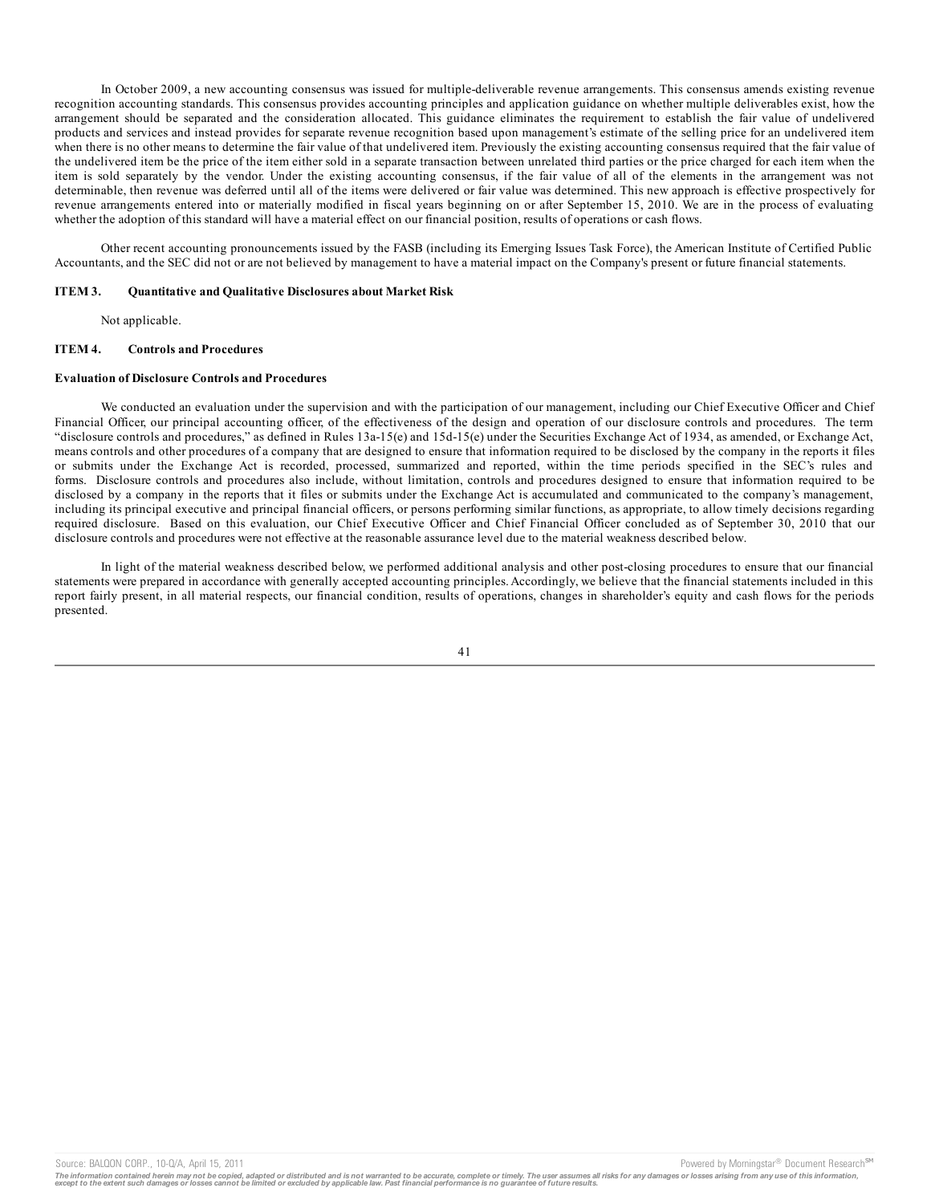In October 2009, a new accounting consensus was issued for multiple-deliverable revenue arrangements. This consensus amends existing revenue recognition accounting standards. This consensus provides accounting principles and application guidance on whether multiple deliverables exist, how the arrangement should be separated and the consideration allocated. This guidance eliminates the requirement to establish the fair value of undelivered products and services and instead provides for separate revenue recognition based upon management's estimate of the selling price for an undelivered item when there is no other means to determine the fair value of that undelivered item. Previously the existing accounting consensus required that the fair value of the undelivered item be the price of the item either sold in a separate transaction between unrelated third parties or the price charged for each item when the item is sold separately by the vendor. Under the existing accounting consensus, if the fair value of all of the elements in the arrangement was not determinable, then revenue was deferred until all of the items were delivered or fair value was determined. This new approach is effective prospectively for revenue arrangements entered into or materially modified in fiscal years beginning on or after September 15, 2010. We are in the process of evaluating whether the adoption of this standard will have a material effect on our financial position, results of operations or cash flows.

Other recent accounting pronouncements issued by the FASB (including its Emerging Issues Task Force), the American Institute of Certified Public Accountants, and the SEC did not or are not believed by management to have a material impact on the Company's present or future financial statements.

#### **ITEM 3. Quantitative and Qualitative Disclosures about Market Risk**

Not applicable.

# **ITEM 4. Controls and Procedures**

# **Evaluation of Disclosure Controls and Procedures**

We conducted an evaluation under the supervision and with the participation of our management, including our Chief Executive Officer and Chief Financial Officer, our principal accounting officer, of the effectiveness of the design and operation of our disclosure controls and procedures. The term "disclosure controls and procedures," as defined in Rules  $13a-15(e)$  and  $15d-15(e)$  under the Securities Exchange Act of 1934, as amended, or Exchange Act, means controls and other procedures of a company that are designed to ensure that information required to be disclosed by the company in the reports it files or submits under the Exchange Act is recorded, processed, summarized and reported, within the time periods specified in the SEC's rules and forms. Disclosure controls and procedures also include, without limitation, controls and procedures designed to ensure that information required to be disclosed by a company in the reports that it files or submits under the Exchange Act is accumulated and communicated to the company's management, including its principal executive and principal financial officers, or persons performing similar functions, as appropriate, to allow timely decisions regarding required disclosure. Based on this evaluation, our Chief Executive Officer and Chief Financial Officer concluded as of September 30, 2010 that our disclosure controls and procedures were not effective at the reasonable assurance level due to the material weakness described below.

In light of the material weakness described below, we performed additional analysis and other post-closing procedures to ensure that our financial statements were prepared in accordance with generally accepted accounting principles. Accordingly, we believe that the financial statements included in this report fairly present, in all material respects, our financial condition, results of operations, changes in shareholder's equity and cash flows for the periods presented.

The information contained herein may not be copied, adapted or distributed and is not warranted to be accurate, complete or timely. The user assumes all risks for any damages or losses arising from any use of this informat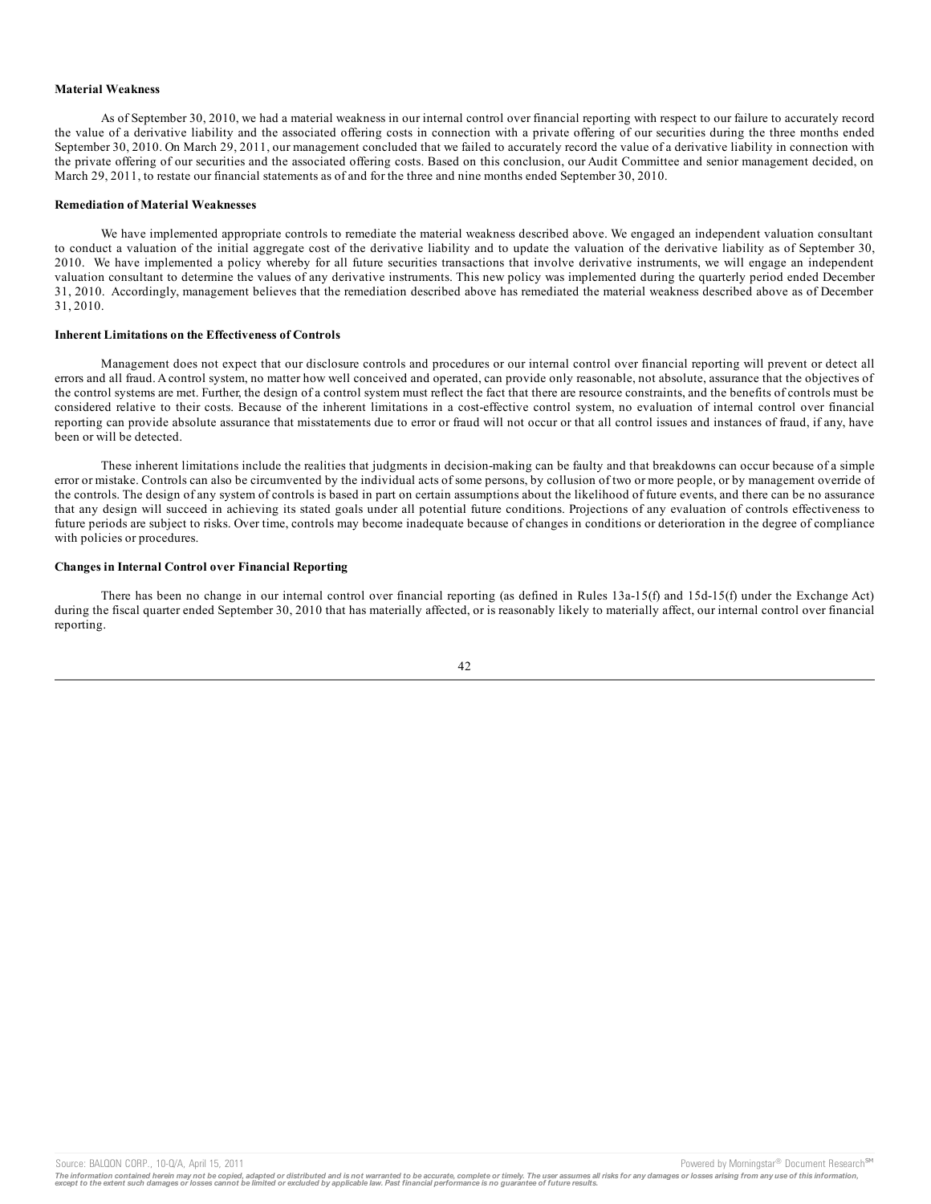#### **Material Weakness**

As of September 30, 2010, we had a material weakness in our internal control over financial reporting with respect to our failure to accurately record the value of a derivative liability and the associated offering costs in connection with a private offering of our securities during the three months ended September 30, 2010. On March 29, 2011, our management concluded that we failed to accurately record the value of a derivative liability in connection with the private offering of our securities and the associated offering costs. Based on this conclusion, our Audit Committee and senior management decided, on March 29, 2011, to restate our financial statements as of and for the three and nine months ended September 30, 2010.

### **Remediation of Material Weaknesses**

We have implemented appropriate controls to remediate the material weakness described above. We engaged an independent valuation consultant to conduct a valuation of the initial aggregate cost of the derivative liability and to update the valuation of the derivative liability as of September 30, 2010. We have implemented a policy whereby for all future securities transactions that involve derivative instruments, we will engage an independent valuation consultant to determine the values of any derivative instruments. This new policy was implemented during the quarterly period ended December 31, 2010. Accordingly, management believes that the remediation described above has remediated the material weakness described above as of December 31, 2010.

## **Inherent Limitations on the Effectiveness of Controls**

Management does not expect that our disclosure controls and procedures or our internal control over financial reporting will prevent or detect all errors and all fraud. Acontrol system, no matter how well conceived and operated, can provide only reasonable, not absolute, assurance that the objectives of the control systems are met. Further, the design of a control system must reflect the fact that there are resource constraints, and the benefits of controls must be considered relative to their costs. Because of the inherent limitations in a cost-effective control system, no evaluation of internal control over financial reporting can provide absolute assurance that misstatements due to error or fraud will not occur or that all control issues and instances of fraud, if any, have been or will be detected.

These inherent limitations include the realities that judgments in decision-making can be faulty and that breakdowns can occur because of a simple error or mistake. Controls can also be circumvented by the individual acts of some persons, by collusion of two or more people, or by management override of the controls. The design of any system of controls is based in part on certain assumptions about the likelihood of future events, and there can be no assurance that any design will succeed in achieving its stated goals under all potential future conditions. Projections of any evaluation of controls effectiveness to future periods are subject to risks. Over time, controls may become inadequate because of changes in conditions or deterioration in the degree of compliance with policies or procedures.

# **Changes in Internal Control over Financial Reporting**

There has been no change in our internal control over financial reporting (as defined in Rules 13a-15(f) and 15d-15(f) under the Exchange Act) during the fiscal quarter ended September 30, 2010 that has materially affected, or is reasonably likely to materially affect, our internal control over financial reporting.

Source: BALQON CORP., 10-Q/A, April 15, 2011 Powered by Morningstar® Document Research Morningstar® Document Research Morningstar® Document Research Morningstar® Document Research Morningstar 2011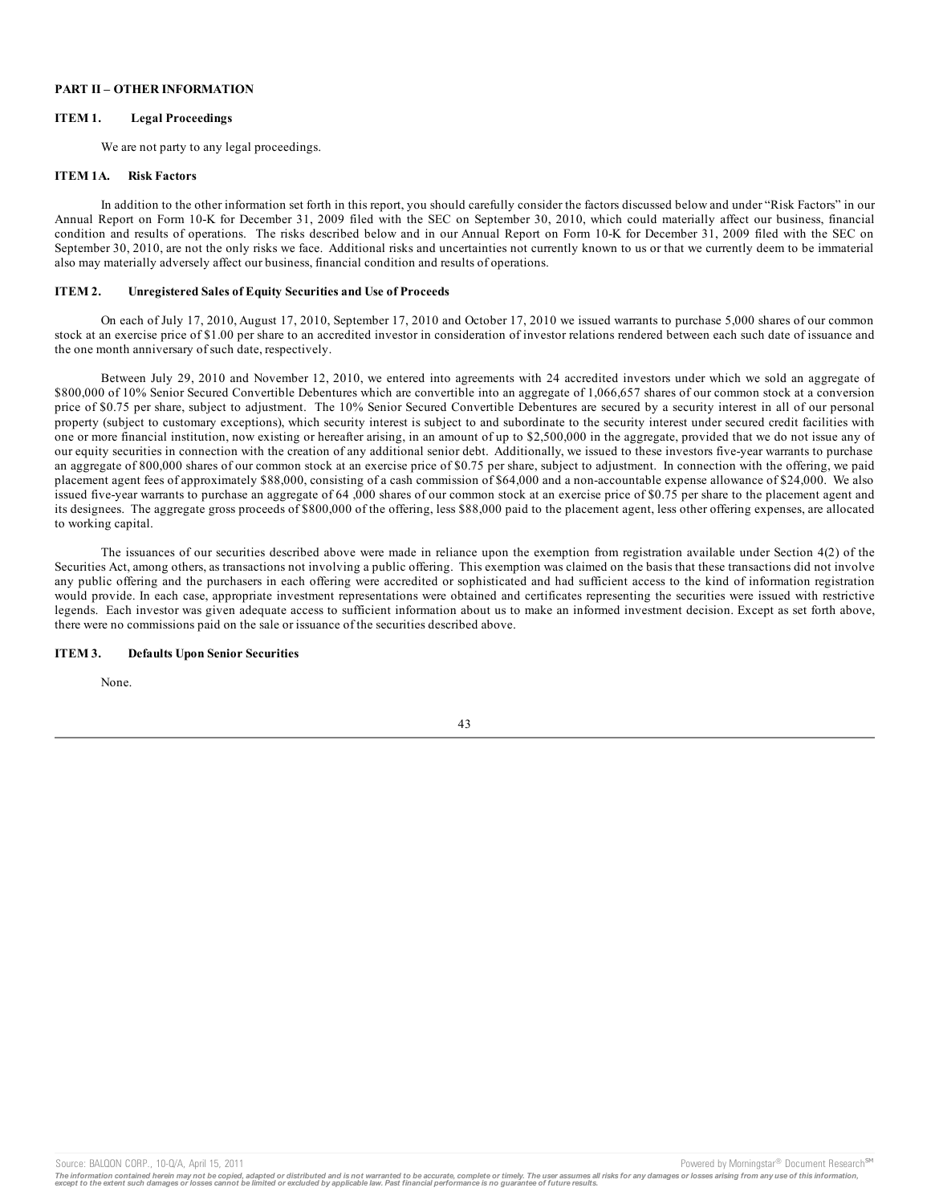## **PART II – OTHER INFORMATION**

# **ITEM 1. Legal Proceedings**

We are not party to any legal proceedings.

#### **ITEM 1A. Risk Factors**

In addition to the other information set forth in this report, you should carefully consider the factors discussed below and under "Risk Factors" in our Annual Report on Form 10-K for December 31, 2009 filed with the SEC on September 30, 2010, which could materially affect our business, financial condition and results of operations. The risks described below and in our Annual Report on Form 10-K for December 31, 2009 filed with the SEC on September 30, 2010, are not the only risks we face. Additional risks and uncertainties not currently known to us or that we currently deem to be immaterial also may materially adversely affect our business, financial condition and results of operations.

## **ITEM 2. Unregistered Sales of Equity Securities and Use of Proceeds**

On each of July 17, 2010, August 17, 2010, September 17, 2010 and October 17, 2010 we issued warrants to purchase 5,000 shares of our common stock at an exercise price of \$1.00 per share to an accredited investor in consideration of investor relations rendered between each such date of issuance and the one month anniversary of such date, respectively.

Between July 29, 2010 and November 12, 2010, we entered into agreements with 24 accredited investors under which we sold an aggregate of \$800,000 of 10% Senior Secured Convertible Debentures which are convertible into an aggregate of 1,066,657 shares of our common stock at a conversion price of \$0.75 per share, subject to adjustment. The 10% Senior Secured Convertible Debentures are secured by a security interest in all of our personal property (subject to customary exceptions), which security interest is subject to and subordinate to the security interest under secured credit facilities with one or more financial institution, now existing or hereafter arising, in an amount of up to \$2,500,000 in the aggregate, provided that we do not issue any of our equity securities in connection with the creation of any additional senior debt. Additionally, we issued to these investors five-year warrants to purchase an aggregate of 800,000 shares of our common stock at an exercise price of \$0.75 per share, subject to adjustment. In connection with the offering, we paid placement agent fees of approximately \$88,000, consisting of a cash commission of \$64,000 and a non-accountable expense allowance of \$24,000. We also issued five-year warrants to purchase an aggregate of 64 ,000 shares of our common stock at an exercise price of \$0.75 per share to the placement agent and its designees. The aggregate gross proceeds of \$800,000 of the offering, less \$88,000 paid to the placement agent, less other offering expenses, are allocated to working capital.

The issuances of our securities described above were made in reliance upon the exemption from registration available under Section 4(2) of the Securities Act, among others, as transactions not involving a public offering. This exemption was claimed on the basis that these transactions did not involve any public offering and the purchasers in each offering were accredited or sophisticated and had sufficient access to the kind of information registration would provide. In each case, appropriate investment representations were obtained and certificates representing the securities were issued with restrictive legends. Each investor was given adequate access to sufficient information about us to make an informed investment decision. Except as set forth above, there were no commissions paid on the sale or issuance of the securities described above.

### **ITEM 3. Defaults Upon Senior Securities**

None.

43

Source: BALQON CORP., 10-Q/A, April 15, 2011 **Powered by Morningstar® Document Research** Morningstar® Document Research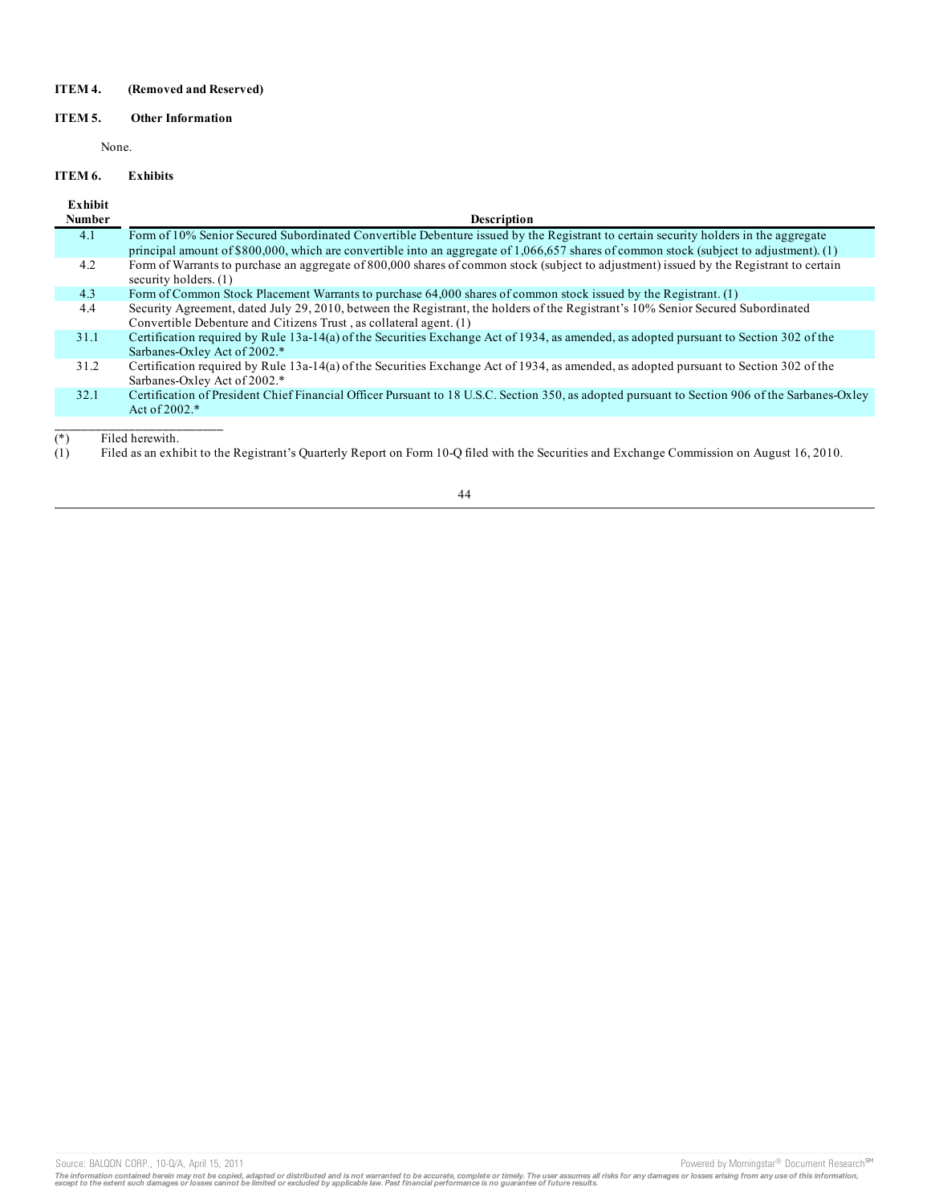# **ITEM 4. (Removed and Reserved)**

# **ITEM 5. Other Information**

None.

## **ITEM 6. Exhibits**

| Exhibit<br><b>Number</b>                           | <b>Description</b>                                                                                                                                                                                                                                                               |  |
|----------------------------------------------------|----------------------------------------------------------------------------------------------------------------------------------------------------------------------------------------------------------------------------------------------------------------------------------|--|
| 4.1                                                | Form of 10% Senior Secured Subordinated Convertible Debenture issued by the Registrant to certain security holders in the aggregate<br>principal amount of $$800,000$ , which are convertible into an aggregate of 1,066,657 shares of common stock (subject to adjustment). (1) |  |
| 4.2                                                | Form of Warrants to purchase an aggregate of 800,000 shares of common stock (subject to adjustment) issued by the Registrant to certain<br>security holders. (1)                                                                                                                 |  |
| 4.3                                                | Form of Common Stock Placement Warrants to purchase 64,000 shares of common stock issued by the Registrant. (1)                                                                                                                                                                  |  |
| 4.4                                                | Security Agreement, dated July 29, 2010, between the Registrant, the holders of the Registrant's 10% Senior Secured Subordinated<br>Convertible Debenture and Citizens Trust, as collateral agent. (1)                                                                           |  |
| 31.1                                               | Certification required by Rule 13a-14(a) of the Securities Exchange Act of 1934, as amended, as adopted pursuant to Section 302 of the<br>Sarbanes-Oxley Act of 2002.*                                                                                                           |  |
| 31.2                                               | Certification required by Rule 13a-14(a) of the Securities Exchange Act of 1934, as amended, as adopted pursuant to Section 302 of the<br>Sarbanes-Oxley Act of 2002.*                                                                                                           |  |
| 32.1                                               | Certification of President Chief Financial Officer Pursuant to 18 U.S.C. Section 350, as adopted pursuant to Section 906 of the Sarbanes-Oxley<br>Act of 2002.*                                                                                                                  |  |
| $\sim$ and $\sim$<br>$\cdots$<br>$\cdot$ . $\cdot$ |                                                                                                                                                                                                                                                                                  |  |

(\*) Filed herewith.

(1) Filed as an exhibit to the Registrant's Quarterly Report on Form 10-Q filed with the Securities and Exchange Commission on August 16, 2010.

44

Source: BALQON CORP., 10-Q/A, April 15, 2011 **Powered by Morningstar®** Document Research SM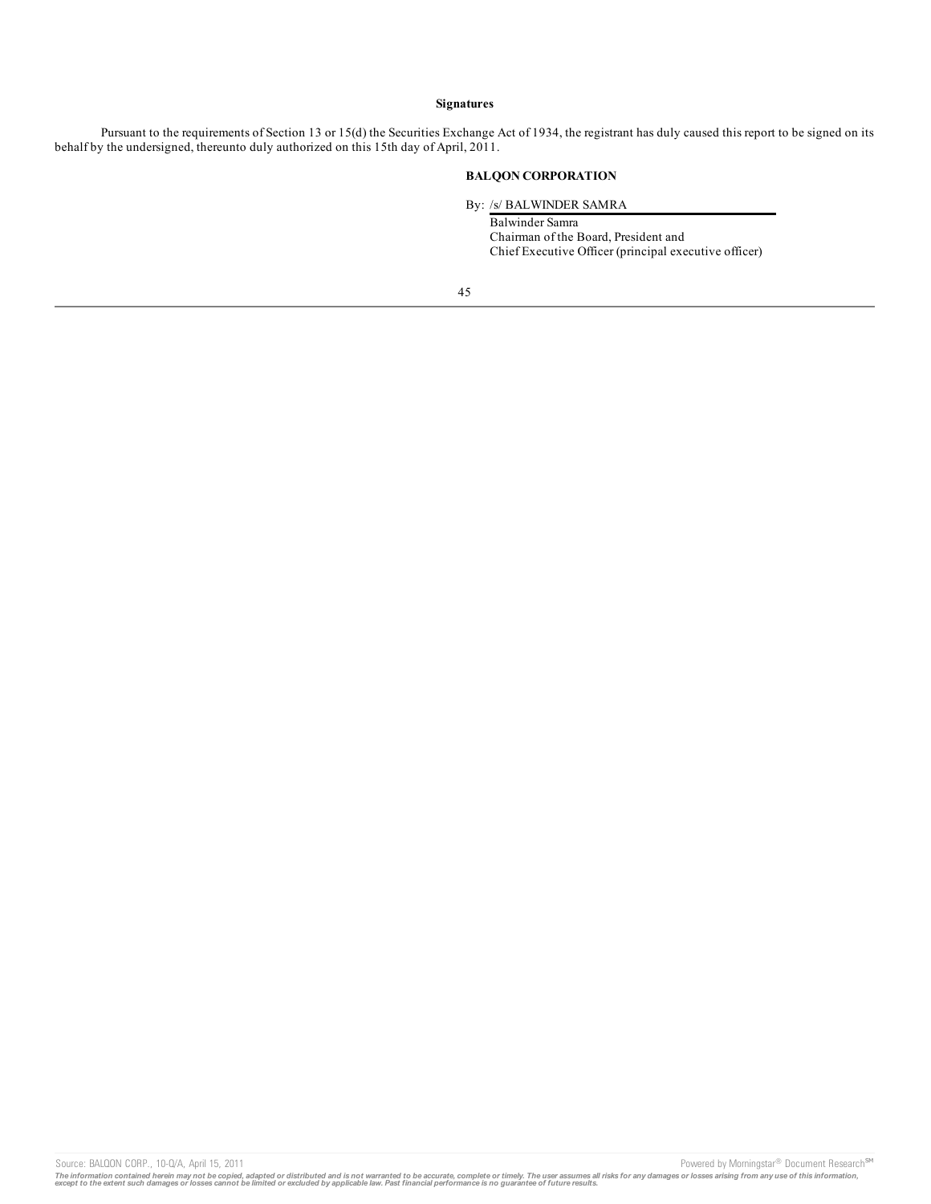## **Signatures**

Pursuant to the requirements of Section 13 or 15(d) the Securities Exchange Act of 1934, the registrant has duly caused this report to be signed on its behalf by the undersigned, thereunto duly authorized on this 15th day of April, 2011.

# **BALQON CORPORATION**

By: /s/ BALWINDER SAMRA

Balwinder Samra Chairman of the Board, President and Chief Executive Officer (principal executive officer)

Source: BALQON CORP., 10-Q/A, April 15, 2011 **Powered by Morningstar®** Document Research Morningstar® Document Research Morningstar® Document Research Morningstar®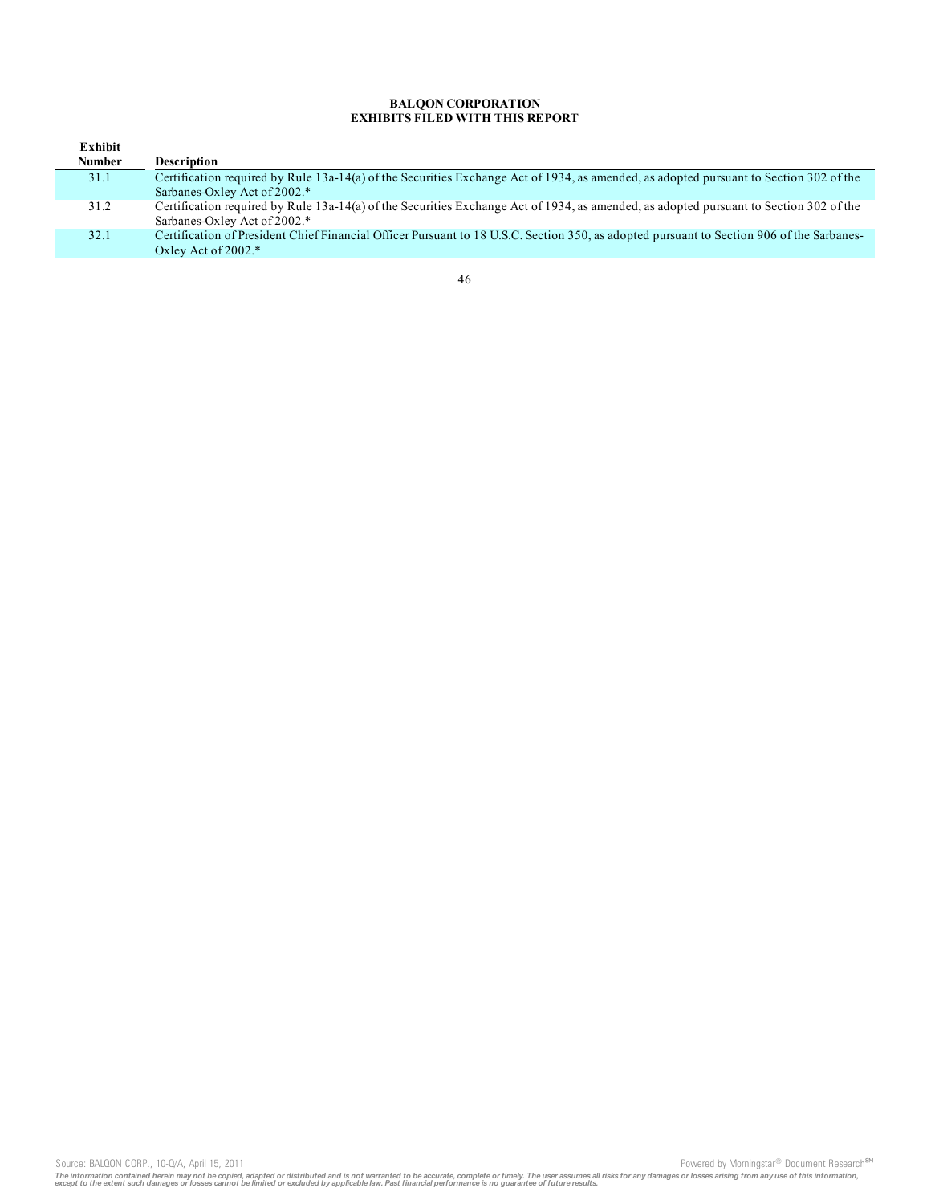#### **BALQON CORPORATION EXHIBITS FILED WITH THIS REPORT**

| Exhibit       |                                                                                                                                                                        |
|---------------|------------------------------------------------------------------------------------------------------------------------------------------------------------------------|
| <b>Number</b> | Description                                                                                                                                                            |
| 31.1          | Certification required by Rule 13a-14(a) of the Securities Exchange Act of 1934, as amended, as adopted pursuant to Section 302 of the<br>Sarbanes-Oxley Act of 2002.* |
| 31.2          | Certification required by Rule 13a-14(a) of the Securities Exchange Act of 1934, as amended, as adopted pursuant to Section 302 of the<br>Sarbanes-Oxley Act of 2002.* |
| 32.1          | Certification of President Chief Financial Officer Pursuant to 18 U.S.C. Section 350, as adopted pursuant to Section 906 of the Sarbanes-<br>Oxley Act of $2002.*$     |

Source: BALQON CORP., 10-Q/A, April 15, 2011<br>The information contained herein may not be copied, adapted or distributed and is not warranted to be accurate, complete or timely. The user assumes all risks for any damages or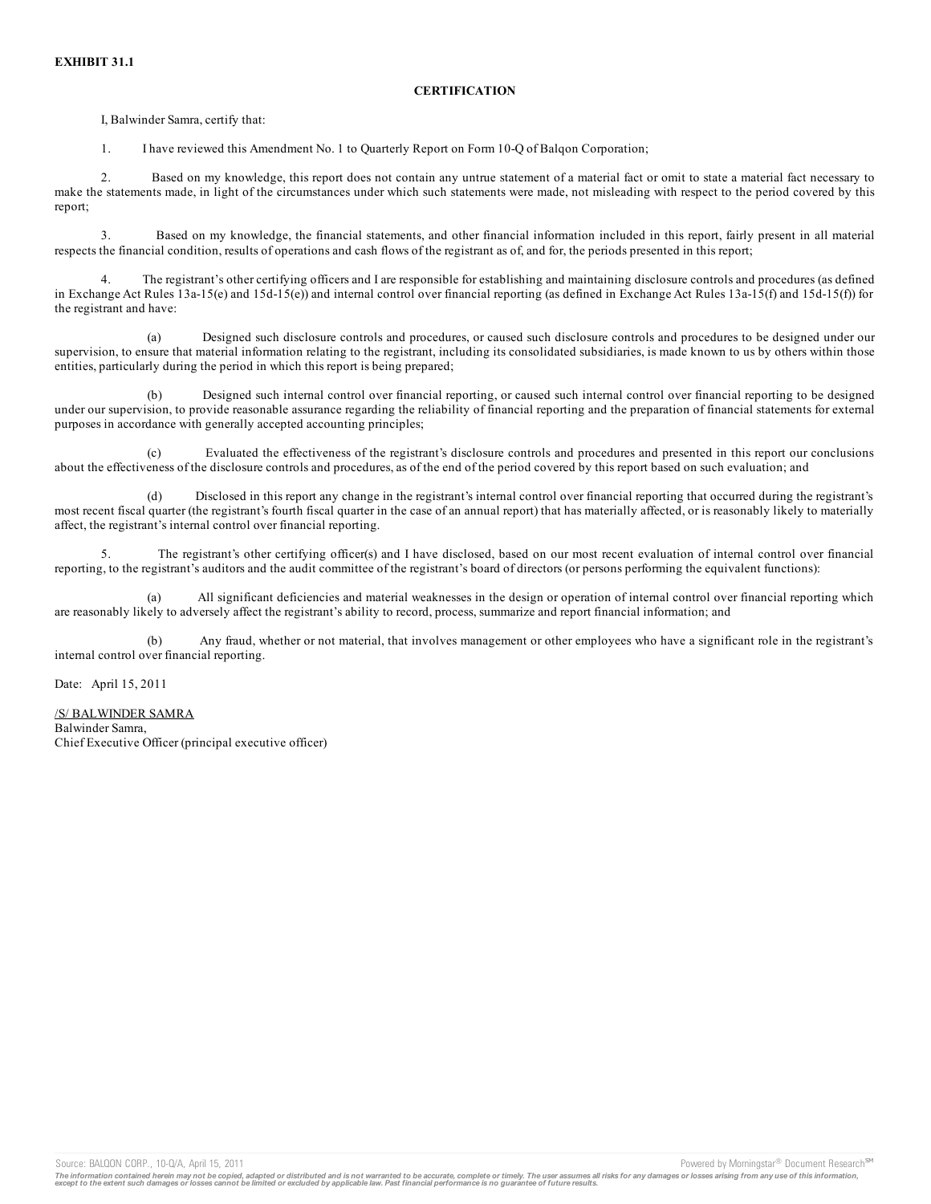# **CERTIFICATION**

I, Balwinder Samra, certify that:

1. I have reviewed this Amendment No. 1 to Quarterly Report on Form 10-Q of Balqon Corporation;

2. Based on my knowledge, this report does not contain any untrue statement of a material fact or omit to state a material fact necessary to make the statements made, in light of the circumstances under which such statements were made, not misleading with respect to the period covered by this report;

3. Based on my knowledge, the financial statements, and other financial information included in this report, fairly present in all material respects the financial condition, results of operations and cash flows of the registrant as of, and for, the periods presented in this report;

4. The registrant's other certifying officers and I are responsible for establishing and maintaining disclosure controls and procedures (as defined in Exchange Act Rules 13a-15(e) and 15d-15(e)) and internal control over financial reporting (as defined in Exchange Act Rules 13a-15(f) and 15d-15(f)) for the registrant and have:

(a) Designed such disclosure controls and procedures, or caused such disclosure controls and procedures to be designed under our supervision, to ensure that material information relating to the registrant, including its consolidated subsidiaries, is made known to us by others within those entities, particularly during the period in which this report is being prepared;

(b) Designed such internal control over financial reporting, or caused such internal control over financial reporting to be designed under our supervision, to provide reasonable assurance regarding the reliability of financial reporting and the preparation of financial statements for external purposes in accordance with generally accepted accounting principles;

(c) Evaluated the effectiveness of the registrant's disclosure controls and procedures and presented in this report our conclusions about the effectiveness of the disclosure controls and procedures, as of the end of the period covered by this report based on such evaluation; and

(d) Disclosed in this report any change in the registrant's internal control over financial reporting that occurred during the registrant's most recent fiscal quarter (the registrant's fourth fiscal quarter in the case of an annual report) that has materially affected, or is reasonably likely to materially affect, the registrant's internal control over financial reporting.

5. The registrant's other certifying officer(s) and I have disclosed, based on our most recent evaluation of internal control over financial reporting, to the registrant's auditors and the audit committee of the registrant's board of directors (or persons performing the equivalent functions):

(a) All significant deficiencies and material weaknesses in the design or operation of internal control over financial reporting which are reasonably likely to adversely affect the registrant's ability to record, process, summarize and report financial information; and

Any fraud, whether or not material, that involves management or other employees who have a significant role in the registrant's internal control over financial reporting.

Date: April 15, 2011

/S/ BALWINDER SAMRA Balwinder Samra, Chief Executive Officer (principal executive officer)

Source: BALQON CORP., 10-Q/A, April 15, 2011 **Powered by Morningstar® Document Research** Morningstar® Document Research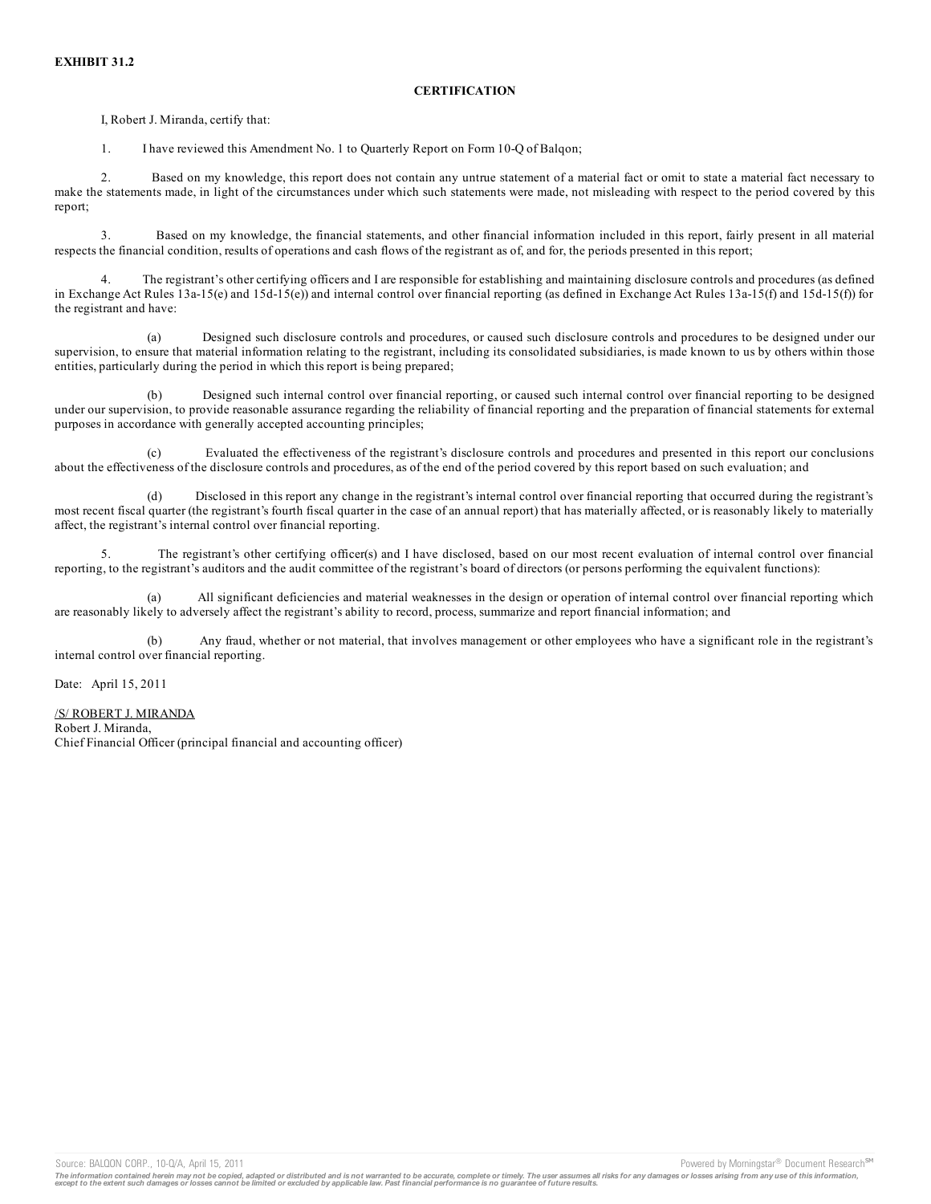# **CERTIFICATION**

I, Robert J. Miranda, certify that:

1. I have reviewed this Amendment No. 1 to Quarterly Report on Form 10-Q of Balqon;

2. Based on my knowledge, this report does not contain any untrue statement of a material fact or omit to state a material fact necessary to make the statements made, in light of the circumstances under which such statements were made, not misleading with respect to the period covered by this report;

3. Based on my knowledge, the financial statements, and other financial information included in this report, fairly present in all material respects the financial condition, results of operations and cash flows of the registrant as of, and for, the periods presented in this report;

4. The registrant's other certifying officers and I are responsible for establishing and maintaining disclosure controls and procedures (as defined in Exchange Act Rules 13a-15(e) and 15d-15(e)) and internal control over financial reporting (as defined in Exchange Act Rules 13a-15(f) and 15d-15(f)) for the registrant and have:

(a) Designed such disclosure controls and procedures, or caused such disclosure controls and procedures to be designed under our supervision, to ensure that material information relating to the registrant, including its consolidated subsidiaries, is made known to us by others within those entities, particularly during the period in which this report is being prepared;

(b) Designed such internal control over financial reporting, or caused such internal control over financial reporting to be designed under our supervision, to provide reasonable assurance regarding the reliability of financial reporting and the preparation of financial statements for external purposes in accordance with generally accepted accounting principles;

(c) Evaluated the effectiveness of the registrant's disclosure controls and procedures and presented in this report our conclusions about the effectiveness of the disclosure controls and procedures, as of the end of the period covered by this report based on such evaluation; and

(d) Disclosed in this report any change in the registrant's internal control over financial reporting that occurred during the registrant's most recent fiscal quarter (the registrant's fourth fiscal quarter in the case of an annual report) that has materially affected, or is reasonably likely to materially affect, the registrant's internal control over financial reporting.

5. The registrant's other certifying officer(s) and I have disclosed, based on our most recent evaluation of internal control over financial reporting, to the registrant's auditors and the audit committee of the registrant's board of directors (or persons performing the equivalent functions):

(a) All significant deficiencies and material weaknesses in the design or operation of internal control over financial reporting which are reasonably likely to adversely affect the registrant's ability to record, process, summarize and report financial information; and

Any fraud, whether or not material, that involves management or other employees who have a significant role in the registrant's internal control over financial reporting.

Date: April 15, 2011

/S/ ROBERT J. MIRANDA Robert J. Miranda, Chief Financial Officer (principal financial and accounting officer)

Source: BALQON CORP., 10-Q/A, April 15, 2011 **Powered by Morningstar® Document Research** Morningstar® Document Research